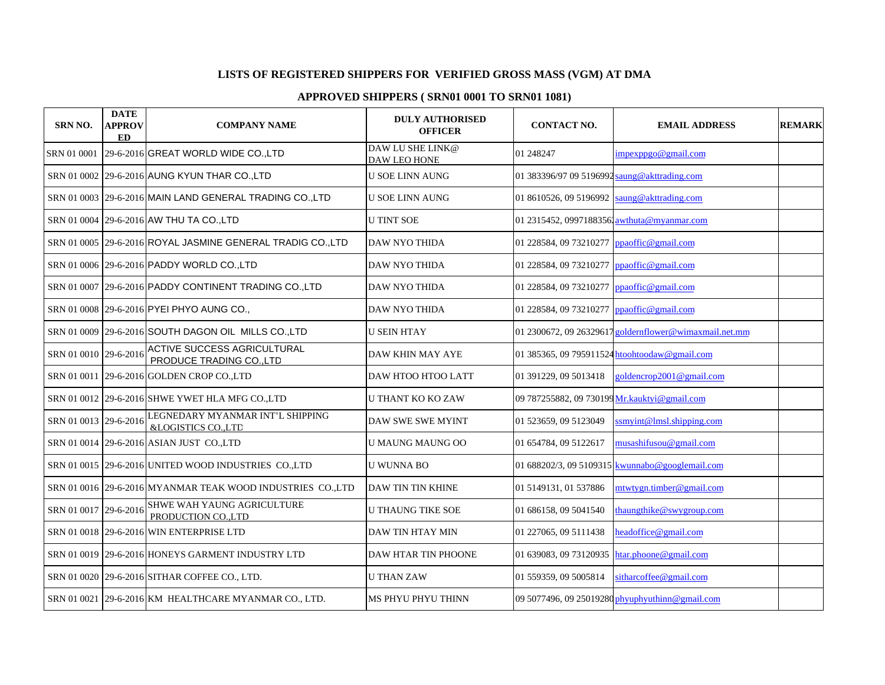## **LISTS OF REGISTERED SHIPPERS FOR VERIFIED GROSS MASS (VGM) AT DMA**

## **APPROVED SHIPPERS ( SRN01 0001 TO SRN01 1081)**

| SRN NO.               | <b>DATE</b><br><b>APPROV</b><br><b>ED</b> | <b>COMPANY NAME</b>                                            | <b>DULY AUTHORISED</b><br><b>OFFICER</b> | <b>CONTACT NO.</b>                           | <b>EMAIL ADDRESS</b>                                   | <b>REMARK</b> |
|-----------------------|-------------------------------------------|----------------------------------------------------------------|------------------------------------------|----------------------------------------------|--------------------------------------------------------|---------------|
| SRN 01 0001           |                                           | 29-6-2016 GREAT WORLD WIDE CO., LTD                            | DAW LU SHE LINK@<br>DAW LEO HONE         | 01 248247                                    | impexppgo@gmail.com                                    |               |
|                       |                                           | SRN 01 0002 29-6-2016 AUNG KYUN THAR CO., LTD                  | <b>U SOE LINN AUNG</b>                   | 01 383396/97 09 5196992 saung@akttrading.com |                                                        |               |
|                       |                                           | SRN 01 0003 29-6-2016 MAIN LAND GENERAL TRADING CO., LTD       | <b>U SOE LINN AUNG</b>                   | 01 8610526, 09 5196992                       | saung@akttrading.com                                   |               |
|                       |                                           | SRN 01 0004 29-6-2016 AW THU TA CO., LTD                       | <b>U TINT SOE</b>                        | 01 2315452, 09971883561 awthuta@myanmar.com  |                                                        |               |
|                       |                                           | SRN 01 0005 29-6-2016 ROYAL JASMINE GENERAL TRADIG CO.,LTD     | DAW NYO THIDA                            | 01 228584, 09 73210277 ppaoffic@gmail.com    |                                                        |               |
|                       |                                           | SRN 01 0006 29-6-2016 PADDY WORLD CO., LTD                     | DAW NYO THIDA                            | 01 228584, 09 73210277                       | ppaoffic@gmail.com                                     |               |
|                       |                                           | SRN 01 0007 29-6-2016 PADDY CONTINENT TRADING CO., LTD         | DAW NYO THIDA                            | 01 228584, 09 73210277                       | ppaoffic@gmail.com                                     |               |
|                       |                                           | SRN 01 0008 29-6-2016 PYEI PHYO AUNG CO.,                      | <b>DAW NYO THIDA</b>                     | 01 228584, 09 73210277                       | ppaoffic@gmail.com                                     |               |
|                       |                                           | SRN 01 0009 29-6-2016 SOUTH DAGON OIL MILLS CO., LTD           | <b>U SEIN HTAY</b>                       |                                              | 01 2300672, 09 26329617 goldernflower@wimaxmail.net.mm |               |
| SRN 01 0010 29-6-2016 |                                           | <b>ACTIVE SUCCESS AGRICULTURAL</b><br>PRODUCE TRADING CO., LTD | DAW KHIN MAY AYE                         |                                              | 01 385365, 09 795911524 htoohtoodaw@gmail.com          |               |
|                       |                                           | SRN 01 0011 29-6-2016 GOLDEN CROP CO.,LTD                      | <b>DAW HTOO HTOO LATT</b>                | 01 391229, 09 5013418                        | goldencrop2001@gmail.com                               |               |
|                       |                                           | SRN 01 0012 29-6-2016 SHWE YWET HLA MFG CO., LTD               | <b>U THANT KO KO ZAW</b>                 | 09 787255882, 09 730199 Mr.kauktyi@gmail.com |                                                        |               |
| SRN 01 0013 29-6-2016 |                                           | LEGNEDARY MYANMAR INT'L SHIPPING<br>&LOGISTICS CO.,LTD         | <b>DAW SWE SWE MYINT</b>                 | 01 523659, 09 5123049                        | ssmyint@lmsl.shipping.com                              |               |
|                       |                                           | SRN 01 0014 29-6-2016 ASIAN JUST CO.,LTD                       | <b>U MAUNG MAUNG OO</b>                  | 01 654784, 09 5122617                        | musashifusou@gmail.com                                 |               |
|                       |                                           | SRN 01 0015 29-6-2016 UNITED WOOD INDUSTRIES CO.,LTD           | U WUNNA BO                               |                                              | 01 688202/3, 09 5109315 kwunnabo@googlemail.com        |               |
|                       |                                           | SRN 01 0016 29-6-2016 MYANMAR TEAK WOOD INDUSTRIES CO.,LTD     | DAW TIN TIN KHINE                        | 01 5149131, 01 537886                        | mtwtygn.timber@gmail.com                               |               |
| SRN 01 0017 29-6-2016 |                                           | SHWE WAH YAUNG AGRICULTURE<br>PRODUCTION CO., LTD              | <b>U THAUNG TIKE SOE</b>                 | 01 686158, 09 5041540                        | thaungthike@swygroup.com                               |               |
|                       |                                           | SRN 01 0018 29-6-2016 WIN ENTERPRISE LTD                       | DAW TIN HTAY MIN                         | 01 227065, 09 5111438                        | headoffice@gmail.com                                   |               |
|                       |                                           | SRN 01 0019 29-6-2016 HONEYS GARMENT INDUSTRY LTD              | <b>DAW HTAR TIN PHOONE</b>               | 01 639083, 09 73120935                       | htar.phoone@gmail.com                                  |               |
|                       |                                           | SRN 01 0020 29-6-2016 SITHAR COFFEE CO., LTD.                  | <b>U THAN ZAW</b>                        | 01 559359, 09 5005814                        | sitharcoffee@gmail.com                                 |               |
|                       |                                           | SRN 01 0021 29-6-2016 KM HEALTHCARE MYANMAR CO., LTD.          | MS PHYU PHYU THINN                       |                                              | 09 5077496, 09 25019280 phyuphyuthinn@gmail.com        |               |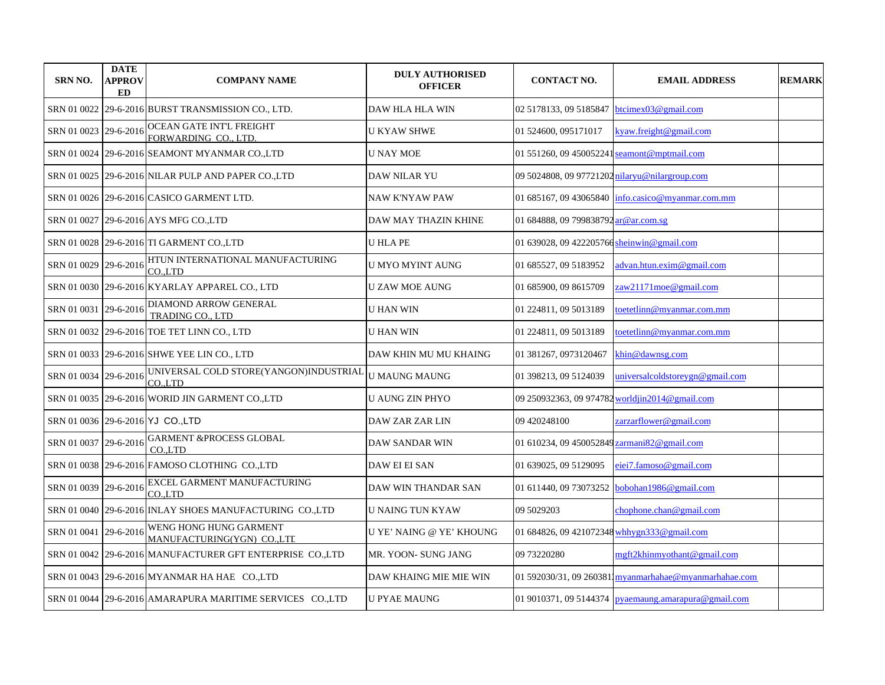| <b>SRN NO.</b>        | <b>DATE</b><br><b>APPROV</b><br>ED | <b>COMPANY NAME</b>                                       | <b>DULY AUTHORISED</b><br><b>OFFICER</b> | <b>CONTACT NO.</b>                             | <b>EMAIL ADDRESS</b>                                         | <b>REMARK</b> |
|-----------------------|------------------------------------|-----------------------------------------------------------|------------------------------------------|------------------------------------------------|--------------------------------------------------------------|---------------|
|                       |                                    | SRN 01 0022 29-6-2016 BURST TRANSMISSION CO., LTD.        | <b>DAW HLA HLA WIN</b>                   | 02 5178133, 09 5185847                         | btcimex03@gmail.com                                          |               |
| SRN 01 0023 29-6-2016 |                                    | OCEAN GATE INT'L FREIGHT<br>FORWARDING CO., LTD.          | U KYAW SHWE                              | 01 524600, 095171017                           | kyaw.freight@gmail.com                                       |               |
|                       |                                    | SRN 01 0024 29-6-2016 SEAMONT MYANMAR CO.,LTD             | <b>U NAY MOE</b>                         | 01 551260, 09 450052241                        | seamont@mptmail.com                                          |               |
|                       |                                    | SRN 01 0025 29-6-2016 NILAR PULP AND PAPER CO.,LTD        | DAW NILAR YU                             | 09 5024808, 09 97721202 nilaryu@nilargroup.com |                                                              |               |
|                       |                                    | SRN 01 0026 29-6-2016 CASICO GARMENT LTD.                 | <b>NAW K'NYAW PAW</b>                    | 01 685167, 09 43065840                         | info.casico@myanmar.com.mm                                   |               |
|                       |                                    | SRN 01 0027 29-6-2016 AYS MFG CO., LTD                    | DAW MAY THAZIN KHINE                     | 01 684888, 09 799838792 ar@ar.com.sg           |                                                              |               |
|                       |                                    | SRN 01 0028 29-6-2016 TI GARMENT CO.,LTD                  | <b>U HLA PE</b>                          | 01 639028, 09 422205766 sheinwin@gmail.com     |                                                              |               |
| SRN 01 0029 29-6-2016 |                                    | HTUN INTERNATIONAL MANUFACTURING<br>CO.LTD                | U MYO MYINT AUNG                         | 01 685527, 09 5183952                          | advan.htun.exim@gmail.com                                    |               |
|                       |                                    | SRN 01 0030 29-6-2016 KYARLAY APPAREL CO., LTD            | <b>U ZAW MOE AUNG</b>                    | 01 685900, 09 8615709                          | zaw21171moe@gmail.com                                        |               |
| SRN 01 0031 29-6-2016 |                                    | DIAMOND ARROW GENERAL<br><b>TRADING CO., LTD</b>          | <b>U HAN WIN</b>                         | 01 224811, 09 5013189                          | toetetlinn@myanmar.com.mm                                    |               |
|                       |                                    | SRN 01 0032  29-6-2016 TOE TET LINN CO., LTD              | <b>U HAN WIN</b>                         | 01 224811, 09 5013189                          | toetetlinn@myanmar.com.mm                                    |               |
|                       |                                    | SRN 01 0033   29-6-2016 SHWE YEE LIN CO., LTD             | DAW KHIN MU MU KHAING                    | 01 381267, 0973120467                          | khin@dawnsg.com                                              |               |
| SRN 01 0034 29-6-2016 |                                    | UNIVERSAL COLD STORE(YANGON)INDUSTRIAL<br>CO.LTD          | <b>U MAUNG MAUNG</b>                     | 01 398213, 09 5124039                          | universalcoldstoreygn@gmail.com                              |               |
|                       |                                    | SRN 01 0035  29-6-2016 WORID JIN GARMENT CO.,LTD          | <b>U AUNG ZIN PHYO</b>                   |                                                | 09 250932363, 09 974782 worldjin2014@gmail.com               |               |
|                       |                                    | SRN 01 0036 29-6-2016 YJ CO. LTD                          | DAW ZAR ZAR LIN                          | 09 420248100                                   | zarzarflower@gmail.com                                       |               |
| SRN 01 0037 29-6-2016 |                                    | <b>GARMENT &amp;PROCESS GLOBAL</b><br>CO.LTD              | DAW SANDAR WIN                           | 01 610234, 09 450052849 zarmani82@gmail.com    |                                                              |               |
|                       |                                    | SRN 01 0038 29-6-2016 FAMOSO CLOTHING CO.,LTD             | DAW EI EI SAN                            | 01 639025, 09 5129095                          | eiei7.famoso@gmail.com                                       |               |
| SRN 01 0039 29-6-2016 |                                    | EXCEL GARMENT MANUFACTURING<br>CO.LTD                     | DAW WIN THANDAR SAN                      | 01 611440, 09 73073252                         | bobohan1986@gmail.com                                        |               |
|                       |                                    | SRN 01 0040 29-6-2016 INLAY SHOES MANUFACTURING CO.,LTD   | <b>U NAING TUN KYAW</b>                  | 09 5029203                                     | chophone.chan@gmail.com                                      |               |
| SRN 01 0041 29-6-2016 |                                    | WENG HONG HUNG GARMENT<br>MANUFACTURING(YGN) CO.,LTL      | U YE' NAING @ YE' KHOUNG                 | 01 684826, 09 421072348 whbygn333@gmail.com    |                                                              |               |
|                       |                                    | SRN 01 0042 29-6-2016 MANUFACTURER GFT ENTERPRISE CO.,LTD | MR. YOON- SUNG JANG                      | 09 73220280                                    | mgft2khinmyothant@gmail.com                                  |               |
|                       |                                    | SRN 01 0043 29-6-2016 MYANMAR HA HAE CO.,LTD              | DAW KHAING MIE MIE WIN                   |                                                | 01 592030/31, 09 2603811 myanmarhahae@myanmarhahae.com       |               |
|                       |                                    | SRN 01 0044 29-6-2016 AMARAPURA MARITIME SERVICES CO.,LTD | <b>U PYAE MAUNG</b>                      |                                                | 01 9010371, 09 5144374 $\vert$ pyaemaung.amarapura@gmail.com |               |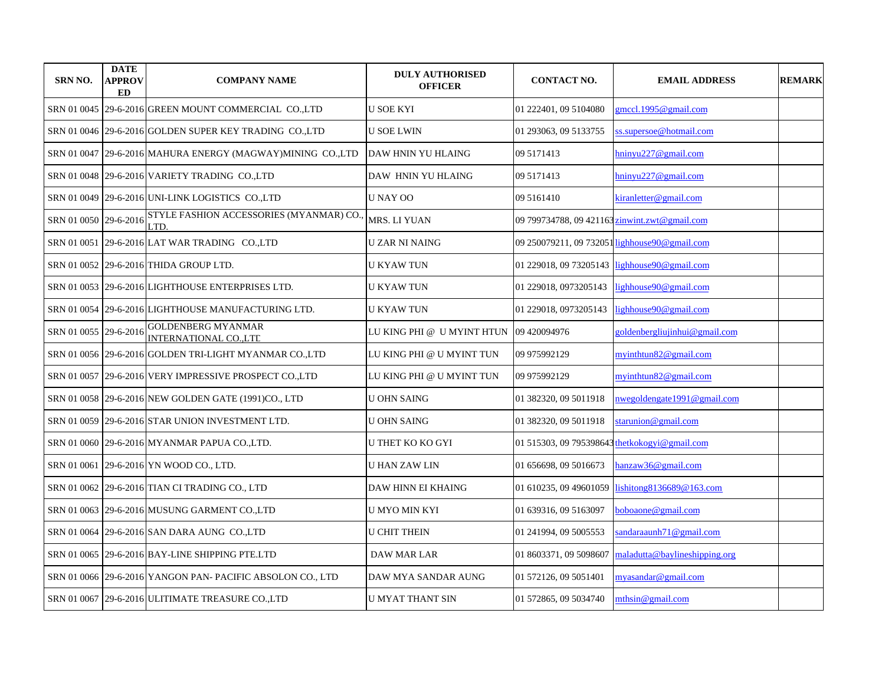| SRN NO.     | <b>DATE</b><br><b>APPROV</b><br>ED | <b>COMPANY NAME</b>                                     | <b>DULY AUTHORISED</b><br><b>OFFICER</b> | <b>CONTACT NO.</b>                            | <b>EMAIL ADDRESS</b>                           | <b>REMARK</b> |
|-------------|------------------------------------|---------------------------------------------------------|------------------------------------------|-----------------------------------------------|------------------------------------------------|---------------|
|             |                                    | SRN 01 0045 29-6-2016 GREEN MOUNT COMMERCIAL CO., LTD   | <b>U SOE KYI</b>                         | 01 222401, 09 5104080                         | gmccl.1995@gmail.com                           |               |
|             |                                    | SRN 01 0046 29-6-2016 GOLDEN SUPER KEY TRADING CO.,LTD  | U SOE LWIN                               | 01 293063, 09 5133755                         | ss.supersoe@hotmail.com                        |               |
| SRN 01 0047 |                                    | 29-6-2016 MAHURA ENERGY (MAGWAY)MINING CO.,LTD          | DAW HNIN YU HLAING                       | 09 5171413                                    | hninyu227@gmail.com                            |               |
|             |                                    | SRN 01 0048 29-6-2016 VARIETY TRADING CO.,LTD           | DAW HNIN YU HLAING                       | 09 5171413                                    | hninyu227@gmail.com                            |               |
| SRN 01 0049 |                                    | 29-6-2016 UNI-LINK LOGISTICS CO.,LTD                    | <b>UNAY OO</b>                           | 09 51 61 410                                  | kiranletter@gmail.com                          |               |
| SRN 01 0050 | 29-6-2016                          | STYLE FASHION ACCESSORIES (MYANMAR) CO.<br>LTD.         | MRS. LI YUAN                             | 09 799734788, 09 421163 zinwint.zwt@gmail.com |                                                |               |
| SRN 01 0051 |                                    | 29-6-2016 LAT WAR TRADING CO.,LTD                       | U ZAR NI NAING                           |                                               | 09 250079211, 09 732051 lighhouse 90@gmail.com |               |
|             |                                    | SRN 01 0052 29-6-2016 THIDA GROUP LTD.                  | <b>U KYAW TUN</b>                        | 01 229018, 09 73205143                        | lighhouse90@gmail.com                          |               |
|             |                                    | SRN 01 0053 29-6-2016 LIGHTHOUSE ENTERPRISES LTD.       | <b>U KYAW TUN</b>                        | 01 229018, 0973205143                         | lighhouse90@gmail.com                          |               |
| SRN 01 0054 |                                    | 29-6-2016 LIGHTHOUSE MANUFACTURING LTD.                 | <b>U KYAW TUN</b>                        | 01 229018, 0973205143                         | lighhouse90@gmail.com                          |               |
| SRN 01 0055 | 29-6-2016                          | <b>GOLDENBERG MYANMAR</b><br><b>INTERNATIONAL COLTD</b> | LU KING PHI @ U MYINT HTUN               | 09 420094976                                  | goldenbergliujinhui@gmail.com                  |               |
|             |                                    | SRN 01 0056 29-6-2016 GOLDEN TRI-LIGHT MYANMAR CO.,LTD  | LU KING PHI @ U MYINT TUN                | 09 975992129                                  | myinthtun82@gmail.com                          |               |
|             |                                    | SRN 01 0057 29-6-2016 VERY IMPRESSIVE PROSPECT CO.,LTD  | LU KING PHI @ U MYINT TUN                | 09 975992129                                  | myinthtun $82@$ gmail.com                      |               |
|             |                                    | SRN 01 0058 29-6-2016 NEW GOLDEN GATE (1991)CO., LTD    | <b>U OHN SAING</b>                       | 01 382320, 09 5011918                         | nwegoldengate1991@gmail.com                    |               |
|             |                                    | SRN 01 0059 29-6-2016 STAR UNION INVESTMENT LTD.        | <b>U OHN SAING</b>                       | 01 382320, 09 5011918                         | starunion@gmail.com                            |               |
| SRN 01 0060 |                                    | 29-6-2016 MYANMAR PAPUA CO.,LTD.                        | U THET KO KO GYI                         | 01 515303, 09 795398643 thetkokogyi@gmail.com |                                                |               |
| SRN 01 0061 |                                    | 29-6-2016 YN WOOD CO., LTD.                             | U HAN ZAW LIN                            | 01 656698, 09 5016673                         | hanzaw36@gmail.com                             |               |
|             |                                    | SRN 01 0062 29-6-2016 TIAN CI TRADING CO., LTD          | DAW HINN EI KHAING                       | 01 610235, 09 49601059                        | lishitong8136689@163.com                       |               |
|             |                                    | SRN 01 0063 29-6-2016 MUSUNG GARMENT CO.,LTD            | U MYO MIN KYI                            | 01 639316, 09 5163097                         | boboaone@gmail.com                             |               |
| SRN 01 0064 |                                    | 29-6-2016 SAN DARA AUNG CO.,LTD                         | <b>U CHIT THEIN</b>                      | 01 241994, 09 5005553                         | sandaraaunh71@gmail.com                        |               |
| SRN 01 0065 |                                    | 29-6-2016 BAY-LINE SHIPPING PTE.LTD                     | <b>DAW MAR LAR</b>                       | 01 8603371, 09 5098607                        | maladutta@baylineshipping.org                  |               |
| SRN 01 0066 |                                    | 29-6-2016 YANGON PAN- PACIFIC ABSOLON CO., LTD          | DAW MYA SANDAR AUNG                      | 01 572126, 09 5051401                         | myasandar@gmail.com                            |               |
|             |                                    | SRN 01 0067 29-6-2016 ULITIMATE TREASURE CO.,LTD        | <b>U MYAT THANT SIN</b>                  | 01 572865, 09 5034740                         | mthsin@gmail.com                               |               |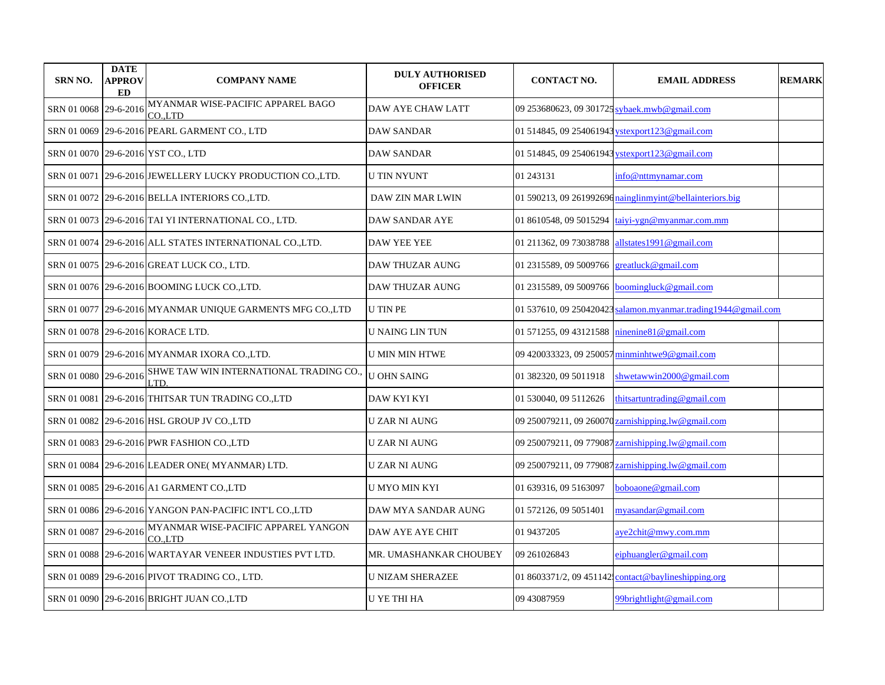| <b>SRN NO.</b>        | <b>DATE</b><br>APPROV<br>ED | <b>COMPANY NAME</b>                                       | <b>DULY AUTHORISED</b><br><b>OFFICER</b> | <b>CONTACT NO.</b>                           | <b>EMAIL ADDRESS</b>                                     | <b>REMARK</b> |
|-----------------------|-----------------------------|-----------------------------------------------------------|------------------------------------------|----------------------------------------------|----------------------------------------------------------|---------------|
| SRN 01 0068           | 29-6-2016                   | MYANMAR WISE-PACIFIC APPAREL BAGO<br>CO.,LTD              | DAW AYE CHAW LATT                        | 09 253680623, 09 301725 sybaek.mwb@gmail.com |                                                          |               |
|                       |                             | SRN 01 0069 29-6-2016 PEARL GARMENT CO., LTD              | DAW SANDAR                               |                                              | 01 514845, 09 254061943 ystexport 123@gmail.com          |               |
|                       |                             | SRN 01 0070 29-6-2016 YST CO., LTD                        | DAW SANDAR                               |                                              | 01 514845, 09 254061943 ystexport 123@gmail.com          |               |
|                       |                             | SRN 01 0071 29-6-2016 JEWELLERY LUCKY PRODUCTION CO.,LTD. | <b>U TIN NYUNT</b>                       | 01 243131                                    | info@nttmynamar.com                                      |               |
|                       |                             | SRN 01 0072 29-6-2016 BELLA INTERIORS CO., LTD.           | DAW ZIN MAR LWIN                         |                                              | 01 590213, 09 261992696 nainglinmyint@bellainteriors.big |               |
|                       |                             | SRN 01 0073 29-6-2016 TAI YI INTERNATIONAL CO., LTD.      | <b>DAW SANDAR AYE</b>                    | 01 8610548, 09 5015294                       | taiyi-ygn@myanmar.com.mm                                 |               |
|                       |                             | SRN 01 0074 29-6-2016 ALL STATES INTERNATIONAL CO.,LTD.   | <b>DAW YEE YEE</b>                       | 01 211362, 09 73038788                       | allstates 1991@gmail.com                                 |               |
|                       |                             | SRN 01 0075 29-6-2016 GREAT LUCK CO., LTD.                | <b>DAW THUZAR AUNG</b>                   | 01 2315589, 09 5009766                       | great luck@gmail.com                                     |               |
|                       |                             | SRN 01 0076 29-6-2016 BOOMING LUCK CO.,LTD.               | DAW THUZAR AUNG                          |                                              | 01 2315589, 09 5009766 boomingluck@gmail.com             |               |
|                       |                             | SRN 01 0077 29-6-2016 MYANMAR UNIQUE GARMENTS MFG CO.,LTD | <b>U TIN PE</b>                          | 01 537610, 09 250420423                      | salamon.myanmar.trading1944@gmail.com                    |               |
|                       |                             | SRN 01 0078 29-6-2016 KORACE LTD.                         | U NAING LIN TUN                          | 01 571255, 09 43121588                       | ninenine81@gmail.com                                     |               |
|                       |                             | SRN 01 0079 29-6-2016 MYANMAR IXORA CO., LTD.             | <b>U MIN MIN HTWE</b>                    |                                              | 09 420033323, 09 250057 minminhtwe9@gmail.com            |               |
| SRN 01 0080 29-6-2016 |                             | SHWE TAW WIN INTERNATIONAL TRADING CO.,<br>LTD.           | <b>U OHN SAING</b>                       | 01 382320, 09 5011918                        | shwetawwin2000@gmail.com                                 |               |
|                       |                             | SRN 01 0081 29-6-2016 THITSAR TUN TRADING CO.,LTD         | DAW KYI KYI                              | 01 530040, 09 5112626                        | thitsartuntrading@gmail.com                              |               |
|                       |                             | SRN 01 0082  29-6-2016 HSL GROUP JV CO.,LTD               | U ZAR NI AUNG                            |                                              | 09 250079211, 09 260070 zarnishipping.lw@gmail.com       |               |
|                       |                             | SRN 01 0083 29-6-2016 PWR FASHION CO.,LTD                 | <b>UZAR NI AUNG</b>                      |                                              | 09 250079211, 09 779087 zarnishipping.lw@gmail.com       |               |
|                       |                             | SRN 01 0084   29-6-2016   LEADER ONE( MYANMAR) LTD.       | U ZAR NI AUNG                            |                                              | 09 250079211, 09 779087 zarnishipping.lw@gmail.com       |               |
|                       |                             | SRN 01 0085 29-6-2016 A1 GARMENT CO.,LTD                  | U MYO MIN KYI                            | 01 639316, 09 5163097                        | boboaone@gmail.com                                       |               |
|                       |                             | SRN 01 0086  29-6-2016 YANGON PAN-PACIFIC INT'L CO.,LTD   | DAW MYA SANDAR AUNG                      | 01 572126, 09 5051401                        | myasandar@gmail.com                                      |               |
| SRN 01 0087 29-6-2016 |                             | MYANMAR WISE-PACIFIC APPAREL YANGON<br>CO.LTD             | DAW AYE AYE CHIT                         | 01 9437205                                   | aye2chit@mwy.com.mm                                      |               |
|                       |                             | SRN 01 0088 29-6-2016 WARTAYAR VENEER INDUSTIES PVT LTD.  | MR. UMASHANKAR CHOUBEY                   | 09 261026843                                 | eiphuangler@gmail.com                                    |               |
|                       |                             | SRN 01 0089 29-6-2016 PIVOT TRADING CO., LTD.             | <b>U NIZAM SHERAZEE</b>                  |                                              | 01 8603371/2, 09 451142 contact@baylineshipping.org      |               |
|                       |                             | SRN 01 0090 29-6-2016 BRIGHT JUAN CO.,LTD                 | <b>U YE THI HA</b>                       | 09 43087959                                  | 99brightlight@gmail.com                                  |               |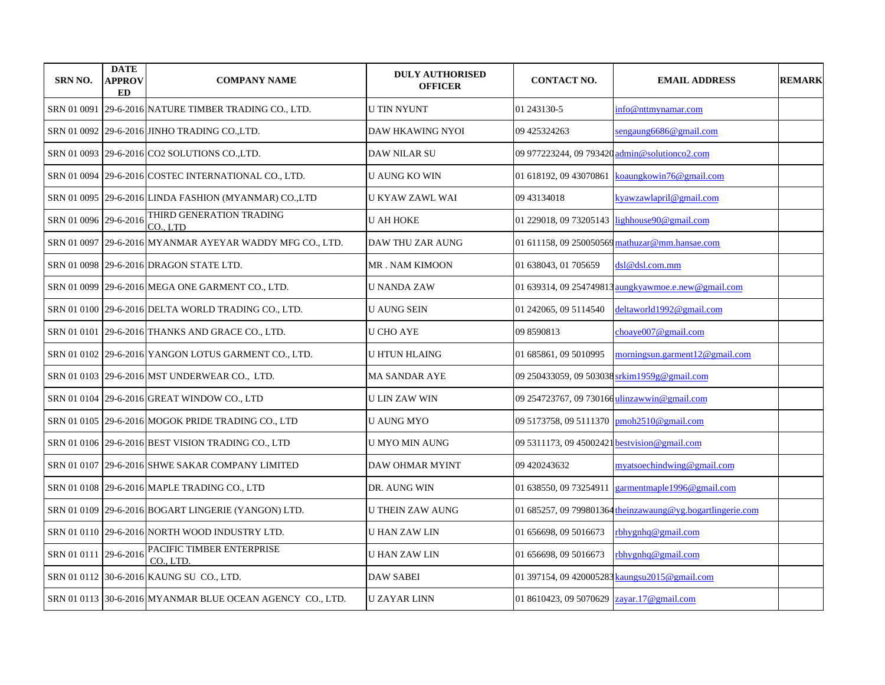| <b>SRN NO.</b>        | <b>DATE</b><br><b>APPROV</b><br>ED | <b>COMPANY NAME</b>                                       | <b>DULY AUTHORISED</b><br><b>OFFICER</b> | <b>CONTACT NO.</b>                            | <b>EMAIL ADDRESS</b>                                       | <b>REMARK</b> |
|-----------------------|------------------------------------|-----------------------------------------------------------|------------------------------------------|-----------------------------------------------|------------------------------------------------------------|---------------|
| SRN 01 0091           |                                    | 29-6-2016 NATURE TIMBER TRADING CO., LTD.                 | <b>U TIN NYUNT</b>                       | 01 243130-5                                   | info@nttmynamar.com                                        |               |
|                       |                                    | SRN 01 0092 29-6-2016 JINHO TRADING CO.,LTD.              | DAW HKAWING NYOI                         | 09 425324263                                  | sengaung 6686@gmail.com                                    |               |
|                       |                                    | SRN 01 0093 29-6-2016 CO2 SOLUTIONS COLTD.                | <b>DAW NILAR SU</b>                      | 09 977223244, 09 793420 admin@solutionco2.com |                                                            |               |
|                       |                                    | SRN 01 0094 29-6-2016 COSTEC INTERNATIONAL CO., LTD.      | <b>U AUNG KO WIN</b>                     | 01 618192, 09 43070861                        | koaungkowin76@gmail.com                                    |               |
|                       |                                    | SRN 01 0095   29-6-2016 LINDA FASHION (MYANMAR) CO.,LTD   | U KYAW ZAWL WAI                          | 09 43134018                                   | kyawzawlapril@gmail.com                                    |               |
| SRN 01 0096 29-6-2016 |                                    | THIRD GENERATION TRADING<br>CO., LTD                      | <b>U AH HOKE</b>                         | 01 229018, 09 73205143                        | lighhouse90@gmail.com                                      |               |
| SRN 01 0097           |                                    | 29-6-2016 MYANMAR AYEYAR WADDY MFG CO., LTD.              | DAW THU ZAR AUNG                         |                                               | 01 611158, 09 250050569 mathuzar@mm.hansae.com             |               |
|                       |                                    | SRN 01 0098 29-6-2016 DRAGON STATE LTD.                   | <b>MR. NAM KIMOON</b>                    | 01 638043, 01 705659                          | dsl@dsl.com.mm                                             |               |
|                       |                                    | SRN 01 0099 29-6-2016 MEGA ONE GARMENT CO., LTD.          | U NANDA ZAW                              |                                               | 01 639314, 09 254749813 aungkyawmoe.e.new@gmail.com        |               |
|                       |                                    | SRN 01 0100 29-6-2016 DELTA WORLD TRADING CO., LTD.       | <b>U AUNG SEIN</b>                       | 01 242065, 09 5114540                         | deltaworld1992@gmail.com                                   |               |
|                       |                                    | SRN 01 0101 29-6-2016 THANKS AND GRACE CO., LTD.          | U CHO AYE                                | 09 8590813                                    | choaye007@gmail.com                                        |               |
|                       |                                    | SRN 01 0102 29-6-2016 YANGON LOTUS GARMENT CO., LTD.      | U HTUN HLAING                            | 01 685861, 09 5010995                         | morningsun.garment12@gmail.com                             |               |
|                       |                                    | SRN 01 0103   29-6-2016  MST UNDERWEAR CO., LTD.          | MA SANDAR AYE                            | 09 250433059, 09 503038 srkim1959g@gmail.com  |                                                            |               |
|                       |                                    | SRN 01 0104 29-6-2016 GREAT WINDOW CO., LTD               | U LIN ZAW WIN                            | 09 254723767, 09 730166 ulinzawwin@gmail.com  |                                                            |               |
|                       |                                    | SRN 01 0105  29-6-2016 MOGOK PRIDE TRADING CO., LTD       | U AUNG MYO                               | 09 5173758, 09 5111370 pmoh2510@gmail.com     |                                                            |               |
|                       |                                    | SRN 01 0106 29-6-2016 BEST VISION TRADING CO., LTD        | U MYO MIN AUNG                           | 09 5311173, 09 45002421 bestyision@gmail.com  |                                                            |               |
|                       |                                    | SRN 01 0107   29-6-2016 SHWE SAKAR COMPANY LIMITED        | DAW OHMAR MYINT                          | 09 420243632                                  | myatsoechindwing@gmail.com                                 |               |
|                       |                                    | SRN 01 0108  29-6-2016 MAPLE TRADING CO., LTD             | DR. AUNG WIN                             | 01 638550, 09 73254911                        | garmentmaple1996@gmail.com                                 |               |
|                       |                                    | SRN 01 0109   29-6-2016 BOGART LINGERIE (YANGON) LTD.     | U THEIN ZAW AUNG                         |                                               | 01 685257, 09 799801364 theinzawaung@yg.bogartlingerie.com |               |
|                       |                                    | SRN 01 0110 29-6-2016 NORTH WOOD INDUSTRY LTD.            | U HAN ZAW LIN                            | 01 656698, 09 5016673                         | rbhygnhq@gmail.com                                         |               |
| SRN 01 0111 29-6-2016 |                                    | PACIFIC TIMBER ENTERPRISE<br>CO., LTD.                    | U HAN ZAW LIN                            | 01 656698, 09 5016673                         | rbhygnhq@gmail.com                                         |               |
|                       |                                    | SRN 01 0112 30-6-2016 KAUNG SU CO., LTD.                  | <b>DAW SABEI</b>                         |                                               | 01 397154, 09 420005283 kaungsu2015@gmail.com              |               |
|                       |                                    | SRN 01 0113 30-6-2016 MYANMAR BLUE OCEAN AGENCY CO., LTD. | <b>U ZAYAR LINN</b>                      | 01 8610423, 09 5070629 zayar.17@gmail.com     |                                                            |               |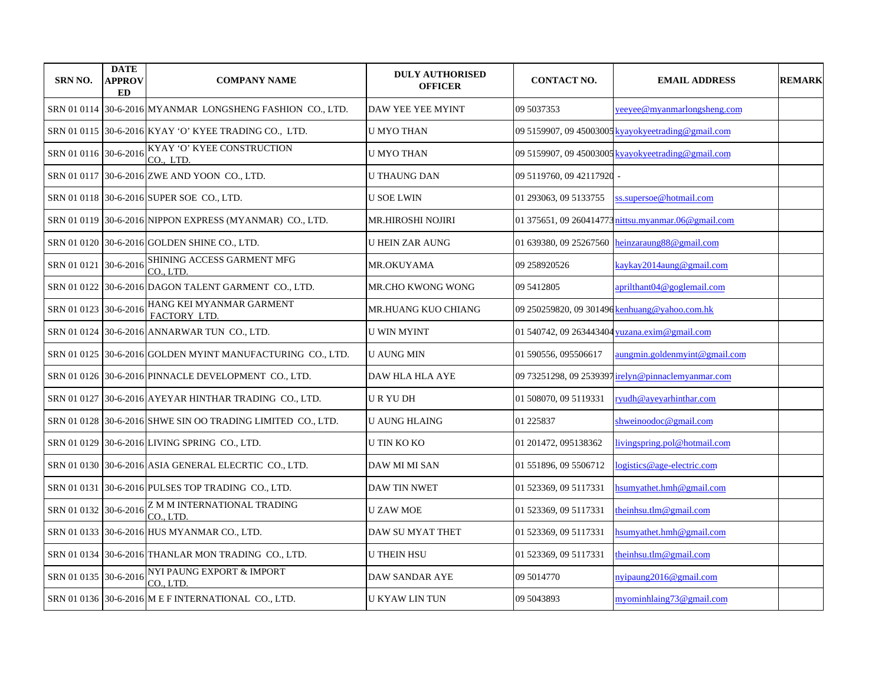| SRN NO.               | <b>DATE</b><br><b>APPROV</b><br>ED | <b>COMPANY NAME</b>                                         | <b>DULY AUTHORISED</b><br><b>OFFICER</b> | <b>CONTACT NO.</b>        | <b>EMAIL ADDRESS</b>                                | <b>REMARK</b> |
|-----------------------|------------------------------------|-------------------------------------------------------------|------------------------------------------|---------------------------|-----------------------------------------------------|---------------|
|                       |                                    | SRN 01 0114 30-6-2016 MYANMAR LONGSHENG FASHION CO., LTD.   | DAW YEE YEE MYINT                        | 09 5037353                | yeeyee@myanmarlongsheng.com                         |               |
|                       |                                    | SRN 01 0115 30-6-2016 KYAY 'O' KYEE TRADING CO., LTD.       | <b>U MYO THAN</b>                        |                           | 09 5159907, 09 45003005 kyayokyeetrading@gmail.com  |               |
| SRN 01 0116 30-6-2016 |                                    | KYAY 'O' KYEE CONSTRUCTION<br>CO., LTD.                     | <b>U MYO THAN</b>                        |                           | 09 5159907, 09 45003005 kvavokveetrading@gmail.com  |               |
|                       |                                    | SRN 01 0117 30-6-2016 ZWE AND YOON CO., LTD.                | <b>U THAUNG DAN</b>                      | 09 5119760, 09 42117920 - |                                                     |               |
|                       |                                    | SRN 01 0118 30-6-2016 SUPER SOE CO., LTD.                   | <b>U SOE LWIN</b>                        | 01 293063, 09 5133755     | ss.supersoe@hotmail.com                             |               |
| SRN 01 0119           |                                    | 30-6-2016 NIPPON EXPRESS (MYANMAR) CO., LTD.                | <b>MR.HIROSHI NOJIRI</b>                 |                           | 01 375651, 09 260414773 nittsu.myanmar.06@gmail.com |               |
| SRN 01 0120           |                                    | 30-6-2016 GOLDEN SHINE CO., LTD.                            | <b>U HEIN ZAR AUNG</b>                   | 01 639380, 09 25267560    | heinzaraung88@gmail.com                             |               |
| SRN 01 0121           | 30-6-2016                          | SHINING ACCESS GARMENT MFG<br>CO., LTD.                     | MR.OKUYAMA                               | 09 258920526              | kaykay2014aung@gmail.com                            |               |
| SRN 01 0122           |                                    | 30-6-2016 DAGON TALENT GARMENT CO., LTD.                    | MR.CHO KWONG WONG                        | 09 5412805                | aprilthant04@goglemail.com                          |               |
| SRN 01 0123           | 30-6-2016                          | HANG KEI MYANMAR GARMENT<br>FACTORY LTD.                    | MR.HUANG KUO CHIANG                      |                           | 09 250259820, 09 301496 kenhuang@yahoo.com.hk       |               |
|                       |                                    | SRN 01 0124 30-6-2016 ANNARWAR TUN CO., LTD.                | U WIN MYINT                              |                           | 01 540742, 09 263443404 yuzana.exim@gmail.com       |               |
|                       |                                    | SRN 01 0125 30-6-2016 GOLDEN MYINT MANUFACTURING CO., LTD.  | U AUNG MIN                               | 01 590556, 095506617      | aungmin.goldenmyint@gmail.com                       |               |
|                       |                                    | SRN 01 0126 30-6-2016 PINNACLE DEVELOPMENT CO., LTD.        | DAW HLA HLA AYE                          |                           | 09 73251298, 09 2539397 irelyn@pinnaclemyanmar.com  |               |
|                       |                                    | SRN 01 0127 30-6-2016 AYEYAR HINTHAR TRADING CO., LTD.      | URYUDH                                   | 01 508070, 09 5119331     | ryudh@ayeyarhinthar.com                             |               |
|                       |                                    | SRN 01 0128 30-6-2016 SHWE SIN OO TRADING LIMITED CO., LTD. | U AUNG HLAING                            | 01 225837                 | shweinoodoc@gmail.com                               |               |
|                       |                                    | SRN 01 0129 30-6-2016 LIVING SPRING CO., LTD.               | <b>U TIN KO KO</b>                       | 01 201472, 095138362      | livingspring.pol@hotmail.com                        |               |
|                       |                                    | SRN 01 0130 30-6-2016 ASIA GENERAL ELECRTIC CO., LTD.       | DAW MI MI SAN                            | 01 551896, 09 5506712     | logistics@age-electric.com                          |               |
| SRN 01 0131           |                                    | 30-6-2016 PULSES TOP TRADING CO., LTD.                      | DAW TIN NWET                             | 01 523369, 09 5117331     | hsumyathet.hmh@gmail.com                            |               |
| SRN 01 0132 30-6-2016 |                                    | Z M M INTERNATIONAL TRADING<br>CO., LTD.                    | <b>U ZAW MOE</b>                         | 01 523369, 09 5117331     | theinhsu.tlm@gmail.com                              |               |
|                       |                                    | SRN 01 0133 30-6-2016 HUS MYANMAR CO., LTD.                 | DAW SU MYAT THET                         | 01 523369, 09 5117331     | hsumyathet.hmh@gmail.com                            |               |
|                       |                                    | SRN 01 0134 30-6-2016 THANLAR MON TRADING CO., LTD.         | <b>U THEIN HSU</b>                       | 01 523369, 09 5117331     | theinhsu.tlm@gmail.com                              |               |
| SRN 01 0135           | 30-6-2016                          | NYI PAUNG EXPORT & IMPORT<br>CO LTD.                        | <b>DAW SANDAR AYE</b>                    | 09 5014770                | nyipaung $2016@$ gmail.com                          |               |
|                       |                                    | SRN 01 0136 30-6-2016 M E F INTERNATIONAL CO., LTD.         | U KYAW LIN TUN                           | 09 5043893                | myominhlaing73@gmail.com                            |               |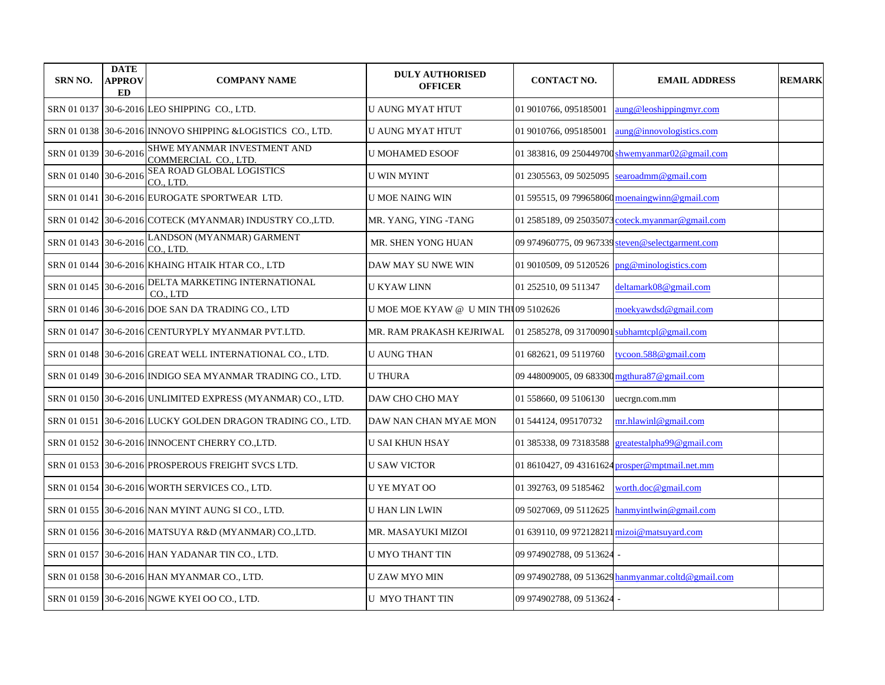| <b>SRN NO.</b>        | <b>DATE</b><br><b>APPROV</b><br>ED | <b>COMPANY NAME</b>                                            | <b>DULY AUTHORISED</b><br><b>OFFICER</b> | <b>CONTACT NO.</b>                           | <b>EMAIL ADDRESS</b>                               | <b>REMARK</b> |
|-----------------------|------------------------------------|----------------------------------------------------------------|------------------------------------------|----------------------------------------------|----------------------------------------------------|---------------|
|                       |                                    | SRN 01 0137 30-6-2016 LEO SHIPPING CO., LTD.                   | U AUNG MYAT HTUT                         | 01 9010766, 095185001                        | $a$ ung@leoshippingmyr.com                         |               |
|                       |                                    | SRN 01 0138 30-6-2016 INNOVO SHIPPING & LOGISTICS CO., LTD.    | U AUNG MYAT HTUT                         | 01 9010766, 095185001                        | aung@innovologistics.com                           |               |
| SRN 01 0139 30-6-2016 |                                    | SHWE MYANMAR INVESTMENT AND<br>COMMERCIAL CO., LTD.            | U MOHAMED ESOOF                          | 01 383816, 09 250449700                      | $\sh$ wemyanmar $02@$ gmail.com                    |               |
| SRN 01 0140 30-6-2016 |                                    | SEA ROAD GLOBAL LOGISTICS<br>CO., LTD.                         | <b>U WIN MYINT</b>                       | 01 2305563, 09 5025095                       | searoadmm@gmail.com                                |               |
| SRN 01 0141           |                                    | 30-6-2016 EUROGATE SPORTWEAR LTD.                              | U MOE NAING WIN                          |                                              | 01 595515, 09 799658060 moenaingwinn@gmail.com     |               |
|                       |                                    | SRN 01 0142 30-6-2016 COTECK (MYANMAR) INDUSTRY CO.,LTD.       | MR. YANG, YING -TANG                     |                                              | 01 2585189, 09 25035073 coteck.myanmar@gmail.com   |               |
| SRN 01 0143 30-6-2016 |                                    | LANDSON (MYANMAR) GARMENT<br>CO., LTD.                         | MR. SHEN YONG HUAN                       |                                              | 09 974960775, 09 967339 steven@selectgarment.com   |               |
|                       |                                    | SRN 01 0144  30-6-2016 KHAING HTAIK HTAR CO., LTD              | DAW MAY SU NWE WIN                       | 01 9010509, 09 5120526                       | png@minologistics.com                              |               |
| SRN 01 0145 30-6-2016 |                                    | DELTA MARKETING INTERNATIONAL<br>CO., LTD                      | U KYAW LINN                              | 01 252510, 09 511347                         | deltamark08@gmail.com                              |               |
|                       |                                    | SRN 01 0146 30-6-2016 DOE SAN DA TRADING CO., LTD              | U MOE MOE KYAW @ U MIN THU09 5102626     |                                              | moekyawdsd@gmail.com                               |               |
|                       |                                    | SRN 01 0147 30-6-2016 CENTURYPLY MYANMAR PVT.LTD.              | MR. RAM PRAKASH KEJRIWAL                 | 01 2585278, 09 31700901 subhamtcpl@gmail.com |                                                    |               |
|                       |                                    | SRN 01 0148 30-6-2016 GREAT WELL INTERNATIONAL CO., LTD.       | <b>U AUNG THAN</b>                       | 01 682621, 09 5119760                        | tycoon.588@gmail.com                               |               |
|                       |                                    | SRN 01 0149   30-6-2016   INDIGO SEA MYANMAR TRADING CO., LTD. | <b>U THURA</b>                           | 09 448009005, 09 683300 mgthura87@gmail.com  |                                                    |               |
|                       |                                    | SRN 01 0150 30-6-2016 UNLIMITED EXPRESS (MYANMAR) CO., LTD.    | DAW CHO CHO MAY                          | 01 558660, 09 5106130                        | uecrgn.com.mm                                      |               |
|                       |                                    | SRN 01 0151 30-6-2016 LUCKY GOLDEN DRAGON TRADING CO., LTD.    | DAW NAN CHAN MYAE MON                    | 01 544124, 095170732                         | mr.hlawinl@gmail.com                               |               |
|                       |                                    | SRN 01 0152 30-6-2016 INNOCENT CHERRY CO.,LTD.                 | U SAI KHUN HSAY                          | 01 385338, 09 73183588                       | greatestalpha99@gmail.com                          |               |
|                       |                                    | SRN 01 0153 30-6-2016 PROSPEROUS FREIGHT SVCS LTD.             | U SAW VICTOR                             |                                              | 01 8610427, 09 43161624 prosper@mptmail.net.mm     |               |
|                       |                                    | SRN 01 0154 30-6-2016 WORTH SERVICES CO., LTD.                 | U YE MYAT OO                             | 01 392763, 09 5185462                        | worth.doc@gmail.com                                |               |
|                       |                                    | SRN 01 0155 30-6-2016 NAN MYINT AUNG SI CO., LTD.              | <b>U HAN LIN LWIN</b>                    | 09 5027069, 09 5112625                       | hanmyintlwin@gmail.com                             |               |
|                       |                                    | SRN 01 0156 30-6-2016 MATSUYA R&D (MYANMAR) CO.,LTD.           | MR. MASAYUKI MIZOI                       | 01 639110, 09 972128211 mizoi@matsuyard.com  |                                                    |               |
|                       |                                    | SRN 01 0157 30-6-2016 HAN YADANAR TIN CO., LTD.                | U MYO THANT TIN                          | 09 974902788, 09 513624                      |                                                    |               |
|                       |                                    | SRN 01 0158 30-6-2016 HAN MYANMAR CO., LTD.                    | U ZAW MYO MIN                            |                                              | 09 974902788, 09 513629 hanmyanmar.coltd@gmail.com |               |
|                       |                                    | SRN 01 0159 30-6-2016 NGWE KYEI OO CO., LTD.                   | U MYO THANT TIN                          | 09 974902788, 09 513624                      |                                                    |               |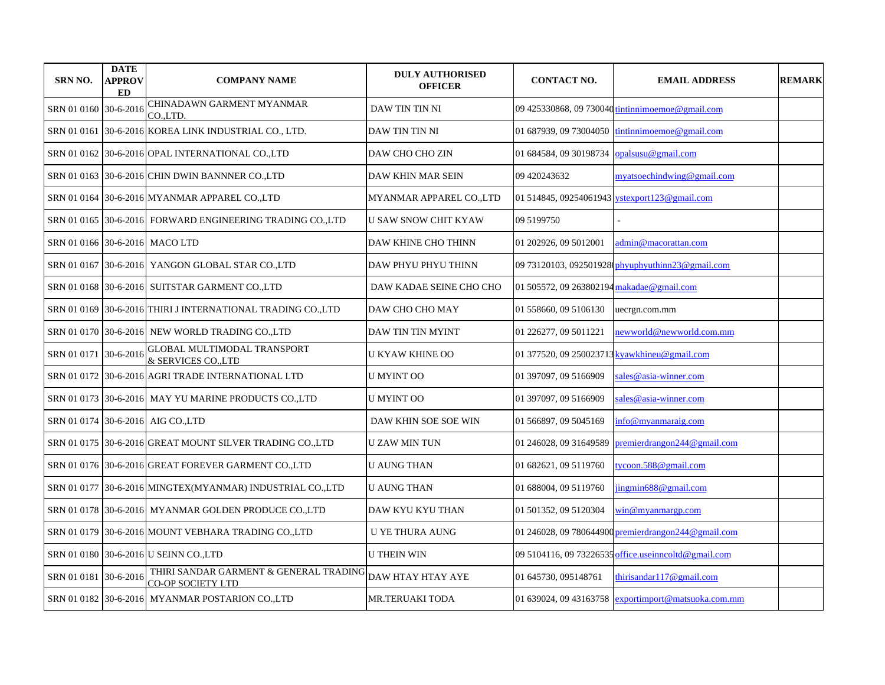| <b>SRN NO.</b>                 | <b>DATE</b><br><b>APPROV</b><br>ED | <b>COMPANY NAME</b>                                                           | <b>DULY AUTHORISED</b><br><b>OFFICER</b> | <b>CONTACT NO.</b>                           | <b>EMAIL ADDRESS</b>                                 | <b>REMARK</b> |
|--------------------------------|------------------------------------|-------------------------------------------------------------------------------|------------------------------------------|----------------------------------------------|------------------------------------------------------|---------------|
| SRN 01 0160 30-6-2016          |                                    | CHINADAWN GARMENT MYANMAR<br>CO.J.TD.                                         | DAW TIN TIN NI                           |                                              | 09 425330868, 09 730040 tintinnimoemoe@gmail.com     |               |
| SRN 01 0161                    |                                    | 30-6-2016 KOREA LINK INDUSTRIAL CO., LTD.                                     | DAW TIN TIN NI                           | 01 687939, 09 73004050                       | tintinnimoemoe@gmail.com                             |               |
|                                |                                    | SRN 01 0162 30-6-2016 OPAL INTERNATIONAL CO.,LTD                              | DAW CHO CHO ZIN                          | 01 684584, 09 30198734                       | opalsusu@gmail.com                                   |               |
|                                |                                    | SRN 01 0163 30-6-2016 CHIN DWIN BANNNER CO.,LTD                               | DAW KHIN MAR SEIN                        | 09 420243632                                 | myatsoechindwing@gmail.com                           |               |
|                                |                                    | SRN 01 0164 30-6-2016 MYANMAR APPAREL CO.,LTD                                 | MYANMAR APPAREL CO.,LTD                  |                                              | 01 514845, 09254061943 vstexport123@gmail.com        |               |
|                                |                                    | SRN 01 0165 30-6-2016 FORWARD ENGINEERING TRADING CO.,LTD                     | <b>U SAW SNOW CHIT KYAW</b>              | 09 5199750                                   |                                                      |               |
| SRN 01 0166 30-6-2016 MACO LTD |                                    |                                                                               | DAW KHINE CHO THINN                      | 01 202926, 09 5012001                        | admin@macorattan.com                                 |               |
|                                |                                    | SRN 01 0167 30-6-2016 YANGON GLOBAL STAR CO.,LTD                              | DAW PHYU PHYU THINN                      |                                              | 09 73120103, 092501928 (phyuphyuthinn23@gmail.com    |               |
|                                |                                    | SRN 01 0168 30-6-2016 SUITSTAR GARMENT CO., LTD                               | DAW KADAE SEINE CHO CHO                  | 01 505572, 09 263802194 makadae@gmail.com    |                                                      |               |
|                                |                                    | SRN 01 0169   30-6-2016   THIRI J INTERNATIONAL TRADING CO.,LTD               | DAW CHO CHO MAY                          | 01 558660, 09 5106130                        | uecrgn.com.mm                                        |               |
|                                |                                    | SRN 01 0170 30-6-2016 NEW WORLD TRADING CO., LTD                              | DAW TIN TIN MYINT                        | 01 226277, 09 5011221                        | newworld@newworld.com.mm                             |               |
| SRN 01 0171 30-6-2016          |                                    | GLOBAL MULTIMODAL TRANSPORT<br>& SERVICES COLTD                               | U KYAW KHINE OO                          | 01 377520, 09 250023713 kyawkhineu@gmail.com |                                                      |               |
|                                |                                    | SRN 01 0172  30-6-2016 AGRI TRADE INTERNATIONAL LTD                           | U MYINT OO                               | 01 397097, 09 5166909                        | sales@asia-winner.com                                |               |
|                                |                                    | SRN 01 0173 30-6-2016 MAY YU MARINE PRODUCTS CO.,LTD                          | <b>U MYINT OO</b>                        | 01 397097, 09 5166909                        | sales@asia-winner.com                                |               |
|                                |                                    | SRN 01 0174 30-6-2016 AIG CO.,LTD                                             | DAW KHIN SOE SOE WIN                     | 01 566897, 09 5045169                        | info@mvanmaraig.com                                  |               |
|                                |                                    | SRN 01 0175 30-6-2016 GREAT MOUNT SILVER TRADING CO.,LTD                      | U ZAW MIN TUN                            | 01 246028, 09 31649589                       | premierdrangon244@gmail.com                          |               |
|                                |                                    | SRN 01 0176 30-6-2016 GREAT FOREVER GARMENT CO.,LTD                           | U AUNG THAN                              | 01 682621, 09 5119760                        | tycoon.588@gmail.com                                 |               |
|                                |                                    | SRN 01 0177  30-6-2016 MINGTEX(MYANMAR) INDUSTRIAL CO.,LTD                    | <b>U AUNG THAN</b>                       | 01 688004, 09 5119760                        | jingmin688@gmail.com                                 |               |
|                                |                                    | SRN 01 0178 30-6-2016 MYANMAR GOLDEN PRODUCE CO.,LTD                          | DAW KYU KYU THAN                         | 01 501352, 09 5120304                        | win@myanmargp.com                                    |               |
|                                |                                    | SRN 01 0179 30-6-2016 MOUNT VEBHARA TRADING CO.,LTD                           | <b>U YE THURA AUNG</b>                   |                                              | 01 246028, 09 780644900 premierdrangon244@gmail.com  |               |
|                                |                                    | SRN 01 0180 30-6-2016 U SEINN CO.,LTD                                         | <b>U THEIN WIN</b>                       |                                              | 09 5104116, 09 73226535 office.useinncoltd@gmail.com |               |
| SRN 01 0181                    | $30 - 6 - 2016$                    | THIRI SANDAR GARMENT & GENERAL TRADING DAW HTAY HTAY AYE<br>CO-OP SOCIETY LTD |                                          | 01 645730, 095148761                         | thirisandar117@gmail.com                             |               |
|                                |                                    | SRN 01 0182 30-6-2016 MYANMAR POSTARION CO.,LTD                               | MR.TERUAKI TODA                          |                                              | 01 639024, 09 43163758 exportimport@matsuoka.com.mm  |               |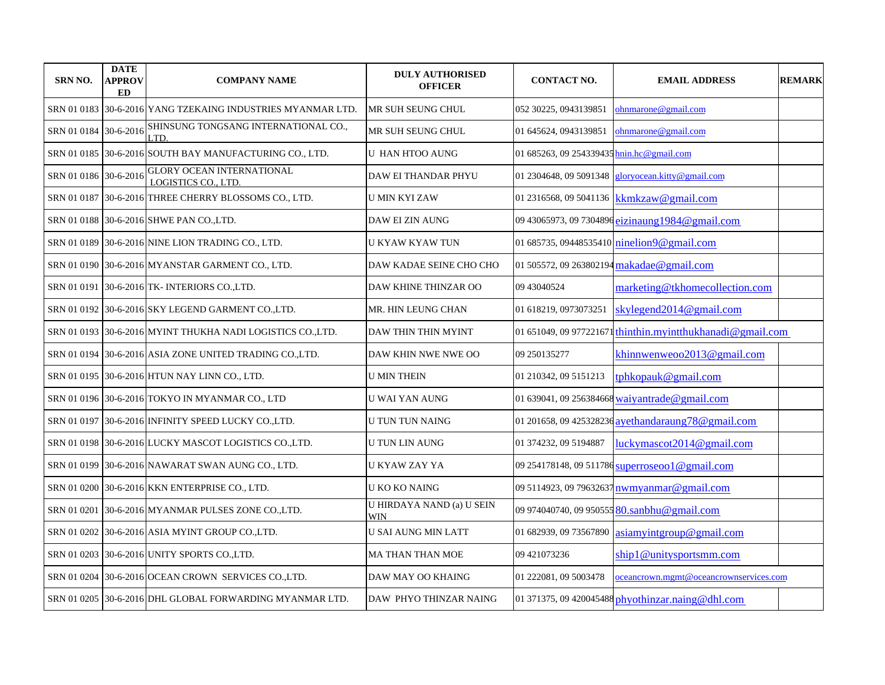| <b>SRN NO.</b>        | <b>DATE</b><br>APPROV<br><b>ED</b> | <b>COMPANY NAME</b>                                         | <b>DULY AUTHORISED</b><br><b>OFFICER</b> | <b>CONTACT NO.</b>                        | <b>EMAIL ADDRESS</b>                                       | <b>REMARK</b> |
|-----------------------|------------------------------------|-------------------------------------------------------------|------------------------------------------|-------------------------------------------|------------------------------------------------------------|---------------|
|                       |                                    | SRN 01 0183 30-6-2016 YANG TZEKAING INDUSTRIES MYANMAR LTD. | MR SUH SEUNG CHUL                        | 052 30225, 0943139851                     | ohnmarone@gmail.com                                        |               |
| SRN 01 0184 30-6-2016 |                                    | SHINSUNG TONGSANG INTERNATIONAL CO.,<br>LTD.                | MR SUH SEUNG CHUL                        | 01 645624, 0943139851                     | ohnmarone@gmail.com                                        |               |
|                       |                                    | SRN 01 0185 30-6-2016 SOUTH BAY MANUFACTURING CO., LTD.     | U HAN HTOO AUNG                          | 01 685263, 09 254339435 hnin.hc@gmail.com |                                                            |               |
| SRN 01 0186 30-6-2016 |                                    | <b>GLORY OCEAN INTERNATIONAL</b><br>LOGISTICS CO., LTD.     | DAW EI THANDAR PHYU                      | 01 2304648, 09 5091348                    | gloryocean.kitty@gmail.com                                 |               |
| SRN 01 0187           |                                    | 30-6-2016 THREE CHERRY BLOSSOMS CO., LTD.                   | <b>U MIN KYI ZAW</b>                     |                                           | 01 2316568, 09 5041136 kkmkzaw@gmail.com                   |               |
|                       |                                    | SRN 01 0188 30-6-2016 SHWE PAN CO., LTD.                    | <b>DAW EI ZIN AUNG</b>                   |                                           | 09 43065973, 09 7304896 eizinaung 1984@gmail.com           |               |
|                       |                                    | SRN 01 0189 30-6-2016 NINE LION TRADING CO., LTD.           | U KYAW KYAW TUN                          |                                           | 01 685735, 09448535410 ninelion9@gmail.com                 |               |
|                       |                                    | SRN 01 0190 30-6-2016 MYANSTAR GARMENT CO., LTD.            | DAW KADAE SEINE CHO CHO                  |                                           | 01 505572, 09 263802194 makadae@gmail.com                  |               |
| SRN 01 0191           |                                    | 30-6-2016 TK- INTERIORS CO., LTD.                           | DAW KHINE THINZAR OO                     | 09 43040524                               | marketing@tkhomecollection.com                             |               |
|                       |                                    | SRN 01 0192 30-6-2016 SKY LEGEND GARMENT CO.,LTD.           | MR. HIN LEUNG CHAN                       | 01 618219, 0973073251                     | skylegend2014@gmail.com                                    |               |
|                       |                                    | SRN 01 0193  30-6-2016 MYINT THUKHA NADI LOGISTICS CO.,LTD. | DAW THIN THIN MYINT                      |                                           | 01 651049, 09 977221671 thinthin.myintthukhanadi@gmail.com |               |
|                       |                                    | SRN 01 0194 30-6-2016 ASIA ZONE UNITED TRADING CO.,LTD.     | DAW KHIN NWE NWE OO                      | 09 250135277                              | khinnwenweoo2013@gmail.com                                 |               |
|                       |                                    | SRN 01 0195 30-6-2016 HTUN NAY LINN CO., LTD.               | U MIN THEIN                              | 01 210342, 09 5151213                     | tphkopauk@gmail.com                                        |               |
|                       |                                    | SRN 01 0196  30-6-2016 TOKYO IN MYANMAR CO., LTD            | U WAI YAN AUNG                           |                                           | 01 639041, 09 256384668 waivantrade@gmail.com              |               |
|                       |                                    | SRN 01 0197 30-6-2016 INFINITY SPEED LUCKY CO.,LTD.         | U TUN TUN NAING                          |                                           | 01 201658, 09 425328236 avethandaraung 78 @ gmail.com      |               |
|                       |                                    | SRN 01 0198 30-6-2016 LUCKY MASCOT LOGISTICS CO.,LTD.       | <b>U TUN LIN AUNG</b>                    | 01 374232, 09 5194887                     | luckymascot2014@gmail.com                                  |               |
|                       |                                    | SRN 01 0199   30-6-2016  NAWARAT SWAN AUNG CO., LTD.        | U KYAW ZAY YA                            |                                           | 09 254178148, 09 511786 superroseoo 1 @ gmail.com          |               |
|                       |                                    | SRN 01 0200 30-6-2016 KKN ENTERPRISE CO., LTD.              | U KO KO NAING                            |                                           | 09 5114923, 09 79632637 nwmyanmar@gmail.com                |               |
| SRN 01 0201           |                                    | 30-6-2016 MYANMAR PULSES ZONE CO.,LTD.                      | U HIRDAYA NAND (a) U SEIN<br>WIN         |                                           | 09 974040740, 09 950555 80.sanbhu@gmail.com                |               |
|                       |                                    | SRN 01 0202 30-6-2016 ASIA MYINT GROUP CO.,LTD.             | U SAI AUNG MIN LATT                      |                                           | 01 682939, 09 73567890 asiamyintgroup@gmail.com            |               |
|                       |                                    | SRN 01 0203 30-6-2016 UNITY SPORTS CO.,LTD.                 | <b>MA THAN THAN MOE</b>                  | 09 421073236                              | ship1@unitysportsmm.com                                    |               |
|                       |                                    | SRN 01 0204 30-6-2016 OCEAN CROWN SERVICES CO.,LTD.         | DAW MAY OO KHAING                        | 01 222081, 09 5003478                     | oceancrown.mgmt@oceancrownservices.com                     |               |
|                       |                                    | SRN 01 0205 30-6-2016 DHL GLOBAL FORWARDING MYANMAR LTD.    | DAW PHYO THINZAR NAING                   |                                           | 01 371375, 09 420045488 phyothinzar.naing@dhl.com          |               |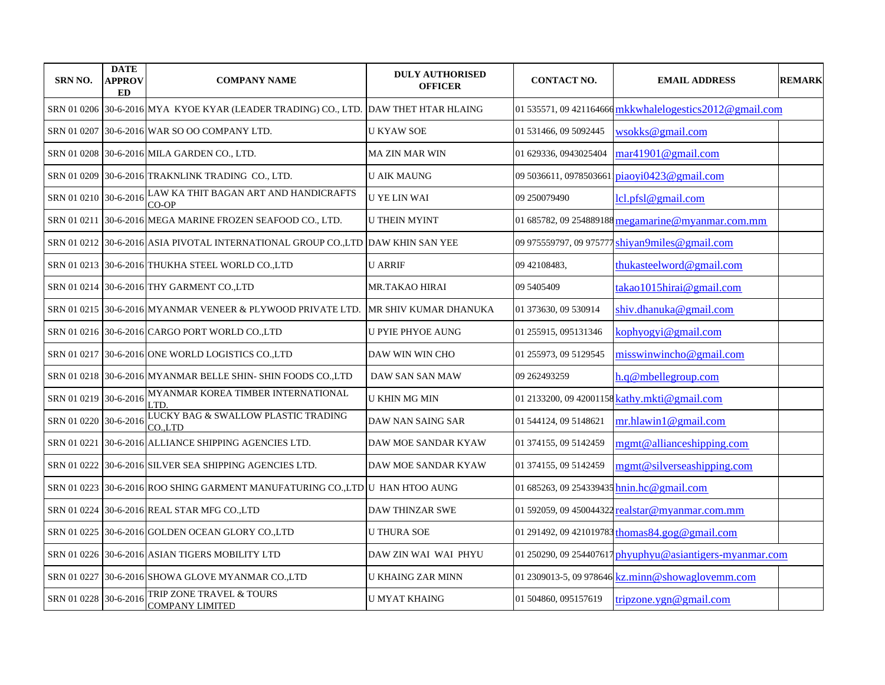| <b>SRN NO.</b>        | <b>DATE</b><br>APPROV<br><b>ED</b> | <b>COMPANY NAME</b>                                                                 | <b>DULY AUTHORISED</b><br><b>OFFICER</b> | <b>CONTACT NO.</b>                        | <b>EMAIL ADDRESS</b>                                     | <b>REMARK</b> |
|-----------------------|------------------------------------|-------------------------------------------------------------------------------------|------------------------------------------|-------------------------------------------|----------------------------------------------------------|---------------|
|                       |                                    | SRN 01 0206 30-6-2016 MYA KYOE KYAR (LEADER TRADING) CO., LTD. DAW THET HTAR HLAING |                                          |                                           | 01 535571, 09 421164666 mkkwhalelogestics 2012@gmail.com |               |
| SRN 01 0207           |                                    | 30-6-2016 WAR SO OO COMPANY LTD.                                                    | U KYAW SOE                               | 01 531466, 09 5092445                     | wsokks@gmail.com                                         |               |
|                       |                                    | SRN 01 0208 30-6-2016 MILA GARDEN CO., LTD.                                         | MA ZIN MAR WIN                           | 01 629336, 0943025404                     | mar41901@gmail.com                                       |               |
|                       |                                    | SRN 01 0209 30-6-2016 TRAKNLINK TRADING CO., LTD.                                   | <b>U AIK MAUNG</b>                       | 09 5036611, 0978503661                    | $pi$ iaoyi0423@gmail.com                                 |               |
| SRN 01 0210 30-6-2016 |                                    | LAW KA THIT BAGAN ART AND HANDICRAFTS<br>$CO-OP$                                    | <b>U YE LIN WAI</b>                      | 09 250079490                              | lcl.pfsl@gmail.com                                       |               |
| SRN 01 0211           |                                    | 30-6-2016 MEGA MARINE FROZEN SEAFOOD CO., LTD.                                      | <b>U THEIN MYINT</b>                     |                                           | 01 685782, 09 254889188 megamarine@myanmar.com.mm        |               |
|                       |                                    | SRN 01 0212   30-6-2016  ASIA PIVOTAL INTERNATIONAL GROUP CO.,LTD  DAW KHIN SAN YEE |                                          |                                           | 09 975559797, 09 975777 shiyan9miles@gmail.com           |               |
|                       |                                    | SRN 01 0213 30-6-2016 THUKHA STEEL WORLD CO.,LTD                                    | <b>U ARRIF</b>                           | 09 42108483,                              | thukasteelword@gmail.com                                 |               |
|                       |                                    | SRN 01 0214 30-6-2016 THY GARMENT CO.,LTD                                           | MR.TAKAO HIRAI                           | 09 5405409                                | takao 1015 hirai@gmail.com                               |               |
|                       |                                    | SRN 01 0215 30-6-2016 MYANMAR VENEER & PLYWOOD PRIVATE LTD.                         | MR SHIV KUMAR DHANUKA                    | 01 373630, 09 530914                      | shiv.dhanuka@gmail.com                                   |               |
|                       |                                    | SRN 01 0216 30-6-2016 CARGO PORT WORLD CO.,LTD                                      | <b>U PYIE PHYOE AUNG</b>                 | 01 255915, 095131346                      | kophyogyi@gmail.com                                      |               |
|                       |                                    | SRN 01 0217 30-6-2016 ONE WORLD LOGISTICS CO.,LTD                                   | DAW WIN WIN CHO                          | 01 255973, 09 5129545                     | misswinwincho@gmail.com                                  |               |
|                       |                                    | SRN 01 0218 30-6-2016 MYANMAR BELLE SHIN- SHIN FOODS CO.,LTD                        | DAW SAN SAN MAW                          | 09 262493259                              | h.q@mbellegroup.com                                      |               |
| SRN 01 0219 30-6-2016 |                                    | MYANMAR KOREA TIMBER INTERNATIONAL<br>LTD                                           | U KHIN MG MIN                            |                                           | 01 2133200, 09 42001158 kathy.mkti@gmail.com             |               |
| SRN 01 0220 30-6-2016 |                                    | LUCKY BAG & SWALLOW PLASTIC TRADING<br>CO.,LTD                                      | DAW NAN SAING SAR                        | 01 544124, 09 5148621                     | mr.hlawn1@gmail.com                                      |               |
|                       |                                    | SRN 01 0221 30-6-2016 ALLIANCE SHIPPING AGENCIES LTD.                               | DAW MOE SANDAR KYAW                      | 01 374155, 09 5142459                     | mgmt@allianceshipping.com                                |               |
|                       |                                    | SRN 01 0222 30-6-2016 SILVER SEA SHIPPING AGENCIES LTD.                             | DAW MOE SANDAR KYAW                      | 01 374155, 09 5142459                     | mgmt@silverseashipping.com                               |               |
|                       |                                    | SRN 01 0223  30-6-2016 ROO SHING GARMENT MANUFATURING CO.,LTD  U  HAN HTOO AUNG     |                                          | 01 685263, 09 254339435 hnin.hc@gmail.com |                                                          |               |
|                       |                                    | SRN 01 0224  30-6-2016 REAL STAR MFG CO.,LTD                                        | DAW THINZAR SWE                          |                                           | 01 592059, 09 450044322 realstar@myanmar.com.mm          |               |
|                       |                                    | SRN 01 0225 30-6-2016 GOLDEN OCEAN GLORY CO.,LTD                                    | <b>U THURA SOE</b>                       |                                           | 01 291492, 09 421019783 thomas 84.gog@gmail.com          |               |
|                       |                                    | SRN 01 0226 30-6-2016 ASIAN TIGERS MOBILITY LTD                                     | DAW ZIN WAI WAI PHYU                     |                                           | 01 250290, 09 254407617 phyuphyu@asiantigers-myanmar.com |               |
| SRN 01 0227           |                                    | 30-6-2016 SHOWA GLOVE MYANMAR CO.,LTD                                               | U KHAING ZAR MINN                        |                                           | 01 2309013-5, 09 978646 kz.minn@showaglovemm.com         |               |
| SRN 01 0228 30-6-2016 |                                    | TRIP ZONE TRAVEL & TOURS<br><b>COMPANY LIMITED</b>                                  | U MYAT KHAING                            | 01 504860, 095157619                      | tripzone.ygn@gmail.com                                   |               |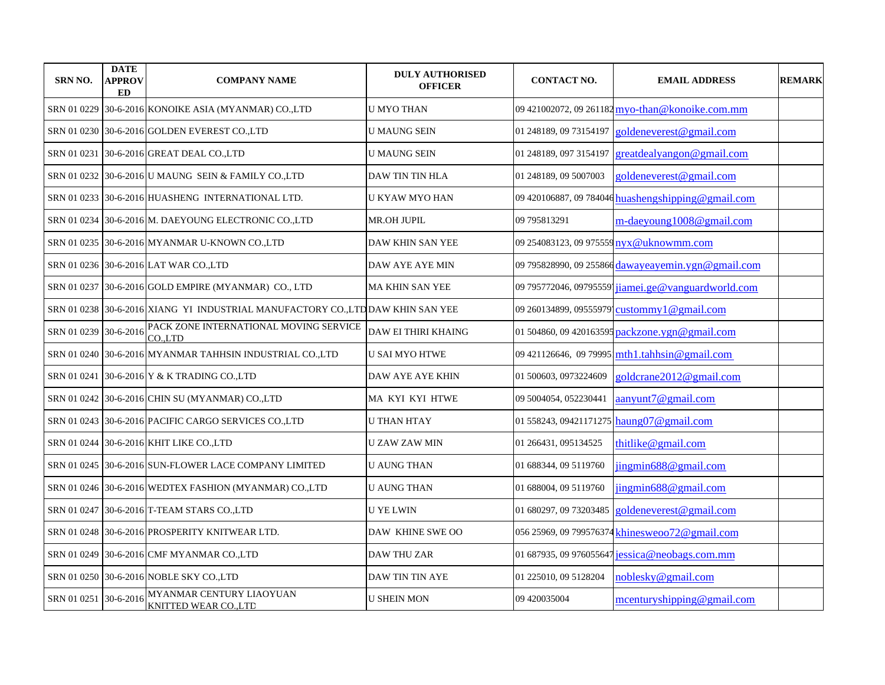| <b>SRN NO.</b>        | <b>DATE</b><br>APPROV<br><b>ED</b> | <b>COMPANY NAME</b>                                                           | <b>DULY AUTHORISED</b><br><b>OFFICER</b> | <b>CONTACT NO.</b>      | <b>EMAIL ADDRESS</b>                                | <b>REMARK</b> |
|-----------------------|------------------------------------|-------------------------------------------------------------------------------|------------------------------------------|-------------------------|-----------------------------------------------------|---------------|
|                       |                                    | SRN 01 0229 30-6-2016 KONOIKE ASIA (MYANMAR) CO.,LTD                          | <b>U MYO THAN</b>                        |                         | 09 421002072, 09 261182 myo-than@konoike.com.mm     |               |
|                       |                                    | SRN 01 0230 30-6-2016 GOLDEN EVEREST CO.,LTD                                  | U MAUNG SEIN                             | 01 248189, 09 73154197  | goldeneverest@gmail.com                             |               |
| SRN 01 0231           |                                    | 30-6-2016 GREAT DEAL CO., LTD                                                 | U MAUNG SEIN                             | 01 248189, 097 3154197  | greatdealyangon@gmail.com                           |               |
|                       |                                    | SRN 01 0232 30-6-2016 U MAUNG SEIN & FAMILY CO.,LTD                           | DAW TIN TIN HLA                          | 01 248189, 09 5007003   | goldeneverest@gmail.com                             |               |
|                       |                                    | SRN 01 0233 30-6-2016 HUASHENG INTERNATIONAL LTD.                             | U KYAW MYO HAN                           |                         | 09 420106887, 09 784046 huashengshipping @gmail.com |               |
|                       |                                    | SRN 01 0234 30-6-2016 M. DAEYOUNG ELECTRONIC CO.,LTD                          | <b>MR.OH JUPIL</b>                       | 09 795813291            | m-daeyoung1008@gmail.com                            |               |
|                       |                                    | SRN 01 0235 30-6-2016 MYANMAR U-KNOWN CO.,LTD                                 | DAW KHIN SAN YEE                         |                         | 09 254083123, 09 975559 nyx@uknowmm.com             |               |
|                       |                                    | SRN 01 0236 30-6-2016 LAT WAR CO.,LTD                                         | DAW AYE AYE MIN                          |                         | 09 795828990, 09 255866 dawayeayemin.ygn@gmail.com  |               |
| SRN 01 0237           |                                    | 30-6-2016 GOLD EMPIRE (MYANMAR) CO., LTD                                      | <b>MA KHIN SAN YEE</b>                   |                         | 09 795772046, 09795559 jiamei.ge@vanguardworld.com  |               |
|                       |                                    | SRN 01 0238 30-6-2016 XIANG YI INDUSTRIAL MANUFACTORY CO.,LTDDAW KHIN SAN YEE |                                          | 09 260134899, 09555979' | custommy1@gmail.com                                 |               |
| SRN 01 0239 30-6-2016 |                                    | PACK ZONE INTERNATIONAL MOVING SERVICE<br>CO.LTD                              | <b>DAW EI THIRI KHAING</b>               |                         | 01 504860, 09 420163595 packzone.ygn@gmail.com      |               |
|                       |                                    | SRN 01 0240 30-6-2016 MYANMAR TAHHSIN INDUSTRIAL CO.,LTD                      | <b>U SAI MYO HTWE</b>                    |                         | 09 421126646, 09 79995 mth1.tahhsin@gmail.com       |               |
| SRN 01 0241           |                                    | 30-6-2016 Y & K TRADING CO., LTD                                              | <b>DAW AYE AYE KHIN</b>                  | 01 500603, 0973224609   | goldcrane2012@gmail.com                             |               |
|                       |                                    | SRN 01 0242 30-6-2016 CHIN SU (MYANMAR) CO.,LTD                               | MA KYI KYI HTWE                          | 09 5004054, 052230441   | aanyunt7@gmail.com                                  |               |
|                       |                                    | SRN 01 0243 30-6-2016 PACIFIC CARGO SERVICES CO.,LTD                          | U THAN HTAY                              |                         | 01 558243, 09421171275 haung 07 @gmail.com          |               |
|                       |                                    | SRN 01 0244 30-6-2016 KHIT LIKE CO., LTD                                      | U ZAW ZAW MIN                            | 01 266431, 095134525    | thitlike@gmail.com                                  |               |
|                       |                                    | SRN 01 0245 30-6-2016 SUN-FLOWER LACE COMPANY LIMITED                         | U AUNG THAN                              | 01 688344, 09 5119760   | jingmin688@gmail.com                                |               |
|                       |                                    | SRN 01 0246 30-6-2016 WEDTEX FASHION (MYANMAR) CO.,LTD                        | <b>U AUNG THAN</b>                       | 01 688004, 09 5119760   | jingmin688@gmail.com                                |               |
|                       |                                    | SRN 01 0247 30-6-2016 T-TEAM STARS CO.,LTD                                    | U YE LWIN                                | 01 680297, 09 73203485  | goldeneverest@gmail.com                             |               |
|                       |                                    | SRN 01 0248 30-6-2016 PROSPERITY KNITWEAR LTD.                                | DAW KHINE SWE OO                         |                         | 056 25969, 09 799576374 khinesweoo72@gmail.com      |               |
|                       |                                    | SRN 01 0249 30-6-2016 CMF MYANMAR CO.,LTD                                     | DAW THU ZAR                              |                         | 01 687935, 09 976055647 jessica@neobags.com.mm      |               |
|                       |                                    | SRN 01 0250 30-6-2016 NOBLE SKY CO.,LTD                                       | DAW TIN TIN AYE                          | 01 225010, 09 5128204   | noblesky@gmail.com                                  |               |
| SRN 01 0251           | $30-6-2016$                        | MYANMAR CENTURY LIAOYUAN<br>KNITTED WEAR CO.,LTD                              | <b>U SHEIN MON</b>                       | 09 420035004            | mcenturyshipping@gmail.com                          |               |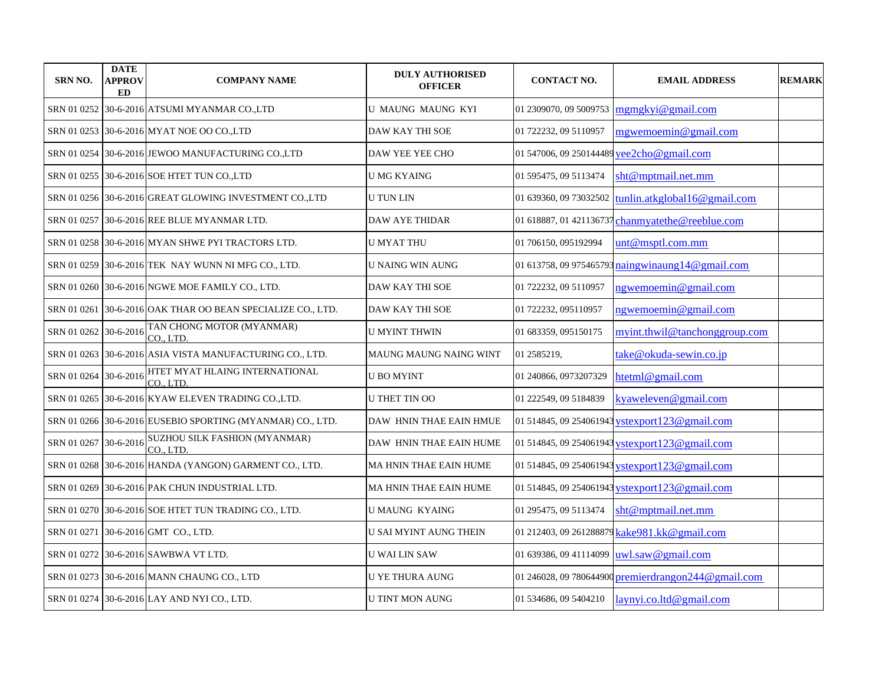| <b>SRN NO.</b>        | <b>DATE</b><br>APPROV<br>ED | <b>COMPANY NAME</b>                                        | <b>DULY AUTHORISED</b><br><b>OFFICER</b> | <b>CONTACT NO.</b>                        | <b>EMAIL ADDRESS</b>                                | <b>REMARK</b> |
|-----------------------|-----------------------------|------------------------------------------------------------|------------------------------------------|-------------------------------------------|-----------------------------------------------------|---------------|
|                       |                             | SRN 01 0252 30-6-2016 ATSUMI MYANMAR CO.,LTD               | U MAUNG MAUNG KYI                        | 01 2309070, 09 5009753                    | mgmgkyi@gmail.com                                   |               |
|                       |                             | SRN 01 0253 30-6-2016 MYAT NOE OO CO.,LTD                  | DAW KAY THI SOE                          | 01 722232, 09 5110957                     | mgwemoemin@gmail.com                                |               |
|                       |                             | SRN 01 0254 30-6-2016 JEWOO MANUFACTURING CO.,LTD          | DAW YEE YEE CHO                          | 01 547006, 09 250144489 yee2cho@gmail.com |                                                     |               |
|                       |                             | SRN 01 0255 30-6-2016 SOE HTET TUN CO.,LTD                 | <b>U MG KYAING</b>                       | 01 595475, 09 5113474                     | sht@mptmail.net.mm                                  |               |
|                       |                             | SRN 01 0256 30-6-2016 GREAT GLOWING INVESTMENT CO.,LTD     | <b>U TUN LIN</b>                         | 01 639360, 09 73032502                    | tunlin.atkglobal16@gmail.com                        |               |
| SRN 01 0257           |                             | 30-6-2016 REE BLUE MYANMAR LTD.                            | <b>DAW AYE THIDAR</b>                    | 01 618887, 01 421136737                   | chanmyatethe@reeblue.com                            |               |
|                       |                             | SRN 01 0258 30-6-2016 MYAN SHWE PYI TRACTORS LTD.          | <b>U MYAT THU</b>                        | 01 706150, 095192994                      | unt@msptl.com.mm                                    |               |
|                       |                             | SRN 01 0259 30-6-2016 TEK NAY WUNN NI MFG CO., LTD.        | <b>U NAING WIN AUNG</b>                  |                                           | 01 613758, 09 975465793 naingwinaung 14@gmail.com   |               |
|                       |                             | SRN 01 0260 30-6-2016 NGWE MOE FAMILY CO., LTD.            | DAW KAY THI SOE                          | 01 722232, 09 5110957                     | ngwemoemin@gmail.com                                |               |
| SRN 01 0261           |                             | 30-6-2016 OAK THAR OO BEAN SPECIALIZE CO., LTD.            | DAW KAY THI SOE                          | 01 722232, 095110957                      | ngwemoemin@gmail.com                                |               |
| SRN 01 0262 30-6-2016 |                             | TAN CHONG MOTOR (MYANMAR)<br>CO., LTD.                     | <b>U MYINT THWIN</b>                     | 01 683359, 095150175                      | myint.thwil@tanchonggroup.com                       |               |
|                       |                             | SRN 01 0263 30-6-2016 ASIA VISTA MANUFACTURING CO., LTD.   | MAUNG MAUNG NAING WINT                   | 01 2585219,                               | take@okuda-sewin.co.jp                              |               |
| SRN 01 0264 30-6-2016 |                             | HTET MYAT HLAING INTERNATIONAL<br>CO., LTD.                | <b>U BO MYINT</b>                        | 01 240866, 0973207329                     | htetml@gmail.com                                    |               |
|                       |                             | SRN 01 0265 30-6-2016 KYAW ELEVEN TRADING CO.,LTD.         | <b>U THET TIN OO</b>                     | 01 222549, 09 5184839                     | kyaweleven@gmail.com                                |               |
|                       |                             | SRN 01 0266 30-6-2016 EUSEBIO SPORTING (MYANMAR) CO., LTD. | DAW HNIN THAE EAIN HMUE                  |                                           | 01 514845, 09 254061943 ystexport123@gmail.com      |               |
| SRN 01 0267           | 30-6-2016                   | SUZHOU SILK FASHION (MYANMAR)<br>CO., LTD.                 | DAW HNIN THAE EAIN HUME                  |                                           | 01 514845, 09 254061943 ystexport123@gmail.com      |               |
|                       |                             | SRN 01 0268 30-6-2016 HANDA (YANGON) GARMENT CO., LTD.     | MA HNIN THAE EAIN HUME                   |                                           | 01 514845, 09 254061943 ystexport123@gmail.com      |               |
|                       |                             | SRN 01 0269 30-6-2016 PAK CHUN INDUSTRIAL LTD.             | MA HNIN THAE EAIN HUME                   |                                           | 01 514845, 09 254061943 ystexport 123@ gmail.com    |               |
|                       |                             | SRN 01 0270 30-6-2016 SOE HTET TUN TRADING CO., LTD.       | <b>UMAUNG KYAING</b>                     | 01 295475, 09 5113474                     | sht@mptmail.net.mm                                  |               |
| SRN 01 0271           |                             | $30-6-2016$ GMT CO., LTD.                                  | U SAI MYINT AUNG THEIN                   |                                           | 01 212403, 09 261288879 kake981.kk@gmail.com        |               |
|                       |                             | SRN 01 0272 30-6-2016 SAWBWA VT LTD.                       | U WAI LIN SAW                            | 01 639386, 09 41114099                    | uwl.saw@gmail.com                                   |               |
|                       |                             | SRN 01 0273 30-6-2016 MANN CHAUNG CO., LTD                 | U YE THURA AUNG                          |                                           | 01 246028, 09 780644900 premierdrangon244@gmail.com |               |
|                       |                             | SRN 01 0274 30-6-2016 LAY AND NYI CO., LTD.                | U TINT MON AUNG                          | 01 534686, 09 5404210                     | laynyi.co. Itd@gmail.com                            |               |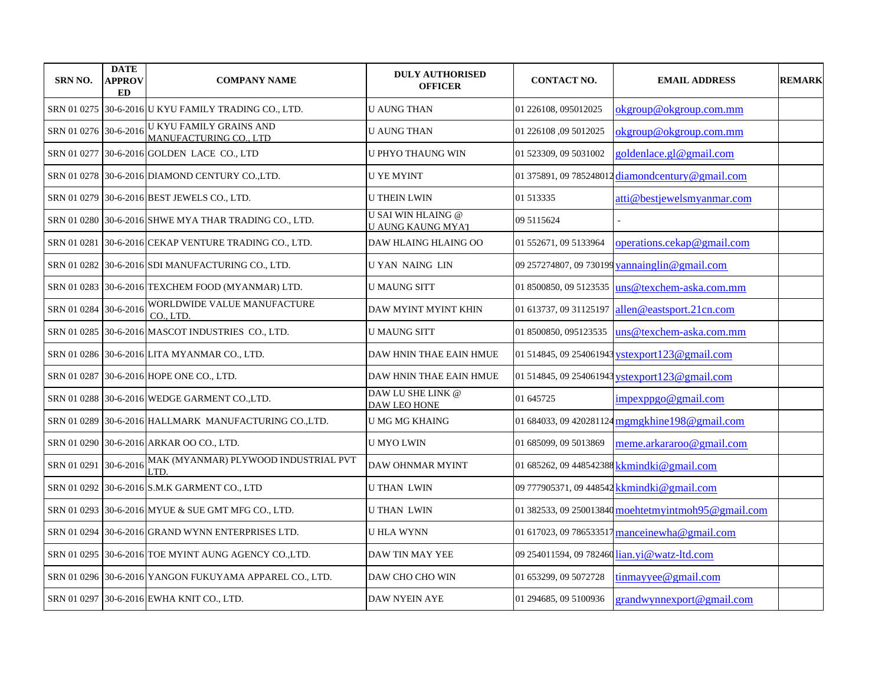| <b>SRN NO.</b>        | <b>DATE</b><br><b>APPROV</b><br>ED | <b>COMPANY NAME</b>                                      | <b>DULY AUTHORISED</b><br><b>OFFICER</b>              | <b>CONTACT NO.</b>     | <b>EMAIL ADDRESS</b>                                | <b>REMARK</b> |
|-----------------------|------------------------------------|----------------------------------------------------------|-------------------------------------------------------|------------------------|-----------------------------------------------------|---------------|
|                       |                                    | SRN 01 0275 30-6-2016 U KYU FAMILY TRADING CO., LTD.     | <b>U AUNG THAN</b>                                    | 01 226108, 095012025   | okgroup@okgroup.com.mm                              |               |
| SRN 01 0276 30-6-2016 |                                    | <b>U KYU FAMILY GRAINS AND</b><br>MANUFACTURING CO., LTD | <b>U AUNG THAN</b>                                    | 01 226108 ,09 5012025  | okgroup@okgroup.com.mm                              |               |
|                       |                                    | SRN 01 0277 30-6-2016 GOLDEN LACE CO., LTD               | <b>U PHYO THAUNG WIN</b>                              | 01 523309, 09 5031002  | goldenlace.gl@gmail.com                             |               |
|                       |                                    | SRN 01 0278 30-6-2016 DIAMOND CENTURY CO., LTD.          | <b>U YE MYINT</b>                                     |                        | 01 375891, 09 785248012 diamondcentury@gmail.com    |               |
|                       |                                    | SRN 01 0279 30-6-2016 BEST JEWELS CO., LTD.              | <b>U THEIN LWIN</b>                                   | 01 513335              | atti@bestjewelsmyanmar.com                          |               |
|                       |                                    | SRN 01 0280 30-6-2016 SHWE MYA THAR TRADING CO., LTD.    | <b>U SAI WIN HLAING @</b><br><b>U AUNG KAUNG MYAT</b> | 09 5115624             |                                                     |               |
|                       |                                    | SRN 01 0281 30-6-2016 CEKAP VENTURE TRADING CO., LTD.    | DAW HLAING HLAING OO                                  | 01 552671, 09 5133964  | operations.cekap@gmail.com                          |               |
|                       |                                    | SRN 01 0282 30-6-2016 SDI MANUFACTURING CO., LTD.        | <b>U YAN NAING LIN</b>                                |                        | 09 257274807, 09 730199 vannainglin@gmail.com       |               |
|                       |                                    | SRN 01 0283 30-6-2016 TEXCHEM FOOD (MYANMAR) LTD.        | <b>U MAUNG SITT</b>                                   |                        | 01 8500850, 09 5123535 uns @texchem-aska.com.mm     |               |
| SRN 01 0284 30-6-2016 |                                    | WORLDWIDE VALUE MANUFACTURE<br>CO., LTD.                 | DAW MYINT MYINT KHIN                                  | 01 613737, 09 31125197 | allen@eastsport.21cn.com                            |               |
|                       |                                    | SRN 01 0285 30-6-2016 MASCOT INDUSTRIES CO., LTD.        | U MAUNG SITT                                          | 01 8500850, 095123535  | uns@texchem-aska.com.mm                             |               |
|                       |                                    | SRN 01 0286 30-6-2016 LITA MYANMAR CO., LTD.             | DAW HNIN THAE EAIN HMUE                               |                        | 01 514845, 09 254061943 ystexport123@gmail.com      |               |
|                       |                                    | SRN 01 0287 30-6-2016 HOPE ONE CO., LTD.                 | DAW HNIN THAE EAIN HMUE                               |                        | 01 514845, 09 254061943 ystexport123@gmail.com      |               |
|                       |                                    | SRN 01 0288 30-6-2016 WEDGE GARMENT CO.,LTD.             | DAW LU SHE LINK @<br>DAW LEO HONE                     | 01 645725              | impexppgo@gmail.com                                 |               |
|                       |                                    | SRN 01 0289 30-6-2016 HALLMARK MANUFACTURING CO.,LTD.    | <b>U MG MG KHAING</b>                                 |                        | 01 684033, 09 420281124 mgmgkhine 198@gmail.com     |               |
|                       |                                    | SRN 01 0290 30-6-2016 ARKAR OO CO., LTD.                 | <b>U MYO LWIN</b>                                     | 01 685099, 09 5013869  | meme.arkararoo@gmail.com                            |               |
| SRN 01 0291 30-6-2016 |                                    | MAK (MYANMAR) PLYWOOD INDUSTRIAL PVT<br>LTD.             | DAW OHNMAR MYINT                                      |                        | 01 685262, 09 448542388 kkmindki@gmail.com          |               |
|                       |                                    | SRN 01 0292 30-6-2016 S.M.K GARMENT CO., LTD             | U THAN LWIN                                           |                        | 09 777905371, 09 448542 kkmindki@gmail.com          |               |
|                       |                                    | SRN 01 0293 30-6-2016 MYUE & SUE GMT MFG CO., LTD.       | <b>UTHAN LWIN</b>                                     |                        | 01 382533, 09 250013840 moehtetmyintmoh95@gmail.com |               |
|                       |                                    | SRN 01 0294 30-6-2016 GRAND WYNN ENTERPRISES LTD.        | <b>U HLA WYNN</b>                                     |                        | 01 617023, 09 786533517 manceinewha@gmail.com       |               |
|                       |                                    | SRN 01 0295 30-6-2016 TOE MYINT AUNG AGENCY CO.,LTD.     | DAW TIN MAY YEE                                       |                        | 09 254011594, 09 782460 lian.yi@watz-ltd.com        |               |
|                       |                                    | SRN 01 0296 30-6-2016 YANGON FUKUYAMA APPAREL CO., LTD.  | DAW CHO CHO WIN                                       | 01 653299, 09 5072728  | $t$ inmayyee@gmail.com                              |               |
|                       |                                    | SRN 01 0297 30-6-2016 EWHA KNIT CO., LTD.                | <b>DAW NYEIN AYE</b>                                  | 01 294685, 09 5100936  | grandwynnexport@gmail.com                           |               |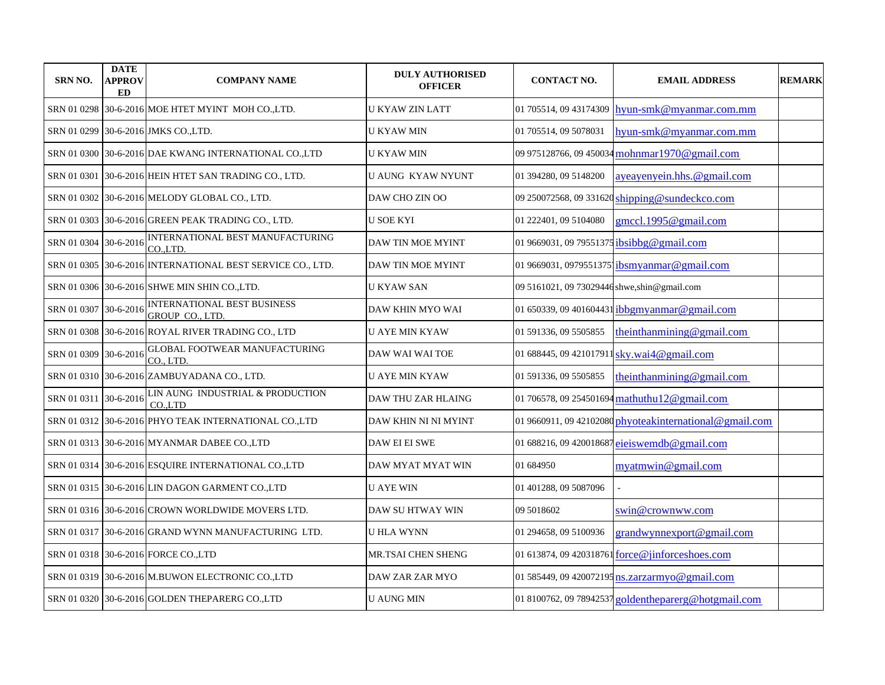| <b>SRN NO.</b>        | <b>DATE</b><br><b>APPROV</b><br><b>ED</b> | <b>COMPANY NAME</b>                                        | <b>DULY AUTHORISED</b><br><b>OFFICER</b> | <b>CONTACT NO.</b>                               | <b>EMAIL ADDRESS</b>                                    | <b>REMARK</b> |
|-----------------------|-------------------------------------------|------------------------------------------------------------|------------------------------------------|--------------------------------------------------|---------------------------------------------------------|---------------|
| SRN 01 0298           |                                           | 30-6-2016 MOE HTET MYINT MOH CO.,LTD.                      | <b>U KYAW ZIN LATT</b>                   |                                                  | 01 705514, 09 43174309 hyun-smk@myanmar.com.mm          |               |
|                       |                                           | SRN 01 0299 30-6-2016 JMKS CO., LTD.                       | <b>U KYAW MIN</b>                        | 01 705514, 09 5078031                            | hyun-smk@myanmar.com.mm                                 |               |
| SRN 01 0300           |                                           | 30-6-2016 DAE KWANG INTERNATIONAL CO.,LTD                  | <b>U KYAW MIN</b>                        |                                                  | 09 975128766, 09 450034 mohnmar1970@gmail.com           |               |
| SRN 01 0301           |                                           | 30-6-2016 HEIN HTET SAN TRADING CO., LTD.                  | <b>U AUNG KYAW NYUNT</b>                 | 01 394280, 09 5148200                            | ayeayenyein.hhs.@gmail.com                              |               |
| SRN 01 0302           |                                           | 30-6-2016 MELODY GLOBAL CO., LTD.                          | DAW CHO ZIN OO                           |                                                  | 09 250072568, 09 331620 shipping@sundeckco.com          |               |
| SRN 01 0303           |                                           | 30-6-2016 GREEN PEAK TRADING CO., LTD.                     | <b>U SOE KYI</b>                         | 01 222401, 09 5104080                            | gmccl.1995@gmail.com                                    |               |
| SRN 01 0304           | 30-6-2016                                 | INTERNATIONAL BEST MANUFACTURING<br>CO.LTD.                | <b>DAW TIN MOE MYINT</b>                 | 01 9669031, 09 79551375 <i>ibsibbg@gmail.com</i> |                                                         |               |
|                       |                                           | SRN 01 0305 30-6-2016 INTERNATIONAL BEST SERVICE CO., LTD. | DAW TIN MOE MYINT                        |                                                  | 01 9669031, 0979551375 ibsmyanmar@gmail.com             |               |
|                       |                                           | SRN 01 0306 30-6-2016 SHWE MIN SHIN CO.,LTD.               | <b>U KYAW SAN</b>                        | 09 5161021, 09 73029446 shwe, shin@gmail.com     |                                                         |               |
| SRN 01 0307           | 30-6-2016                                 | INTERNATIONAL BEST BUSINESS<br><b>GROUP CO., LTD.</b>      | DAW KHIN MYO WAI                         |                                                  | 01 650339, 09 401604431 ibbgmyanmar@gmail.com           |               |
|                       |                                           | SRN 01 0308 30-6-2016 ROYAL RIVER TRADING CO., LTD         | <b>U AYE MIN KYAW</b>                    | 01 591336, 09 5505855                            | theinthanmining@gmail.com                               |               |
| SRN 01 0309           | 30-6-2016                                 | <b>GLOBAL FOOTWEAR MANUFACTURING</b><br>CO., LTD.          | DAW WAI WAI TOE                          |                                                  | 01 688445, 09 421017911 sky.wai4@gmail.com              |               |
|                       |                                           | SRN 01 0310 30-6-2016 ZAMBUYADANA CO., LTD.                | <b>U AYE MIN KYAW</b>                    | 01 591336, 09 5505855                            | theinthanmining@gmail.com                               |               |
| SRN 01 0311 30-6-2016 |                                           | LIN AUNG INDUSTRIAL & PRODUCTION<br>CO.LTD                 | DAW THU ZAR HLAING                       |                                                  | 01 706578, 09 254501694 mathuthu12@gmail.com            |               |
|                       |                                           | SRN 01 0312 30-6-2016 PHYO TEAK INTERNATIONAL CO.,LTD      | DAW KHIN NI NI MYINT                     |                                                  | 01 9660911, 09 42102080 phyoteakinternational@gmail.com |               |
|                       |                                           | SRN 01 0313 30-6-2016 MYANMAR DABEE CO.,LTD                | DAW EI EI SWE                            |                                                  | 01 688216, 09 420018687 ejeiswemdb@gmail.com            |               |
|                       |                                           | SRN 01 0314 30-6-2016 ESQUIRE INTERNATIONAL CO.,LTD        | DAW MYAT MYAT WIN                        | 01 684950                                        | myatmwin@gmail.com                                      |               |
|                       |                                           | SRN 01 0315 30-6-2016 LIN DAGON GARMENT CO., LTD           | <b>U AYE WIN</b>                         | 01 401288, 09 5087096                            |                                                         |               |
|                       |                                           | SRN 01 0316  30-6-2016 CROWN WORLDWIDE MOVERS LTD.         | DAW SU HTWAY WIN                         | 09 5018602                                       | swin@crownww.com                                        |               |
| SRN 01 0317           |                                           | 30-6-2016 GRAND WYNN MANUFACTURING LTD.                    | <b>U HLA WYNN</b>                        | 01 294658, 09 5100936                            | grandwynnexport@gmail.com                               |               |
|                       |                                           | SRN 01 0318 30-6-2016 FORCE CO.,LTD                        | MR.TSAI CHEN SHENG                       |                                                  | 01 613874, 09 420318761 force@jinforceshoes.com         |               |
|                       |                                           | SRN 01 0319 30-6-2016 M.BUWON ELECTRONIC CO.,LTD           | DAW ZAR ZAR MYO                          |                                                  | 01 585449, 09 420072195 ns.zarzarmyo@gmail.com          |               |
|                       |                                           | SRN 01 0320 30-6-2016 GOLDEN THEPARERG CO., LTD            | <b>U AUNG MIN</b>                        |                                                  | 01 8100762, 09 78942537 goldentheparerg@hotgmail.com    |               |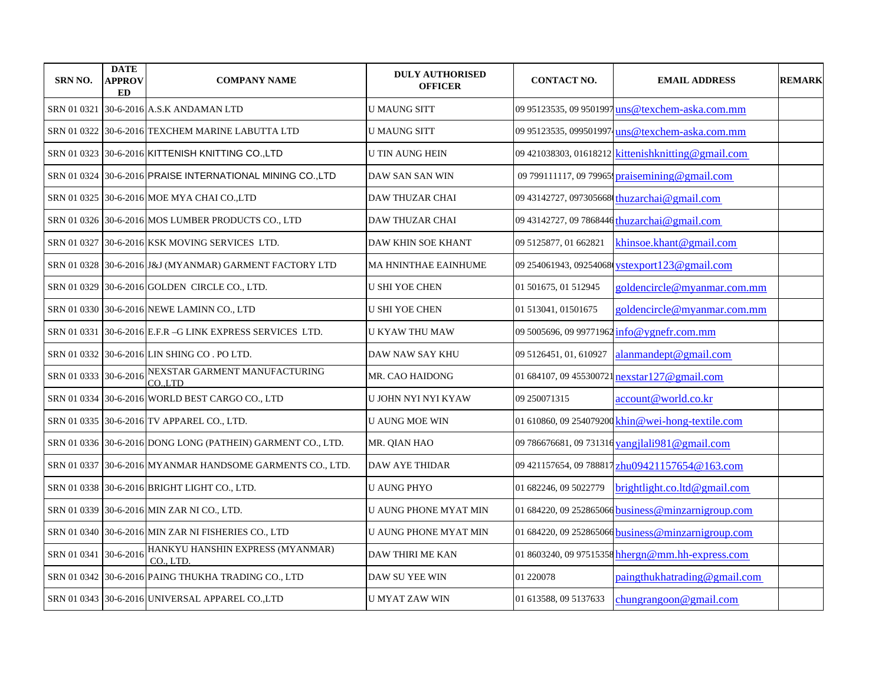| <b>SRN NO.</b>        | <b>DATE</b><br>APPROV<br>ED | <b>COMPANY NAME</b>                                         | <b>DULY AUTHORISED</b><br><b>OFFICER</b> | <b>CONTACT NO.</b>     | <b>EMAIL ADDRESS</b>                                | <b>REMARK</b> |
|-----------------------|-----------------------------|-------------------------------------------------------------|------------------------------------------|------------------------|-----------------------------------------------------|---------------|
| SRN 01 0321           |                             | 30-6-2016 A.S.K ANDAMAN LTD                                 | <b>U MAUNG SITT</b>                      |                        | 09 95123535, 09 9501997 uns @texchem-aska.com.mm    |               |
|                       |                             | SRN 01 0322 30-6-2016 TEXCHEM MARINE LABUTTA LTD            | <b>U MAUNG SITT</b>                      |                        | 09 95123535, 0995019974 uns @texchem-aska.com.mm    |               |
|                       |                             | SRN 01 0323 30-6-2016 KITTENISH KNITTING CO., LTD           | U TIN AUNG HEIN                          |                        | 09 421038303, 01618212 kittenishknitting @gmail.com |               |
|                       |                             | SRN 01 0324 30-6-2016 PRAISE INTERNATIONAL MINING CO., LTD  | DAW SAN SAN WIN                          |                        | 09 799111117, 09 79965 praisemining@gmail.com       |               |
|                       |                             | SRN 01 0325 30-6-2016 MOE MYA CHAI CO.,LTD                  | <b>DAW THUZAR CHAI</b>                   |                        | 09 43142727, 097305668 thuzarchai@gmail.com         |               |
|                       |                             | SRN 01 0326 30-6-2016 MOS LUMBER PRODUCTS CO., LTD          | <b>DAW THUZAR CHAI</b>                   |                        | 09 43142727, 09 7868446 thuzarchai@gmail.com        |               |
| SRN 01 0327           |                             | 30-6-2016 KSK MOVING SERVICES LTD.                          | DAW KHIN SOE KHANT                       | 09 5125877, 01 662821  | khinsoe.khant@gmail.com                             |               |
|                       |                             | SRN 01 0328 30-6-2016 J&J (MYANMAR) GARMENT FACTORY LTD     | MA HNINTHAE EAINHUME                     |                        | 09 254061943, 09254068 ystexport123@gmail.com       |               |
|                       |                             | SRN 01 0329 30-6-2016 GOLDEN CIRCLE CO., LTD.               | <b>U SHI YOE CHEN</b>                    | 01 501675, 01 512945   | goldencircle@myanmar.com.mm                         |               |
|                       |                             | SRN 01 0330 30-6-2016 NEWE LAMINN CO., LTD                  | <b>U SHI YOE CHEN</b>                    | 01 513041, 01501675    | goldencircle@myanmar.com.mm                         |               |
|                       |                             | SRN 01 0331 30-6-2016 E.F.R -G LINK EXPRESS SERVICES LTD.   | U KYAW THU MAW                           |                        | 09 5005696, 09 99771962 info@ygnefr.com.mm          |               |
|                       |                             | SRN 01 0332 30-6-2016 LIN SHING CO. PO LTD.                 | DAW NAW SAY KHU                          | 09 5126451, 01, 610927 | alanmandept@gmail.com                               |               |
| SRN 01 0333 30-6-2016 |                             | NEXSTAR GARMENT MANUFACTURING<br>CO.LTD                     | MR. CAO HAIDONG                          |                        | 01 684107, 09 455300721 nexstar127@gmail.com        |               |
|                       |                             | SRN 01 0334   30-6-2016   WORLD BEST CARGO CO., LTD         | U JOHN NYI NYI KYAW                      | 09 250071315           | account@world.co.kr                                 |               |
|                       |                             | SRN 01 0335 30-6-2016 TV APPAREL CO., LTD.                  | <b>U AUNG MOE WIN</b>                    |                        | 01 610860, 09 254079200 khin@wei-hong-textile.com   |               |
|                       |                             | SRN 01 0336 30-6-2016 DONG LONG (PATHEIN) GARMENT CO., LTD. | MR. QIAN HAO                             |                        | 09 786676681, 09 731316 yangjlali 981@gmail.com     |               |
|                       |                             | SRN 01 0337 30-6-2016 MYANMAR HANDSOME GARMENTS CO., LTD.   | <b>DAW AYE THIDAR</b>                    |                        | 09 421157654, 09 788817 zhu09421157654@163.com      |               |
|                       |                             | SRN 01 0338 30-6-2016 BRIGHT LIGHT CO., LTD.                | <b>U AUNG PHYO</b>                       | 01 682246, 09 5022779  | brightlight.co.ltd@gmail.com                        |               |
|                       |                             | SRN 01 0339 30-6-2016 MIN ZAR NI CO., LTD.                  | U AUNG PHONE MYAT MIN                    |                        | 01 684220, 09 252865066 business@minzarnigroup.com  |               |
|                       |                             | SRN 01 0340 30-6-2016 MIN ZAR NI FISHERIES CO., LTD         | U AUNG PHONE MYAT MIN                    |                        | 01 684220, 09 252865066 business@minzarnigroup.com  |               |
| SRN 01 0341           | $30 - 6 - 2016$             | HANKYU HANSHIN EXPRESS (MYANMAR)<br>CO., LTD.               | <b>DAW THIRI ME KAN</b>                  |                        | 01 8603240, 09 97515358 hhergn@mm.hh-express.com    |               |
|                       |                             | SRN 01 0342 30-6-2016 PAING THUKHA TRADING CO., LTD         | DAW SU YEE WIN                           | 01 220078              | paingthukhatrading@gmail.com                        |               |
|                       |                             | SRN 01 0343 30-6-2016 UNIVERSAL APPAREL CO.,LTD             | <b>U MYAT ZAW WIN</b>                    | 01 613588, 09 5137633  | chungrange on @ gmail.com                           |               |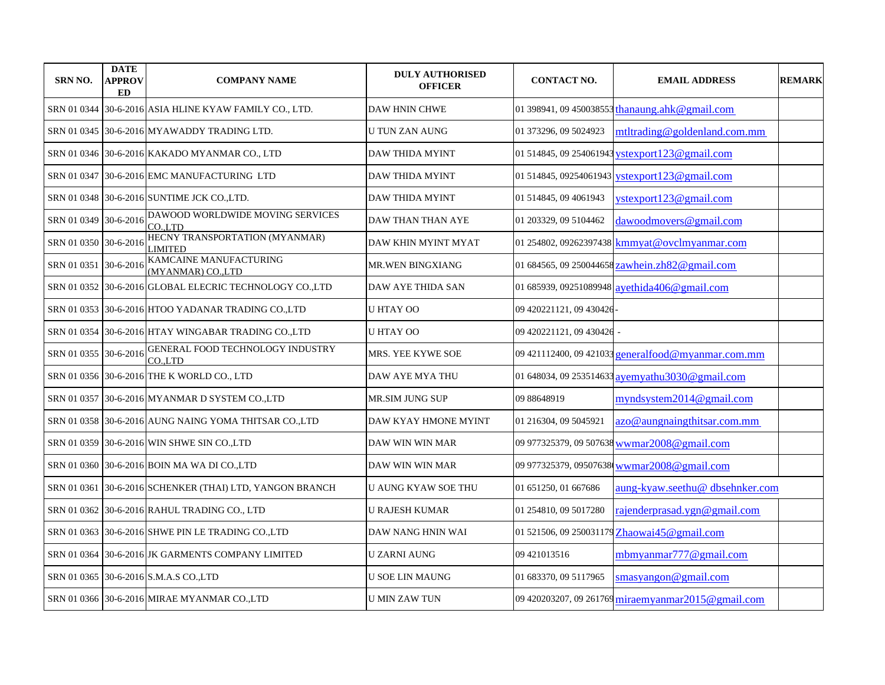| <b>SRN NO.</b>        | <b>DATE</b><br><b>APPROV</b><br>ED | <b>COMPANY NAME</b>                                     | <b>DULY AUTHORISED</b><br><b>OFFICER</b> | <b>CONTACT NO.</b>      | <b>EMAIL ADDRESS</b>                               | <b>REMARK</b> |
|-----------------------|------------------------------------|---------------------------------------------------------|------------------------------------------|-------------------------|----------------------------------------------------|---------------|
|                       |                                    | SRN 01 0344 30-6-2016 ASIA HLINE KYAW FAMILY CO., LTD.  | <b>DAW HNIN CHWE</b>                     |                         | 01 398941, 09 450038553 thanaung.ahk@gmail.com     |               |
|                       |                                    | SRN 01 0345 30-6-2016 MYAWADDY TRADING LTD.             | U TUN ZAN AUNG                           | 01 373296, 09 5024923   | mtltrading@goldenland.com.mm                       |               |
|                       |                                    | SRN 01 0346 30-6-2016 KAKADO MYANMAR CO., LTD           | DAW THIDA MYINT                          |                         | 01 514845, 09 254061943 ystexport123@gmail.com     |               |
| SRN 01 0347           |                                    | 30-6-2016 EMC MANUFACTURING LTD                         | DAW THIDA MYINT                          |                         | 01 514845, 09254061943 vstexport123@gmail.com      |               |
|                       |                                    | SRN 01 0348 30-6-2016 SUNTIME JCK CO.,LTD.              | <b>DAW THIDA MYINT</b>                   | 01 514845, 09 4061943   | ystexport123@gmail.com                             |               |
| SRN 01 0349           | 30-6-2016                          | DAWOOD WORLDWIDE MOVING SERVICES<br>CO.LTD              | DAW THAN THAN AYE                        | 01 203329, 09 5104462   | dawoodmovers@gmail.com                             |               |
| SRN 01 0350 30-6-2016 |                                    | HECNY TRANSPORTATION (MYANMAR)<br>LIMITED               | DAW KHIN MYINT MYAT                      |                         | 01 254802, 09262397438 kmmyat@ovclmyanmar.com      |               |
| SRN 01 0351           | 30-6-2016                          | KAMCAINE MANUFACTURING<br>(MYANMAR) CO.,LTD             | MR.WEN BINGXIANG                         |                         | 01 684565, 09 250044658 zawhein.zh82@gmail.com     |               |
|                       |                                    | SRN 01 0352 30-6-2016 GLOBAL ELECRIC TECHNOLOGY CO.,LTD | DAW AYE THIDA SAN                        |                         | 01 685939, 09251089948 ayethida406@gmail.com       |               |
|                       |                                    | SRN 01 0353 30-6-2016 HTOO YADANAR TRADING CO.,LTD      | U HTAY OO                                | 09 420221121, 09 430426 |                                                    |               |
|                       |                                    | SRN 01 0354 30-6-2016 HTAY WINGABAR TRADING CO.,LTD     | <b>U HTAY OO</b>                         | 09 420221121, 09 430426 |                                                    |               |
| SRN 01 0355 30-6-2016 |                                    | GENERAL FOOD TECHNOLOGY INDUSTRY<br>CO.LTD              | MRS. YEE KYWE SOE                        |                         | 09 421112400, 09 421033 generalfood@myanmar.com.mm |               |
|                       |                                    | SRN 01 0356 30-6-2016 THE K WORLD CO., LTD              | DAW AYE MYA THU                          |                         | 01 648034, 09 253514633 ayemyathu3030@gmail.com    |               |
|                       |                                    | SRN 01 0357 30-6-2016 MYANMAR D SYSTEM CO., LTD         | MR.SIM JUNG SUP                          | 09 88648919             | myndsystem2014@gmail.com                           |               |
|                       |                                    | SRN 01 0358 30-6-2016 AUNG NAING YOMA THITSAR CO.,LTD   | DAW KYAY HMONE MYINT                     | 01 216304, 09 5045921   | azo@aungnaingthitsar.com.mm                        |               |
|                       |                                    | SRN 01 0359 30-6-2016 WIN SHWE SIN CO.,LTD              | DAW WIN WIN MAR                          |                         | 09 977325379, 09 507638 wwmar2008@gmail.com        |               |
|                       |                                    | SRN 01 0360 30-6-2016 BOIN MA WA DI CO.,LTD             | DAW WIN WIN MAR                          |                         | 09 977325379, 09507638 wwmar2008@gmail.com         |               |
| SRN 01 0361           |                                    | 30-6-2016 SCHENKER (THAI) LTD, YANGON BRANCH            | U AUNG KYAW SOE THU                      | 01 651250, 01 667686    | aung-kyaw.seethu@dbsehnker.com                     |               |
|                       |                                    | SRN 01 0362 30-6-2016 RAHUL TRADING CO., LTD            | <b>U RAJESH KUMAR</b>                    | 01 254810, 09 5017280   | rajenderprasad.ygn@gmail.com                       |               |
|                       |                                    | SRN 01 0363 30-6-2016 SHWE PIN LE TRADING CO.,LTD       | DAW NANG HNIN WAI                        |                         | 01 521506, 09 250031179 Zhaowai45@gmail.com        |               |
|                       |                                    | SRN 01 0364   30-6-2016 JK GARMENTS COMPANY LIMITED     | U ZARNI AUNG                             | 09 421013516            | mbmyanmar777@gmail.com                             |               |
|                       |                                    | SRN 01 0365 30-6-2016 S.M.A.S CO.,LTD                   | U SOE LIN MAUNG                          | 01 683370, 09 5117965   | smasyangon@gmail.com                               |               |
|                       |                                    | SRN 01 0366 30-6-2016 MIRAE MYANMAR CO.,LTD             | <b>U MIN ZAW TUN</b>                     |                         | 09 420203207, 09 261769 miraemyanmar2015@gmail.com |               |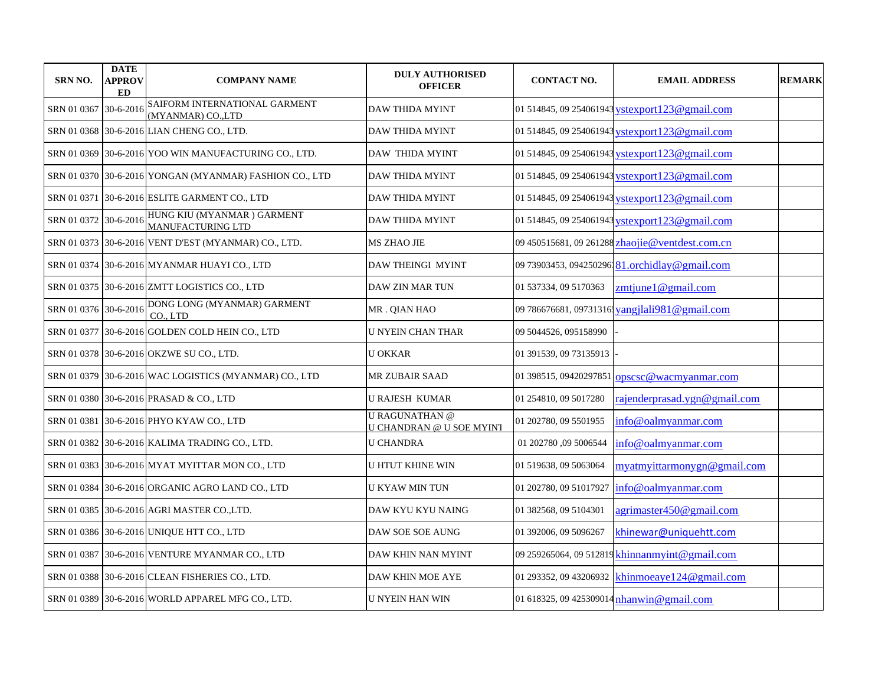| <b>SRN NO.</b>        | <b>DATE</b><br>APPROV<br>ED | <b>COMPANY NAME</b>                                     | <b>DULY AUTHORISED</b><br><b>OFFICER</b>                 | <b>CONTACT NO.</b>     | <b>EMAIL ADDRESS</b>                            | <b>REMARK</b> |
|-----------------------|-----------------------------|---------------------------------------------------------|----------------------------------------------------------|------------------------|-------------------------------------------------|---------------|
| SRN 01 0367           | 30-6-2016                   | SAIFORM INTERNATIONAL GARMENT<br>(MYANMAR) CO.,LTD      | <b>DAW THIDA MYINT</b>                                   |                        | 01 514845, 09 254061943 ystexport123@gmail.com  |               |
|                       |                             | SRN 01 0368 30-6-2016 LIAN CHENG CO., LTD.              | DAW THIDA MYINT                                          |                        | 01 514845, 09 254061943 vstexport 123@gmail.com |               |
| SRN 01 0369           |                             | 30-6-2016 YOO WIN MANUFACTURING CO., LTD.               | <b>DAW THIDA MYINT</b>                                   |                        | 01 514845, 09 254061943 ystexport 123@gmail.com |               |
|                       |                             | SRN 01 0370 30-6-2016 YONGAN (MYANMAR) FASHION CO., LTD | <b>DAW THIDA MYINT</b>                                   |                        | 01 514845, 09 254061943 ystexport123@gmail.com  |               |
| SRN 01 0371           |                             | 30-6-2016 ESLITE GARMENT CO., LTD                       | <b>DAW THIDA MYINT</b>                                   |                        | 01 514845, 09 254061943 ystexport123@gmail.com  |               |
| SRN 01 0372 30-6-2016 |                             | HUNG KIU (MYANMAR) GARMENT<br><b>MANUFACTURING LTD</b>  | <b>DAW THIDA MYINT</b>                                   |                        | 01 514845, 09 254061943 ystexport 123@gmail.com |               |
| SRN 01 0373           |                             | 30-6-2016 VENT D'EST (MYANMAR) CO., LTD.                | MS ZHAO JIE                                              |                        | 09 450515681, 09 261288 zhaojie@ventdest.com.cn |               |
|                       |                             | SRN 01 0374 30-6-2016 MYANMAR HUAYI CO., LTD            | DAW THEINGI MYINT                                        |                        | 09 73903453, 094250296 81.orchidlay@gmail.com   |               |
|                       |                             | SRN 01 0375 30-6-2016 ZMTT LOGISTICS CO., LTD           | DAW ZIN MAR TUN                                          | 01 537334, 09 5170363  | zmtjunel@gmail.com                              |               |
| SRN 01 0376 30-6-2016 |                             | DONG LONG (MYANMAR) GARMENT<br>CO., LTD                 | MR. QIAN HAO                                             |                        | 09 786676681, 09731316 vangjlali 981@gmail.com  |               |
|                       |                             | SRN 01 0377 30-6-2016 GOLDEN COLD HEIN CO., LTD         | <b>U NYEIN CHAN THAR</b>                                 | 09 5044526, 095158990  |                                                 |               |
|                       |                             | SRN 01 0378 30-6-2016 OKZWE SU CO., LTD.                | <b>U OKKAR</b>                                           | 01 391539, 09 73135913 |                                                 |               |
|                       |                             | SRN 01 0379 30-6-2016 WAC LOGISTICS (MYANMAR) CO., LTD  | MR ZUBAIR SAAD                                           | 01 398515, 09420297851 | opscsc@wacmyanmar.com                           |               |
|                       |                             | SRN 01 0380 30-6-2016 PRASAD & CO., LTD                 | <b>U RAJESH KUMAR</b>                                    | 01 254810, 09 5017280  | raienderprasad.vgn@gmail.com                    |               |
| SRN 01 0381           |                             | 30-6-2016 PHYO KYAW CO., LTD                            | <b>U RAGUNATHAN</b> @<br><b>U CHANDRAN @ U SOE MYINT</b> | 01 202780, 09 5501955  | info@oalmyanmar.com                             |               |
|                       |                             | SRN 01 0382 30-6-2016 KALIMA TRADING CO., LTD.          | <b>U CHANDRA</b>                                         | 01 202780 ,09 5006544  | info@oalmyanmar.com                             |               |
|                       |                             | SRN 01 0383   30-6-2016 MYAT MYITTAR MON CO., LTD       | U HTUT KHINE WIN                                         | 01 519638, 09 5063064  | myatmyittarmonygn@gmail.com                     |               |
|                       |                             | SRN 01 0384 30-6-2016 ORGANIC AGRO LAND CO., LTD        | U KYAW MIN TUN                                           | 01 202780, 09 51017927 | info@oalmyanmar.com                             |               |
|                       |                             | SRN 01 0385 30-6-2016 AGRI MASTER CO.,LTD.              | DAW KYU KYU NAING                                        | 01 382568, 09 5104301  | agrimaster450@gmail.com                         |               |
|                       |                             | SRN 01 0386 30-6-2016 UNIQUE HTT CO., LTD               | DAW SOE SOE AUNG                                         | 01 392006, 09 5096267  | khinewar@uniquehtt.com                          |               |
|                       |                             | SRN 01 0387 30-6-2016 VENTURE MYANMAR CO., LTD          | DAW KHIN NAN MYINT                                       |                        | 09 259265064, 09 512819 khinnanmyint@gmail.com  |               |
|                       |                             | SRN 01 0388 30-6-2016 CLEAN FISHERIES CO., LTD.         | DAW KHIN MOE AYE                                         | 01 293352, 09 43206932 | khinmoeaye124@gmail.com                         |               |
|                       |                             | SRN 01 0389 30-6-2016 WORLD APPAREL MFG CO., LTD.       | <b>U NYEIN HAN WIN</b>                                   |                        | 01 618325, 09 425309014 $n$ hanwin @gmail.com   |               |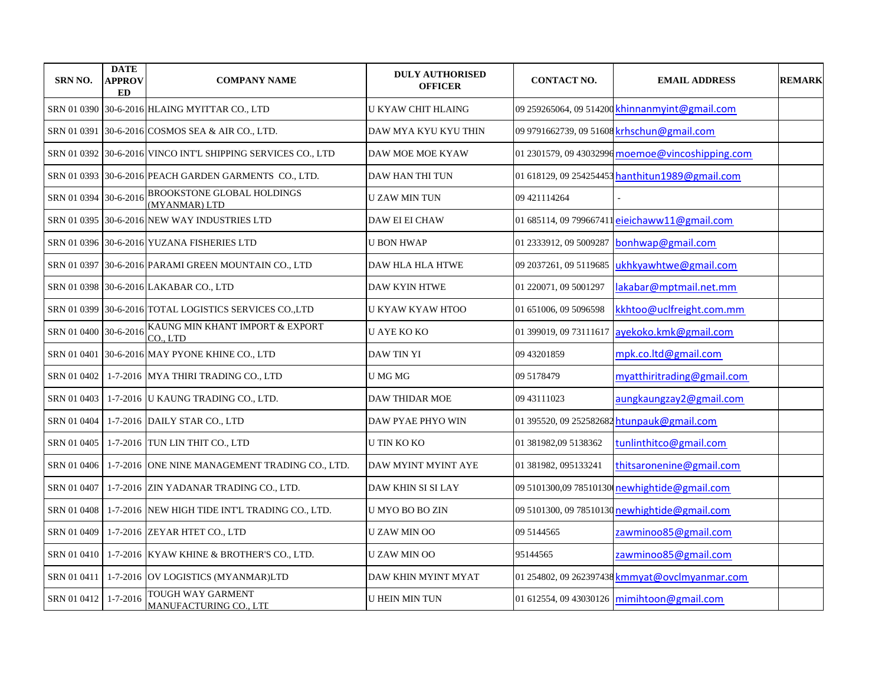| <b>SRN NO.</b>        | <b>DATE</b><br>APPROV<br><b>ED</b> | <b>COMPANY NAME</b>                                          | <b>DULY AUTHORISED</b><br><b>OFFICER</b> | <b>CONTACT NO.</b>     | <b>EMAIL ADDRESS</b>                             | <b>REMARK</b> |
|-----------------------|------------------------------------|--------------------------------------------------------------|------------------------------------------|------------------------|--------------------------------------------------|---------------|
|                       |                                    | SRN 01 0390 30-6-2016 HLAING MYITTAR CO., LTD                | U KYAW CHIT HLAING                       |                        | 09 259265064, 09 514200 khinnanmyint@gmail.com   |               |
| SRN 01 0391           |                                    | 30-6-2016 COSMOS SEA & AIR CO., LTD.                         | DAW MYA KYU KYU THIN                     |                        | 09 9791662739, 09 51608 krhschun@gmail.com       |               |
|                       |                                    | SRN 01 0392 30-6-2016 VINCO INT'L SHIPPING SERVICES CO., LTD | DAW MOE MOE KYAW                         |                        | 01 2301579, 09 43032996 moemoe@vincoshipping.com |               |
|                       |                                    | SRN 01 0393 30-6-2016 PEACH GARDEN GARMENTS CO., LTD.        | DAW HAN THI TUN                          |                        | 01 618129, 09 254254453 hanthitun1989@gmail.com  |               |
| SRN 01 0394 30-6-2016 |                                    | BROOKSTONE GLOBAL HOLDINGS<br>(MYANMAR) LTD                  | <b>U ZAW MIN TUN</b>                     | 09 421114264           |                                                  |               |
|                       |                                    | SRN 01 0395 30-6-2016 NEW WAY INDUSTRIES LTD                 | DAW EI EI CHAW                           |                        | 01 685114, 09 799667411 eieichaww11@gmail.com    |               |
|                       |                                    | SRN 01 0396 30-6-2016 YUZANA FISHERIES LTD                   | <b>U BON HWAP</b>                        | 01 2333912, 09 5009287 | bonhwap@gmail.com                                |               |
| SRN 01 0397           |                                    | 30-6-2016 PARAMI GREEN MOUNTAIN CO., LTD                     | DAW HLA HLA HTWE                         | 09 2037261, 09 5119685 | ukhkyawhtwe@gmail.com                            |               |
|                       |                                    | SRN 01 0398 30-6-2016 LAKABAR CO., LTD                       | <b>DAW KYIN HTWE</b>                     | 01 220071, 09 5001297  | lakabar@mptmail.net.mm                           |               |
| SRN 01 0399           |                                    | 30-6-2016 TOTAL LOGISTICS SERVICES CO.,LTD                   | U KYAW KYAW HTOO                         | 01 651006, 09 5096598  | kkhtoo@uclfreight.com.mm                         |               |
| SRN 01 0400 30-6-2016 |                                    | KAUNG MIN KHANT IMPORT & EXPORT<br>CO., LTD                  | <b>U AYE KO KO</b>                       | 01 399019, 09 73111617 | ayekoko.kmk@gmail.com                            |               |
| SRN 01 0401           |                                    | 30-6-2016 MAY PYONE KHINE CO., LTD                           | DAW TIN YI                               | 09 43201859            | mpk.co.ltd@gmail.com                             |               |
| SRN 01 0402           |                                    | 1-7-2016 MYA THIRI TRADING CO., LTD                          | U MG MG                                  | 09 5178479             | myatthiritrading@gmail.com                       |               |
| SRN 01 0403           |                                    | 1-7-2016 U KAUNG TRADING CO., LTD.                           | DAW THIDAR MOE                           | 09 43111023            | aungkaungzay2@gmail.com                          |               |
| SRN 01 0404           |                                    | 1-7-2016 DAILY STAR CO., LTD                                 | DAW PYAE PHYO WIN                        |                        | 01 395520, 09 252582682 htunpauk@gmail.com       |               |
| SRN 01 0405           |                                    | 1-7-2016 TUN LIN THIT CO., LTD                               | U TIN KO KO                              | 01 381982,09 5138362   | tunlinthitco@gmail.com                           |               |
| SRN 01 0406           |                                    | 1-7-2016 ONE NINE MANAGEMENT TRADING CO., LTD.               | DAW MYINT MYINT AYE                      | 01 381982, 095133241   | thitsaronenine@gmail.com                         |               |
| SRN 01 0407           |                                    | 1-7-2016 ZIN YADANAR TRADING CO., LTD.                       | DAW KHIN SI SI LAY                       |                        | 09 5101300,09 78510130 newhightide@gmail.com     |               |
| SRN 01 0408           |                                    | 1-7-2016 NEW HIGH TIDE INT'L TRADING CO., LTD.               | U MYO BO BO ZIN                          |                        | 09 5101300, 09 78510130 newhightide@gmail.com    |               |
| SRN 01 0409           |                                    | 1-7-2016 ZEYAR HTET CO., LTD                                 | <b>UZAW MIN OO</b>                       | 09 5144565             | zawminoo85@gmail.com                             |               |
| SRN 01 0410           |                                    | 1-7-2016 KYAW KHINE & BROTHER'S CO., LTD.                    | U ZAW MIN OO                             | 95144565               | zawminoo85@gmail.com                             |               |
| SRN 01 0411           |                                    | 1-7-2016 OV LOGISTICS (MYANMAR)LTD                           | DAW KHIN MYINT MYAT                      |                        | 01 254802, 09 262397438 kmmyat@ovclmyanmar.com   |               |
| SRN 01 0412           | $1 - 7 - 2016$                     | TOUGH WAY GARMENT<br>MANUFACTURING CO., LTE                  | <b>U HEIN MIN TUN</b>                    |                        | 01 612554, 09 43030126 mimihtoon@gmail.com       |               |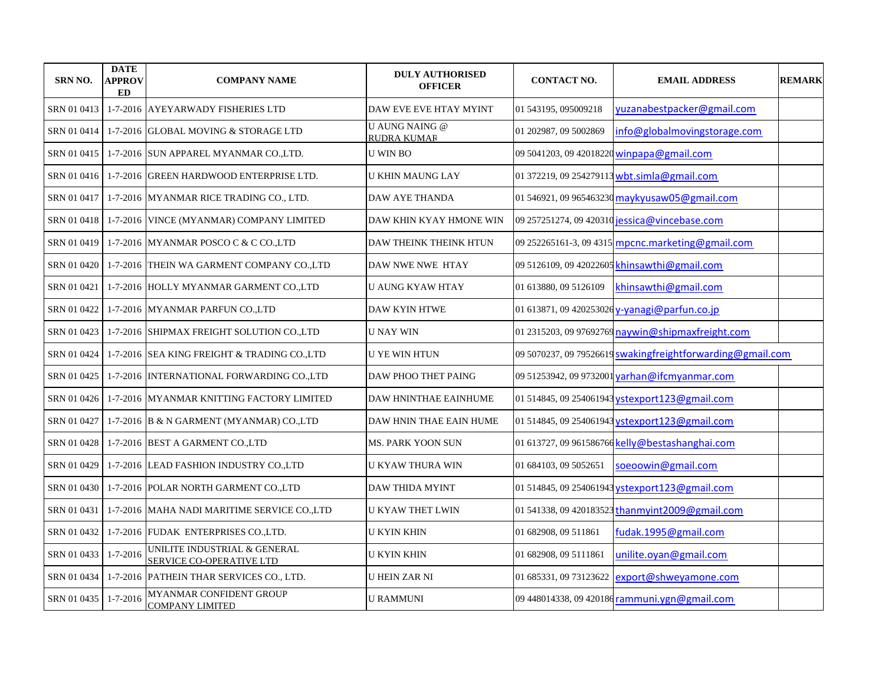| <b>SRN NO.</b> | <b>DATE</b><br><b>APPROV</b><br>ED | <b>COMPANY NAME</b>                                      | <b>DULY AUTHORISED</b><br><b>OFFICER</b>    | <b>CONTACT NO.</b>     | <b>EMAIL ADDRESS</b>                                       | <b>REMARK</b> |
|----------------|------------------------------------|----------------------------------------------------------|---------------------------------------------|------------------------|------------------------------------------------------------|---------------|
| SRN 01 0413    |                                    | 1-7-2016 AYEYARWADY FISHERIES LTD                        | DAW EVE EVE HTAY MYINT                      | 01 543195, 095009218   | yuzanabestpacker@gmail.com                                 |               |
| SRN 01 0414    |                                    | 1-7-2016 GLOBAL MOVING & STORAGE LTD                     | <b>U AUNG NAING @</b><br><b>RUDRA KUMAR</b> | 01 202987, 09 5002869  | info@globalmovingstorage.com                               |               |
| SRN 01 0415    |                                    | 1-7-2016 SUN APPAREL MYANMAR CO.,LTD.                    | <b>U WIN BO</b>                             |                        | 09 5041203, 09 42018220 winpapa@gmail.com                  |               |
| SRN 01 0416    |                                    | 1-7-2016 GREEN HARDWOOD ENTERPRISE LTD.                  | <b>U KHIN MAUNG LAY</b>                     |                        | 01 372219, 09 254279113 wbt.simla@gmail.com                |               |
| SRN 01 0417    |                                    | 1-7-2016 MYANMAR RICE TRADING CO., LTD.                  | DAW AYE THANDA                              |                        | 01 546921, 09 965463230 maykyusaw05@gmail.com              |               |
| SRN 01 0418    |                                    | 1-7-2016 VINCE (MYANMAR) COMPANY LIMITED                 | DAW KHIN KYAY HMONE WIN                     |                        | 09 257251274, 09 420310 jessica@vincebase.com              |               |
| SRN 01 0419    |                                    | 1-7-2016 MYANMAR POSCO C & C CO., LTD                    | DAW THEINK THEINK HTUN                      |                        | 09 252265161-3, 09 4315 mpcnc.marketing@gmail.com          |               |
| SRN 01 0420    |                                    | 1-7-2016 THEIN WA GARMENT COMPANY CO.,LTD                | DAW NWE NWE HTAY                            |                        | 09 5126109, 09 42022605 khinsawthi@gmail.com               |               |
| SRN 01 0421    |                                    | 1-7-2016 HOLLY MYANMAR GARMENT CO.,LTD                   | <b>U AUNG KYAW HTAY</b>                     | 01 613880, 09 5126109  | khinsawthi@gmail.com                                       |               |
| SRN 01 0422    |                                    | 1-7-2016 MYANMAR PARFUN CO.,LTD                          | <b>DAW KYIN HTWE</b>                        |                        | 01 613871, 09 420253026 y-yanagi@parfun.co.jp              |               |
| SRN 01 0423    |                                    | 1-7-2016 SHIPMAX FREIGHT SOLUTION CO.,LTD                | <b>U NAY WIN</b>                            |                        | 01 2315203, 09 97692769 naywin@shipmaxfreight.com          |               |
| SRN 01 0424    |                                    | 1-7-2016 SEA KING FREIGHT & TRADING CO.,LTD              | <b>U YE WIN HTUN</b>                        |                        | 09 5070237, 09 79526619 swakingfreightforwarding@gmail.com |               |
| SRN 01 0425    |                                    | 1-7-2016 INTERNATIONAL FORWARDING CO.,LTD                | DAW PHOO THET PAING                         |                        | 09 51253942, 09 9732001 varhan@ifcmyanmar.com              |               |
| SRN 01 0426    |                                    | 1-7-2016 MYANMAR KNITTING FACTORY LIMITED                | DAW HNINTHAE EAINHUME                       |                        | 01 514845, 09 254061943 ystexport123@gmail.com             |               |
| SRN 01 0427    |                                    | 1-7-2016 B & N GARMENT (MYANMAR) CO.,LTD                 | DAW HNIN THAE EAIN HUME                     |                        | 01 514845, 09 254061943 ystexport123@gmail.com             |               |
| SRN 01 0428    |                                    | 1-7-2016 BEST A GARMENT CO.,LTD                          | MS. PARK YOON SUN                           |                        | 01 613727, 09 961586766 kelly@bestashanghai.com            |               |
| SRN 01 0429    |                                    | 1-7-2016 LEAD FASHION INDUSTRY CO.,LTD                   | U KYAW THURA WIN                            | 01 684103, 09 5052651  | soeoowin@gmail.com                                         |               |
| SRN 01 0430    |                                    | 1-7-2016 POLAR NORTH GARMENT CO.,LTD                     | DAW THIDA MYINT                             |                        | 01 514845, 09 254061943 ystexport123@gmail.com             |               |
| SRN 01 0431    |                                    | 1-7-2016 MAHA NADI MARITIME SERVICE CO.,LTD              | U KYAW THET LWIN                            |                        | 01 541338, 09 420183523 thanmyint 2009@gmail.com           |               |
| SRN 01 0432    |                                    | 1-7-2016 FUDAK ENTERPRISES CO.,LTD.                      | U KYIN KHIN                                 | 01 682908, 09 511861   | fudak.1995@gmail.com                                       |               |
| SRN 01 0433    | $1 - 7 - 2016$                     | UNILITE INDUSTRIAL & GENERAL<br>SERVICE CO-OPERATIVE LTD | U KYIN KHIN                                 | 01 682908, 09 5111861  | unilite.oyan@gmail.com                                     |               |
| SRN 01 0434    |                                    | 1-7-2016 PATHEIN THAR SERVICES CO., LTD.                 | <b>U HEIN ZAR NI</b>                        | 01 685331, 09 73123622 | export@shweyamone.com                                      |               |
| SRN 01 0435    | $1 - 7 - 2016$                     | MYANMAR CONFIDENT GROUP<br><b>COMPANY LIMITED</b>        | <b>U RAMMUNI</b>                            |                        | 09 448014338, 09 420186 rammuni.ygn@gmail.com              |               |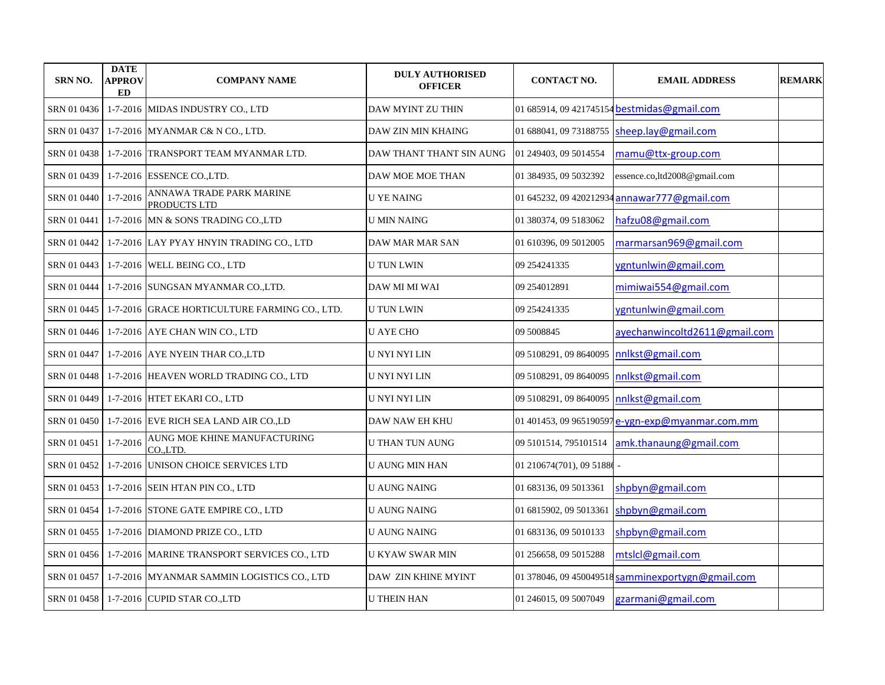| <b>SRN NO.</b> | <b>DATE</b><br><b>APPROV</b><br><b>ED</b> | <b>COMPANY NAME</b>                           | <b>DULY AUTHORISED</b><br><b>OFFICER</b> | <b>CONTACT NO.</b>       | <b>EMAIL ADDRESS</b>                              | <b>REMARK</b> |
|----------------|-------------------------------------------|-----------------------------------------------|------------------------------------------|--------------------------|---------------------------------------------------|---------------|
| SRN 01 0436    |                                           | 1-7-2016 MIDAS INDUSTRY CO., LTD              | DAW MYINT ZU THIN                        |                          | 01 685914, 09 421745154 bestmidas@gmail.com       |               |
| SRN 01 0437    |                                           | 1-7-2016 MYANMAR C& N CO., LTD.               | DAW ZIN MIN KHAING                       | 01 688041, 09 73188755   | sheep.lay@gmail.com                               |               |
| SRN 01 0438    |                                           | 1-7-2016 TRANSPORT TEAM MYANMAR LTD.          | DAW THANT THANT SIN AUNG                 | 01 249403, 09 5014554    | mamu@ttx-group.com                                |               |
| SRN 01 0439    |                                           | 1-7-2016 ESSENCE CO., LTD.                    | DAW MOE MOE THAN                         | 01 384935, 09 5032392    | essence.co,ltd2008@gmail.com                      |               |
| SRN 01 0440    | $1 - 7 - 2016$                            | ANNAWA TRADE PARK MARINE<br>PRODUCTS LTD      | <b>U YE NAING</b>                        | 01 645232, 09 420212934  | annawar777@gmail.com                              |               |
| SRN 01 0441    |                                           | 1-7-2016 MN & SONS TRADING CO.,LTD            | <b>U MIN NAING</b>                       | 01 380374, 09 5183062    | hafzu08@gmail.com                                 |               |
| SRN 01 0442    |                                           | 1-7-2016 LAY PYAY HNYIN TRADING CO., LTD      | DAW MAR MAR SAN                          | 01 610396, 09 5012005    | marmarsan969@gmail.com                            |               |
| SRN 01 0443    |                                           | 1-7-2016 WELL BEING CO., LTD                  | <b>U TUN LWIN</b>                        | 09 254241335             | ygntunlwin@gmail.com                              |               |
| SRN 01 0444    |                                           | 1-7-2016 SUNGSAN MYANMAR CO.,LTD.             | DAW MI MI WAI                            | 09 254012891             | mimiwai554@gmail.com                              |               |
| SRN 01 0445    |                                           | 1-7-2016 GRACE HORTICULTURE FARMING CO., LTD. | <b>U TUN LWIN</b>                        | 09 254241335             | ygntunlwin@gmail.com                              |               |
| SRN 01 0446    |                                           | 1-7-2016 AYE CHAN WIN CO., LTD                | <b>U AYE CHO</b>                         | 09 5008845               | ayechanwincoltd2611@gmail.com                     |               |
| SRN 01 0447    |                                           | 1-7-2016 AYE NYEIN THAR CO., LTD              | U NYI NYI LIN                            | 09 5108291, 09 8640095   | nnlkst@gmail.com                                  |               |
| SRN 01 0448    |                                           | 1-7-2016 HEAVEN WORLD TRADING CO., LTD        | U NYI NYI LIN                            | 09 5108291, 09 8640095   | nnlkst@gmail.com                                  |               |
| SRN 01 0449    |                                           | 1-7-2016 HTET EKARI CO., LTD                  | U NYI NYI LIN                            | 09 5108291, 09 8640095   | nnlkst@gmail.com                                  |               |
| SRN 01 0450    |                                           | 1-7-2016 EVE RICH SEA LAND AIR CO.,LD         | DAW NAW EH KHU                           |                          | 01 401453, 09 965190597 e-ygn-exp@myanmar.com.mm  |               |
| SRN 01 0451    | $1 - 7 - 2016$                            | AUNG MOE KHINE MANUFACTURING<br>CO.LTD.       | <b>U THAN TUN AUNG</b>                   | 09 5101514, 795101514    | amk.thanaung@gmail.com                            |               |
| SRN 01 0452    |                                           | 1-7-2016 UNISON CHOICE SERVICES LTD           | U AUNG MIN HAN                           | 01 210674(701), 09 51886 |                                                   |               |
| SRN 01 0453    |                                           | 1-7-2016 SEIN HTAN PIN CO., LTD               | <b>U AUNG NAING</b>                      | 01 683136, 09 5013361    | shpbyn@gmail.com                                  |               |
| SRN 01 0454    |                                           | 1-7-2016 STONE GATE EMPIRE CO., LTD           | <b>U AUNG NAING</b>                      | 01 6815902, 09 5013361   | shpbyn@gmail.com                                  |               |
| SRN 01 0455    |                                           | 1-7-2016 DIAMOND PRIZE CO., LTD               | <b>U AUNG NAING</b>                      | 01 683136, 09 5010133    | shpbyn@gmail.com                                  |               |
| SRN 01 0456    |                                           | 1-7-2016 MARINE TRANSPORT SERVICES CO., LTD   | <b>U KYAW SWAR MIN</b>                   | 01 256658, 09 5015288    | mtslcl@gmail.com                                  |               |
| SRN 01 0457    |                                           | 1-7-2016 MYANMAR SAMMIN LOGISTICS CO., LTD    | DAW ZIN KHINE MYINT                      |                          | 01 378046, 09 450049518 samminexportygn@gmail.com |               |
| SRN 01 0458    |                                           | 1-7-2016 CUPID STAR CO.,LTD                   | <b>U THEIN HAN</b>                       | 01 246015, 09 5007049    | gzarmani@gmail.com                                |               |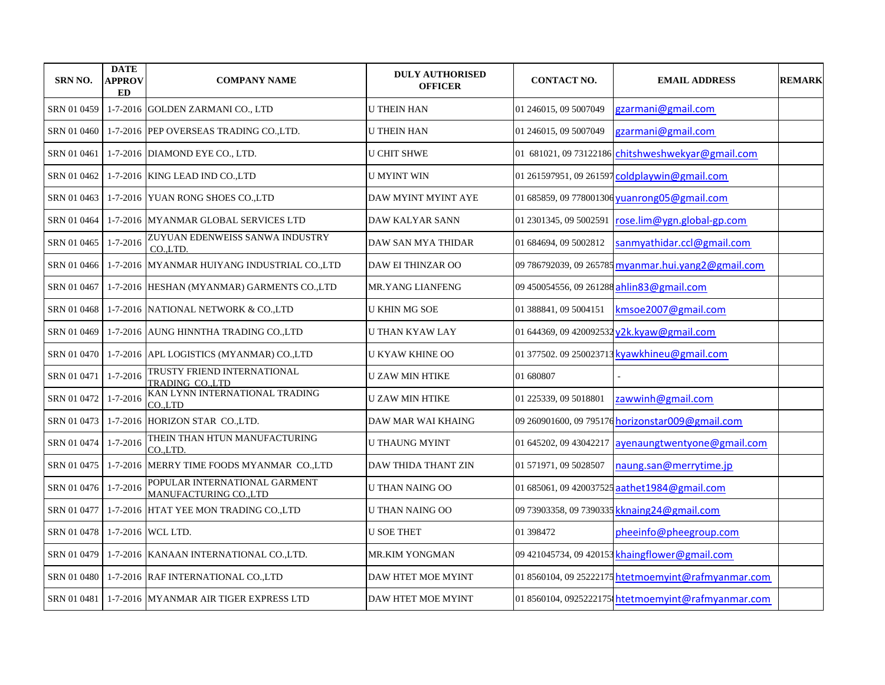| <b>SRN NO.</b> | <b>DATE</b><br>APPROV<br>ED | <b>COMPANY NAME</b>                                    | <b>DULY AUTHORISED</b><br><b>OFFICER</b> | <b>CONTACT NO.</b>                         | <b>EMAIL ADDRESS</b>                                | <b>REMARK</b> |
|----------------|-----------------------------|--------------------------------------------------------|------------------------------------------|--------------------------------------------|-----------------------------------------------------|---------------|
| SRN 01 0459    |                             | 1-7-2016 GOLDEN ZARMANI CO., LTD                       | <b>U THEIN HAN</b>                       | 01 246015, 09 5007049                      | gzarmani@gmail.com                                  |               |
| SRN 01 0460    |                             | 1-7-2016 PEP OVERSEAS TRADING CO., LTD.                | <b>U THEIN HAN</b>                       | 01 246015, 09 5007049                      | gzarmani@gmail.com                                  |               |
| SRN 01 0461    |                             | 1-7-2016 DIAMOND EYE CO., LTD.                         | <b>U CHIT SHWE</b>                       |                                            | 01 681021, 09 73122186 chitshweshwekyar@gmail.com   |               |
| SRN 01 0462    |                             | 1-7-2016 KING LEAD IND CO.,LTD                         | <b>U MYINT WIN</b>                       |                                            | 01 261597951, 09 261597 coldplaywin@gmail.com       |               |
| SRN 01 0463    |                             | 1-7-2016 YUAN RONG SHOES CO.,LTD                       | DAW MYINT MYINT AYE                      |                                            | 01 685859, 09 778001306 yuanrong05@gmail.com        |               |
| SRN 01 0464    |                             | 1-7-2016 MYANMAR GLOBAL SERVICES LTD                   | <b>DAW KALYAR SANN</b>                   | 01 2301345, 09 5002591                     | rose.lim@ygn.global-gp.com                          |               |
| SRN 01 0465    | $1 - 7 - 2016$              | ZUYUAN EDENWEISS SANWA INDUSTRY<br>COLTD.              | DAW SAN MYA THIDAR                       | 01 684694, 09 5002812                      | sanmyathidar.ccl@gmail.com                          |               |
| SRN 01 0466    |                             | 1-7-2016 MYANMAR HUIYANG INDUSTRIAL CO.,LTD            | <b>DAW EI THINZAR OO</b>                 |                                            | 09 786792039, 09 265785 myanmar.hui.yang2@gmail.com |               |
| SRN 01 0467    |                             | 1-7-2016 HESHAN (MYANMAR) GARMENTS CO.,LTD             | <b>MR.YANG LIANFENG</b>                  | 09 450054556, 09 261288 ahlin 83@gmail.com |                                                     |               |
| SRN 01 0468    |                             | 1-7-2016 NATIONAL NETWORK & CO.,LTD                    | <b>U KHIN MG SOE</b>                     | 01 388841, 09 5004151                      | kmsoe2007@gmail.com                                 |               |
| SRN 01 0469    |                             | 1-7-2016 AUNG HINNTHA TRADING CO.,LTD                  | U THAN KYAW LAY                          |                                            | 01 644369, 09 420092532 y2k.kyaw@gmail.com          |               |
| SRN 01 0470    |                             | 1-7-2016 APL LOGISTICS (MYANMAR) CO.,LTD               | U KYAW KHINE OO                          |                                            | 01 377502. 09 250023713 kyawkhineu@gmail.com        |               |
| SRN 01 0471    | $1 - 7 - 2016$              | TRUSTY FRIEND INTERNATIONAL<br>TRADING CO.,LTD         | U ZAW MIN HTIKE                          | 01 680807                                  |                                                     |               |
| SRN 01 0472    | $1 - 7 - 2016$              | KAN LYNN INTERNATIONAL TRADING<br>COLTD                | <b>U ZAW MIN HTIKE</b>                   | 01 225339, 09 5018801                      | zawwinh@gmail.com                                   |               |
| SRN 01 0473    |                             | 1-7-2016 HORIZON STAR CO.,LTD.                         | DAW MAR WAI KHAING                       |                                            | 09 260901600, 09 795176 horizonstar009@gmail.com    |               |
| SRN 01 0474    | $1 - 7 - 2016$              | THEIN THAN HTUN MANUFACTURING<br>CO.,LTD.              | <b>U THAUNG MYINT</b>                    |                                            | 01 645202, 09 43042217 ayenaungtwentyone@gmail.com  |               |
| SRN 01 0475    |                             | 1-7-2016   MERRY TIME FOODS MYANMAR CO.,LTD            | DAW THIDA THANT ZIN                      | 01 571971, 09 5028507                      | naung.san@merrytime.jp                              |               |
| SRN 01 0476    | $1 - 7 - 2016$              | POPULAR INTERNATIONAL GARMENT<br>MANUFACTURING CO.,LTD | U THAN NAING OO                          |                                            | 01 685061, 09 420037525 aathet 1984@gmail.com       |               |
| SRN 01 0477    |                             | 1-7-2016 HTAT YEE MON TRADING CO., LTD                 | U THAN NAING OO                          |                                            | 09 73903358, 09 7390335 kknaing 24@gmail.com        |               |
| SRN 01 0478    |                             | 1-7-2016 WCL LTD.                                      | <b>U SOE THET</b>                        | 01 398472                                  | pheeinfo@pheegroup.com                              |               |
| SRN 01 0479    |                             | 1-7-2016 KANAAN INTERNATIONAL CO., LTD.                | <b>MR.KIM YONGMAN</b>                    |                                            | 09 421045734, 09 420153 khaingflower@gmail.com      |               |
| SRN 01 0480    |                             | 1-7-2016 RAF INTERNATIONAL CO.,LTD                     | DAW HTET MOE MYINT                       |                                            | 01 8560104, 09 25222175 htetmoemyint@rafmyanmar.com |               |
| SRN 01 0481    |                             | 1-7-2016 MYANMAR AIR TIGER EXPRESS LTD                 | DAW HTET MOE MYINT                       |                                            | 01 8560104, 0925222175 htetmoemyint@rafmyanmar.com  |               |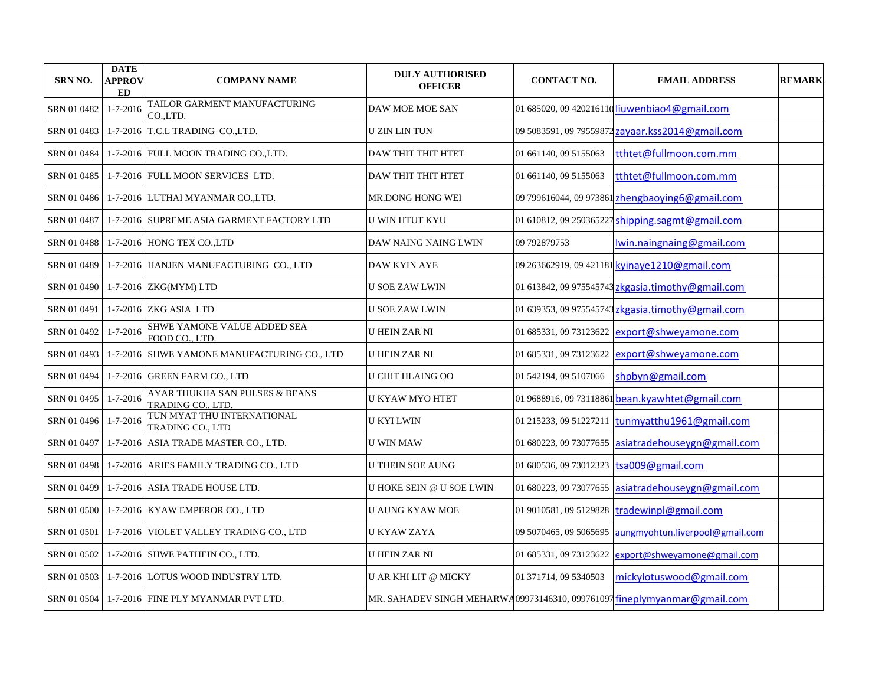| <b>SRN NO.</b> | <b>DATE</b><br><b>APPROV</b><br>ED | <b>COMPANY NAME</b>                                        | <b>DULY AUTHORISED</b><br><b>OFFICER</b>                                 | <b>CONTACT NO.</b>      | <b>EMAIL ADDRESS</b>                              | <b>REMARK</b> |
|----------------|------------------------------------|------------------------------------------------------------|--------------------------------------------------------------------------|-------------------------|---------------------------------------------------|---------------|
| SRN 01 0482    | $1 - 7 - 2016$                     | TAILOR GARMENT MANUFACTURING<br>CO.LTD.                    | DAW MOE MOE SAN                                                          |                         | 01 685020, 09 420216110 liuwenbiao4@gmail.com     |               |
| SRN 01 0483    |                                    | $1-7-2016$ T.C.L TRADING CO., LTD.                         | <b>U ZIN LIN TUN</b>                                                     |                         | 09 5083591, 09 79559872 zayaar.kss2014@gmail.com  |               |
| SRN 01 0484    |                                    | 1-7-2016 FULL MOON TRADING CO.,LTD.                        | DAW THIT THIT HTET                                                       | 01 661140, 09 5155063   | tthtet@fullmoon.com.mm                            |               |
|                |                                    | SRN 01 0485   1-7-2016   FULL MOON SERVICES LTD.           | DAW THIT THIT HTET                                                       | 01 661140, 09 5155063   | tthtet@fullmoon.com.mm                            |               |
| SRN 01 0486    |                                    | 1-7-2016 LUTHAI MYANMAR CO.,LTD.                           | MR.DONG HONG WEI                                                         | 09 799616044, 09 973861 | zhengbaoying6@gmail.com                           |               |
| SRN 01 0487    |                                    | 1-7-2016 SUPREME ASIA GARMENT FACTORY LTD                  | <b>U WIN HTUT KYU</b>                                                    | 01 610812, 09 250365227 | shipping.sagmt@gmail.com                          |               |
| SRN 01 0488    |                                    | 1-7-2016 HONG TEX CO., LTD                                 | DAW NAING NAING LWIN                                                     | 09 792879753            | lwin.naingnaing@gmail.com                         |               |
| SRN 01 0489    |                                    | 1-7-2016 HANJEN MANUFACTURING CO., LTD                     | <b>DAW KYIN AYE</b>                                                      |                         | 09 263662919, 09 421181 kyinaye1210@gmail.com     |               |
| SRN 01 0490    |                                    | 1-7-2016 ZKG(MYM) LTD                                      | <b>U SOE ZAW LWIN</b>                                                    |                         | 01 613842, 09 975545743 zkgasia.timothy@gmail.com |               |
| SRN 01 0491    |                                    | 1-7-2016 ZKG ASIA LTD                                      | <b>U SOE ZAW LWIN</b>                                                    |                         | 01 639353, 09 975545743 zkgasia.timothy@gmail.com |               |
| SRN 01 0492    | $1 - 7 - 2016$                     | SHWE YAMONE VALUE ADDED SEA<br>FOOD CO., LTD.              | <b>U HEIN ZAR NI</b>                                                     |                         | 01 685331, 09 73123622 export@shweyamone.com      |               |
| SRN 01 0493    |                                    | 1-7-2016 SHWE YAMONE MANUFACTURING CO., LTD                | <b>U HEIN ZAR NI</b>                                                     | 01 685331, 09 73123622  | export@shweyamone.com                             |               |
| SRN 01 0494    |                                    | 1-7-2016 GREEN FARM CO., LTD                               | U CHIT HLAING OO                                                         | 01 542194, 09 5107066   | shpbyn@gmail.com                                  |               |
| SRN 01 0495    | $1 - 7 - 2016$                     | AYAR THUKHA SAN PULSES & BEANS<br><b>TRADING CO., LTD.</b> | U KYAW MYO HTET                                                          |                         | 01 9688916, 09 73118861 bean.kyawhtet@gmail.com   |               |
| SRN 01 0496    | $1 - 7 - 2016$                     | TUN MYAT THU INTERNATIONAL<br><b>TRADING CO., LTD</b>      | <b>U KYI LWIN</b>                                                        | 01 215233, 09 51227211  | tunmyatthu1961@gmail.com                          |               |
| SRN 01 0497    |                                    | 1-7-2016 ASIA TRADE MASTER CO., LTD.                       | <b>U WIN MAW</b>                                                         | 01 680223, 09 73077655  | asiatradehouseygn@gmail.com                       |               |
|                |                                    | SRN 01 0498   1-7-2016  ARIES FAMILY TRADING CO., LTD      | <b>U THEIN SOE AUNG</b>                                                  | 01 680536, 09 73012323  | tsa009@gmail.com                                  |               |
| SRN 01 0499    |                                    | 1-7-2016 ASIA TRADE HOUSE LTD.                             | <b>U HOKE SEIN @ U SOE LWIN</b>                                          | 01 680223, 09 73077655  | asiatradehouseygn@gmail.com                       |               |
|                |                                    | SRN 01 0500 1-7-2016 KYAW EMPEROR CO., LTD                 | <b>U AUNG KYAW MOE</b>                                                   | 01 9010581, 09 5129828  | tradewinpl@gmail.com                              |               |
|                |                                    | SRN 01 0501   1-7-2016   VIOLET VALLEY TRADING CO., LTD    | <b>U KYAW ZAYA</b>                                                       | 09 5070465, 09 5065695  | aungmyohtun.liverpool@gmail.com                   |               |
|                |                                    | SRN 01 0502 1-7-2016 SHWE PATHEIN CO., LTD.                | <b>U HEIN ZAR NI</b>                                                     | 01 685331, 09 73123622  | export@shweyamone@gmail.com                       |               |
| SRN 01 0503    |                                    | 1-7-2016 LOTUS WOOD INDUSTRY LTD.                          | <b>U AR KHI LIT @ MICKY</b>                                              | 01 371714, 09 5340503   | mickylotuswood@gmail.com                          |               |
|                |                                    | SRN 01 0504   1-7-2016   FINE PLY MYANMAR PVT LTD.         | MR. SAHADEV SINGH MEHARWA09973146310, 099761097 fineplymyanmar@gmail.com |                         |                                                   |               |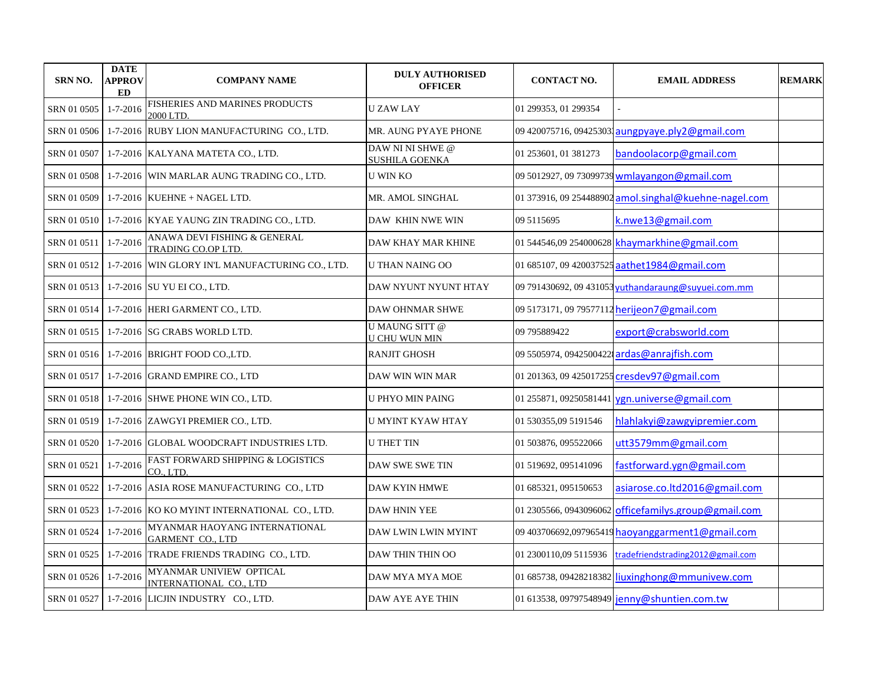| <b>SRN NO.</b> | <b>DATE</b><br><b>APPROV</b><br>ED | <b>COMPANY NAME</b>                                         | <b>DULY AUTHORISED</b><br><b>OFFICER</b>      | <b>CONTACT NO.</b>     | <b>EMAIL ADDRESS</b>                                  | <b>REMARK</b> |
|----------------|------------------------------------|-------------------------------------------------------------|-----------------------------------------------|------------------------|-------------------------------------------------------|---------------|
| SRN 01 0505    | $1 - 7 - 2016$                     | FISHERIES AND MARINES PRODUCTS<br>2000 LTD.                 | <b>UZAWLAY</b>                                | 01 299353, 01 299354   |                                                       |               |
|                |                                    | SRN 01 0506   1-7-2016 RUBY LION MANUFACTURING CO., LTD.    | MR. AUNG PYAYE PHONE                          |                        | 09 420075716, 094253031 aungpyaye.ply2@gmail.com      |               |
|                |                                    | SRN 01 0507 1-7-2016 KALYANA MATETA CO., LTD.               | DAW NI NI SHWE @<br><b>SUSHILA GOENKA</b>     | 01 253601, 01 381273   | bandoolacorp@gmail.com                                |               |
|                |                                    | SRN 01 0508   1-7-2016 WIN MARLAR AUNG TRADING CO., LTD.    | <b>U WIN KO</b>                               |                        | 09 5012927, 09 73099739 wmlayangon@gmail.com          |               |
| SRN 01 0509    |                                    | $1-7-2016$ KUEHNE + NAGEL LTD.                              | MR. AMOL SINGHAL                              |                        | 01 373916, 09 254488902 amol.singhal@kuehne-nagel.com |               |
|                |                                    | SRN 01 0510   1-7-2016   KYAE YAUNG ZIN TRADING CO., LTD.   | DAW KHIN NWE WIN                              | 09 5115695             | k.nwe13@gmail.com                                     |               |
| SRN 01 0511    | $1 - 7 - 2016$                     | ANAWA DEVI FISHING & GENERAL<br>TRADING CO.OP LTD.          | DAW KHAY MAR KHINE                            |                        | 01 544546,09 254000628 khaymarkhine@gmail.com         |               |
|                |                                    | SRN 01 0512 1-7-2016 WIN GLORY IN'L MANUFACTURING CO., LTD. | <b>U THAN NAING OO</b>                        |                        | 01 685107, 09 420037525 aathet 1984@gmail.com         |               |
|                |                                    | SRN 01 0513   1-7-2016  SU YU EI CO., LTD.                  | DAW NYUNT NYUNT HTAY                          |                        | 09 791430692, 09 431053 yuthandaraung@suyuei.com.mm   |               |
|                |                                    | SRN 01 0514 1-7-2016 HERI GARMENT CO., LTD.                 | DAW OHNMAR SHWE                               |                        | 09 5173171, 09 79577112 herijeon7@gmail.com           |               |
|                |                                    | SRN 01 0515   1-7-2016   SG CRABS WORLD LTD.                | <b>U MAUNG SITT @</b><br><b>U CHU WUN MIN</b> | 09 795889422           | export@crabsworld.com                                 |               |
|                |                                    | SRN 01 0516   1-7-2016   BRIGHT FOOD CO., LTD.              | <b>RANJIT GHOSH</b>                           |                        | 09 5505974, 0942500422 ardas@anrajfish.com            |               |
|                |                                    | SRN 01 0517 1-7-2016 GRAND EMPIRE CO., LTD                  | DAW WIN WIN MAR                               |                        | 01 201363, 09 425017255 cresdev97@gmail.com           |               |
|                |                                    | SRN 01 0518   1-7-2016   SHWE PHONE WIN CO., LTD.           | <b>U PHYO MIN PAING</b>                       |                        | 01 255871, 09250581441 ygn.universe@gmail.com         |               |
|                |                                    | SRN 01 0519   1-7-2016   ZAWGYI PREMIER CO., LTD.           | <b>U MYINT KYAW HTAY</b>                      | 01 530355,09 5191546   | hlahlakyi@zawgyipremier.com                           |               |
|                |                                    | SRN 01 0520   1-7-2016  GLOBAL WOODCRAFT INDUSTRIES LTD.    | <b>U THET TIN</b>                             | 01 503876, 095522066   | utt3579mm@gmail.com                                   |               |
| SRN 01 0521    | $1 - 7 - 2016$                     | FAST FORWARD SHIPPING & LOGISTICS<br>CO., LTD.              | DAW SWE SWE TIN                               | 01 519692, 095141096   | fastforward.ygn@gmail.com                             |               |
| SRN 01 0522    |                                    | 1-7-2016 ASIA ROSE MANUFACTURING CO., LTD                   | DAW KYIN HMWE                                 | 01 685321, 095150653   | asiarose.co.ltd2016@gmail.com                         |               |
|                |                                    | SRN 01 0523   1-7-2016 KO KO MYINT INTERNATIONAL CO., LTD.  | <b>DAW HNIN YEE</b>                           | 01 2305566, 0943096062 | officefamilys.group@gmail.com                         |               |
| SRN 01 0524    | $1 - 7 - 2016$                     | MYANMAR HAOYANG INTERNATIONAL<br><b>GARMENT CO., LTD</b>    | DAW LWIN LWIN MYINT                           |                        | 09 403706692,097965419 haoyanggarment1@gmail.com      |               |
|                |                                    | SRN 01 0525   1-7-2016   TRADE FRIENDS TRADING CO., LTD.    | DAW THIN THIN OO                              | 01 2300110,09 5115936  | tradefriendstrading2012@gmail.com                     |               |
| SRN 01 0526    | $1 - 7 - 2016$                     | MYANMAR UNIVIEW OPTICAL<br>INTERNATIONAL CO., LTD           | DAW MYA MYA MOE                               |                        | 01 685738, 09428218382 liuxinghong@mmunivew.com       |               |
|                |                                    | SRN 01 0527   1-7-2016   LICJIN INDUSTRY CO., LTD.          | DAW AYE AYE THIN                              |                        | 01 613538, 09797548949 jenny@shuntien.com.tw          |               |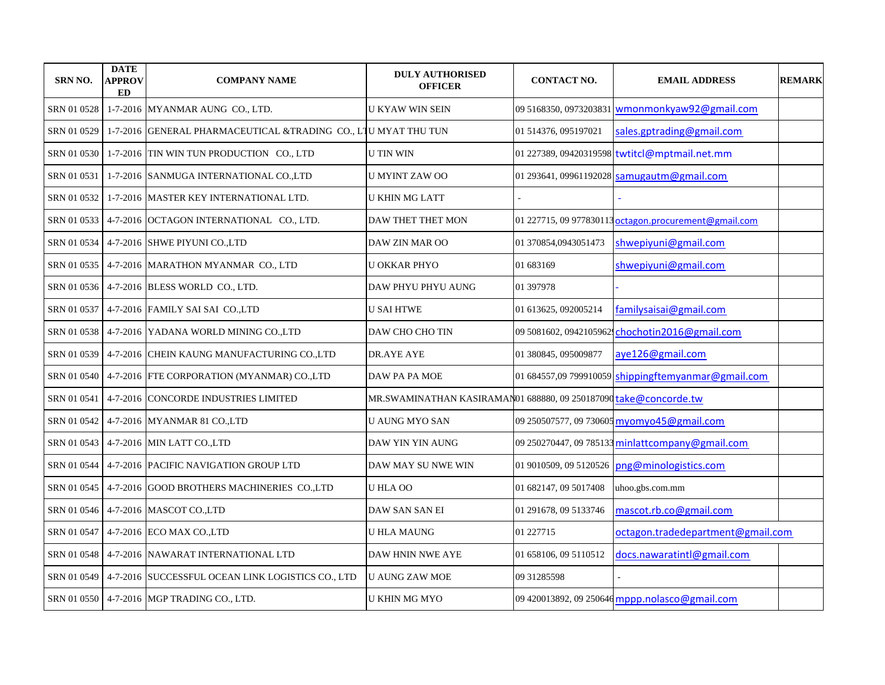| <b>SRN NO.</b> | <b>DATE</b><br><b>APPROV</b><br><b>ED</b> | <b>COMPANY NAME</b>                                            | <b>DULY AUTHORISED</b><br><b>OFFICER</b>                         | <b>CONTACT NO.</b>    | <b>EMAIL ADDRESS</b>                                  | <b>REMARK</b> |
|----------------|-------------------------------------------|----------------------------------------------------------------|------------------------------------------------------------------|-----------------------|-------------------------------------------------------|---------------|
| SRN 01 0528    |                                           | 1-7-2016 MYANMAR AUNG CO., LTD.                                | U KYAW WIN SEIN                                                  |                       | 09 5168350, 0973203831 wmonmonkyaw92@gmail.com        |               |
| SRN 01 0529    |                                           | 1-7-2016 GENERAL PHARMACEUTICAL &TRADING CO., LIU MYAT THU TUN |                                                                  | 01 514376, 095197021  | sales.gptrading@gmail.com                             |               |
| SRN 01 0530    |                                           | 1-7-2016 TIN WIN TUN PRODUCTION CO., LTD                       | <b>U TIN WIN</b>                                                 |                       | 01 227389, 09420319598 twtitcl@mptmail.net.mm         |               |
| SRN 01 0531    |                                           | 1-7-2016 SANMUGA INTERNATIONAL CO.,LTD                         | <b>U MYINT ZAW OO</b>                                            |                       | 01 293641, 09961192028 samugautm@gmail.com            |               |
| SRN 01 0532    |                                           | 1-7-2016 MASTER KEY INTERNATIONAL LTD.                         | <b>U KHIN MG LATT</b>                                            |                       |                                                       |               |
| SRN 01 0533    |                                           | 4-7-2016 OCTAGON INTERNATIONAL CO., LTD.                       | DAW THET THET MON                                                |                       | 01 227715, 09 977830113 octagon.procurement@gmail.com |               |
| SRN 01 0534    |                                           | 4-7-2016 SHWE PIYUNI CO.,LTD                                   | DAW ZIN MAR OO                                                   | 01 370854,0943051473  | shwepiyuni@gmail.com                                  |               |
| SRN 01 0535    |                                           | 4-7-2016 MARATHON MYANMAR CO., LTD                             | <b>U OKKAR PHYO</b>                                              | 01 683169             | shwepiyuni@gmail.com                                  |               |
| SRN 01 0536    |                                           | 4-7-2016 BLESS WORLD CO., LTD.                                 | DAW PHYU PHYU AUNG                                               | 01 397978             |                                                       |               |
| SRN 01 0537    |                                           | 4-7-2016 FAMILY SAI SAI CO.,LTD                                | <b>U SAI HTWE</b>                                                | 01 613625, 092005214  | familysaisai@gmail.com                                |               |
| SRN 01 0538    |                                           | 4-7-2016 YADANA WORLD MINING CO.,LTD                           | DAW CHO CHO TIN                                                  |                       | 09 5081602, 0942105962 chochotin2016@gmail.com        |               |
| SRN 01 0539    |                                           | 4-7-2016 CHEIN KAUNG MANUFACTURING CO.,LTD                     | DR.AYE AYE                                                       | 01 380845, 095009877  | aye126@gmail.com                                      |               |
| SRN 01 0540    |                                           | 4-7-2016 FTE CORPORATION (MYANMAR) CO.,LTD                     | DAW PA PA MOE                                                    |                       | 01 684557,09 799910059 shippingftemyanmar@gmail.com   |               |
| SRN 01 0541    |                                           | 4-7-2016 CONCORDE INDUSTRIES LIMITED                           | MR.SWAMINATHAN KASIRAMAN01 688880, 09 250187090 take@concorde.tw |                       |                                                       |               |
| SRN 01 0542    |                                           | 4-7-2016 MYANMAR 81 CO., LTD                                   | U AUNG MYO SAN                                                   |                       | 09 250507577, 09 730605 myomyo45@gmail.com            |               |
| SRN 01 0543    |                                           | 4-7-2016 MIN LATT CO., LTD                                     | DAW YIN YIN AUNG                                                 |                       | 09 250270447, 09 785133 minlattcompany@gmail.com      |               |
| SRN 01 0544    |                                           | 4-7-2016 PACIFIC NAVIGATION GROUP LTD                          | DAW MAY SU NWE WIN                                               |                       | 01 9010509, 09 5120526 png@minologistics.com          |               |
| SRN 01 0545    |                                           | 4-7-2016 GOOD BROTHERS MACHINERIES CO.,LTD                     | U HLA OO                                                         | 01 682147, 09 5017408 | uhoo.gbs.com.mm                                       |               |
| SRN 01 0546    |                                           | 4-7-2016   MASCOT CO., LTD                                     | DAW SAN SAN EI                                                   | 01 291678, 09 5133746 | mascot.rb.co@gmail.com                                |               |
| SRN 01 0547    |                                           | 4-7-2016 ECO MAX CO., LTD                                      | <b>U HLA MAUNG</b>                                               | 01 227715             | octagon.tradedepartment@gmail.com                     |               |
| SRN 01 0548    |                                           | 4-7-2016 NAWARAT INTERNATIONAL LTD                             | <b>DAW HNIN NWE AYE</b>                                          | 01 658106, 09 5110512 | docs.nawaratintl@gmail.com                            |               |
| SRN 01 0549    |                                           | 4-7-2016 SUCCESSFUL OCEAN LINK LOGISTICS CO., LTD              | <b>U AUNG ZAW MOE</b>                                            | 09 31285598           |                                                       |               |
|                |                                           | SRN 01 0550 4-7-2016 MGP TRADING CO., LTD.                     | U KHIN MG MYO                                                    |                       | 09 420013892, 09 250646 mppp.nolasco@gmail.com        |               |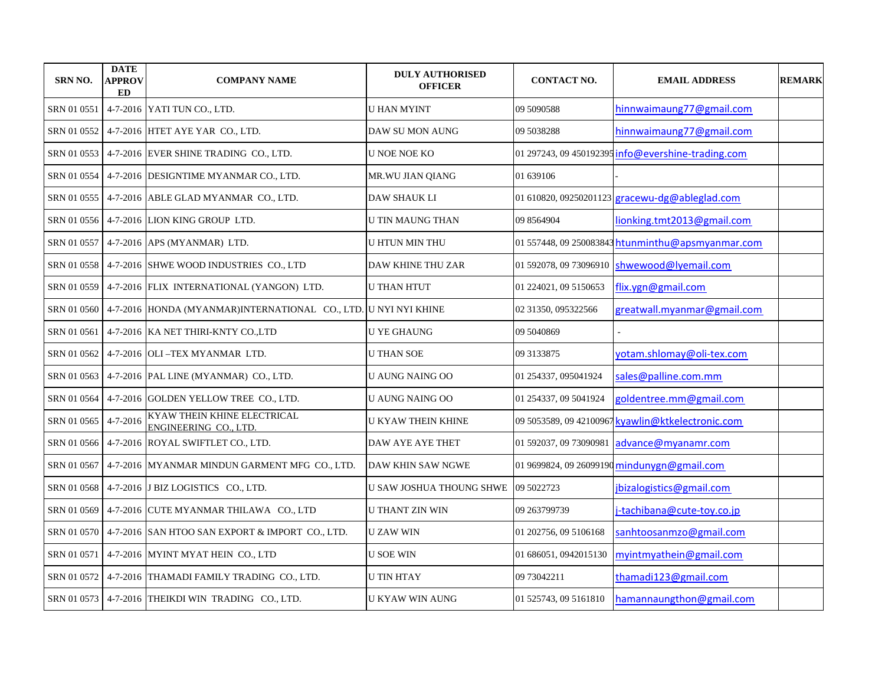| <b>SRN NO.</b>       | <b>DATE</b><br><b>APPROV</b><br>ED | <b>COMPANY NAME</b>                                                             | <b>DULY AUTHORISED</b><br><b>OFFICER</b> | <b>CONTACT NO.</b>     | <b>EMAIL ADDRESS</b>                               | <b>REMARK</b> |
|----------------------|------------------------------------|---------------------------------------------------------------------------------|------------------------------------------|------------------------|----------------------------------------------------|---------------|
|                      |                                    | SRN 01 0551 4-7-2016 YATI TUN CO., LTD.                                         | U HAN MYINT                              | 09 5090588             | hinnwaimaung77@gmail.com                           |               |
|                      |                                    | SRN 01 0552 4-7-2016 HTET AYE YAR CO., LTD.                                     | DAW SU MON AUNG                          | 09 5038288             | hinnwaimaung77@gmail.com                           |               |
|                      |                                    | SRN 01 0553 4-7-2016 EVER SHINE TRADING CO., LTD.                               | <b>U NOE NOE KO</b>                      |                        | 01 297243, 09 450192395 info@evershine-trading.com |               |
|                      |                                    | SRN 01 0554 4-7-2016 DESIGNTIME MYANMAR CO., LTD.                               | MR. WU JIAN QIANG                        | 01 639106              |                                                    |               |
|                      |                                    | SRN 01 0555 4-7-2016 ABLE GLAD MYANMAR CO., LTD.                                | DAW SHAUK LI                             |                        | 01 610820, 09250201123 gracewu-dg@ableglad.com     |               |
|                      |                                    | SRN 01 0556   4-7-2016   LION KING GROUP LTD.                                   | <b>U TIN MAUNG THAN</b>                  | 09 8564904             | lionking.tmt2013@gmail.com                         |               |
|                      |                                    | SRN 01 0557   4-7-2016   APS (MYANMAR) LTD.                                     | U HTUN MIN THU                           |                        | 01 557448, 09 250083843 htunminthu@apsmyanmar.com  |               |
|                      |                                    | SRN 01 0558 4-7-2016 SHWE WOOD INDUSTRIES CO., LTD                              | <b>DAW KHINE THU ZAR</b>                 | 01 592078, 09 73096910 | shwewood@lyemail.com                               |               |
|                      |                                    | SRN 01 0559   4-7-2016   FLIX INTERNATIONAL (YANGON) LTD.                       | <b>U THAN HTUT</b>                       | 01 224021, 09 5150653  | flix.ygn@gmail.com                                 |               |
|                      |                                    | SRN 01 0560   4-7-2016  HONDA (MYANMAR)INTERNATIONAL CO., LTD.  U NYI NYI KHINE |                                          | 02 31350, 095322566    | greatwall.myanmar@gmail.com                        |               |
| SRN 01 0561          |                                    | 4-7-2016 KA NET THIRI-KNTY CO.,LTD                                              | <b>U YE GHAUNG</b>                       | 09 5040869             |                                                    |               |
|                      |                                    | SRN 01 0562   4-7-2016   OLI -TEX MYANMAR LTD.                                  | <b>U THAN SOE</b>                        | 09 3133875             | yotam.shlomay@oli-tex.com                          |               |
|                      |                                    | SRN 01 0563   4-7-2016   PAL LINE (MYANMAR) CO., LTD.                           | U AUNG NAING OO                          | 01 254337, 095041924   | sales@palline.com.mm                               |               |
|                      |                                    | SRN 01 0564   4-7-2016 GOLDEN YELLOW TREE CO., LTD.                             | U AUNG NAING OO                          | 01 254337, 09 5041924  | goldentree.mm@gmail.com                            |               |
| SRN 01 0565 4-7-2016 |                                    | KYAW THEIN KHINE ELECTRICAL<br>ENGINEERING CO., LTD.                            | U KYAW THEIN KHINE                       |                        | 09 5053589, 09 42100967 kyawlin@ktkelectronic.com  |               |
|                      |                                    | SRN 01 0566 4-7-2016 ROYAL SWIFTLET CO., LTD.                                   | DAW AYE AYE THET                         | 01 592037, 09 73090981 | advance@myanamr.com                                |               |
|                      |                                    | SRN 01 0567 4-7-2016 MYANMAR MINDUN GARMENT MFG CO., LTD.                       | DAW KHIN SAW NGWE                        |                        | 01 9699824, 09 26099190 mindunygn@gmail.com        |               |
|                      |                                    | SRN 01 0568 4-7-2016 J BIZ LOGISTICS CO., LTD.                                  | U SAW JOSHUA THOUNG SHWE                 | 09 5022723             | jbizalogistics@gmail.com                           |               |
|                      |                                    | SRN 01 0569   4-7-2016   CUTE MYANMAR THILAWA CO., LTD                          | <b>U THANT ZIN WIN</b>                   | 09 263799739           | i-tachibana@cute-toy.co.jp                         |               |
|                      |                                    | SRN 01 0570   4-7-2016 SAN HTOO SAN EXPORT & IMPORT CO., LTD.                   | <b>UZAW WIN</b>                          | 01 202756, 09 5106168  | sanhtoosanmzo@gmail.com                            |               |
|                      |                                    | SRN 01 0571   4-7-2016   MYINT MYAT HEIN CO., LTD                               | <b>U SOE WIN</b>                         | 01 686051, 0942015130  | myintmyathein@gmail.com                            |               |
|                      |                                    | SRN 01 0572 4-7-2016 THAMADI FAMILY TRADING CO., LTD.                           | <b>U TIN HTAY</b>                        | 09 73042211            | thamadi123@gmail.com                               |               |
|                      |                                    | SRN 01 0573 4-7-2016 THEIKDI WIN TRADING CO., LTD.                              | U KYAW WIN AUNG                          | 01 525743, 09 5161810  | hamannaungthon@gmail.com                           |               |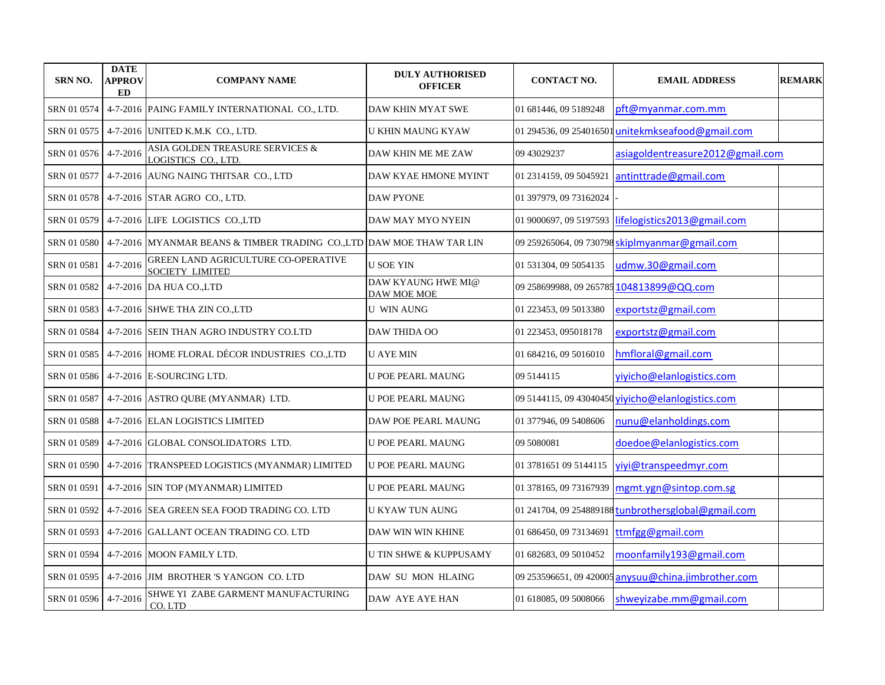| <b>SRN NO.</b> | <b>DATE</b><br>APPROV<br><b>ED</b> | <b>COMPANY NAME</b>                                                  | <b>DULY AUTHORISED</b><br><b>OFFICER</b> | <b>CONTACT NO.</b>      | <b>EMAIL ADDRESS</b>                                | <b>REMARK</b> |
|----------------|------------------------------------|----------------------------------------------------------------------|------------------------------------------|-------------------------|-----------------------------------------------------|---------------|
| SRN 01 0574    |                                    | 4-7-2016 PAING FAMILY INTERNATIONAL CO., LTD.                        | DAW KHIN MYAT SWE                        | 01 681446, 09 5189248   | pft@myanmar.com.mm                                  |               |
| SRN 01 0575    |                                    | 4-7-2016 UNITED K.M.K CO., LTD.                                      | U KHIN MAUNG KYAW                        | 01 294536, 09 254016501 | unitekmkseafood@gmail.com                           |               |
| SRN 01 0576    | $4 - 7 - 2016$                     | ASIA GOLDEN TREASURE SERVICES &<br>LOGISTICS CO., LTD.               | DAW KHIN ME ME ZAW                       | 09 43029237             | asiagoldentreasure2012@gmail.com                    |               |
| SRN 01 0577    |                                    | 4-7-2016 AUNG NAING THITSAR CO., LTD                                 | DAW KYAE HMONE MYINT                     | 01 2314159, 09 5045921  | antinttrade@gmail.com                               |               |
| SRN 01 0578    |                                    | 4-7-2016 STAR AGRO CO., LTD.                                         | <b>DAW PYONE</b>                         | 01 397979, 09 73162024  |                                                     |               |
| SRN 01 0579    |                                    | 4-7-2016 LIFE LOGISTICS CO., LTD                                     | DAW MAY MYO NYEIN                        | 01 9000697, 09 5197593  | lifelogistics2013@gmail.com                         |               |
| SRN 01 0580    |                                    | 4-7-2016 MYANMAR BEANS & TIMBER TRADING CO.,LTD DAW MOE THAW TAR LIN |                                          |                         | 09 259265064, 09 730798 skiplmyanmar@gmail.com      |               |
| SRN 01 0581    | $4 - 7 - 2016$                     | <b>GREEN LAND AGRICULTURE CO-OPERATIVE</b><br><b>SOCIETY LIMITED</b> | <b>U SOE YIN</b>                         | 01 531304, 09 5054135   | udmw.30@gmail.com                                   |               |
| SRN 01 0582    |                                    | 4-7-2016 DA HUA CO., LTD                                             | DAW KYAUNG HWE MI@<br>DAW MOE MOE        |                         | 09 258699988, 09 265785 104813899@QQ.com            |               |
| SRN 01 0583    |                                    | 4-7-2016 SHWE THA ZIN CO.,LTD                                        | <b>U WIN AUNG</b>                        | 01 223453, 09 5013380   | exportstz@gmail.com                                 |               |
| SRN 01 0584    |                                    | 4-7-2016 SEIN THAN AGRO INDUSTRY CO.LTD                              | <b>DAW THIDA OO</b>                      | 01 223453, 095018178    | exportstz@gmail.com                                 |               |
| SRN 01 0585    |                                    | 4-7-2016 HOME FLORAL DÉCOR INDUSTRIES CO.,LTD                        | <b>U AYE MIN</b>                         | 01 684216, 09 5016010   | hmfloral@gmail.com                                  |               |
| SRN 01 0586    |                                    | 4-7-2016 E-SOURCING LTD.                                             | U POE PEARL MAUNG                        | 09 5144115              | yiyicho@elanlogistics.com                           |               |
| SRN 01 0587    |                                    | 4-7-2016 ASTRO QUBE (MYANMAR) LTD.                                   | U POE PEARL MAUNG                        |                         | 09 5144115, 09 43040450 vivicho@elanlogistics.com   |               |
| SRN 01 0588    |                                    | 4-7-2016 ELAN LOGISTICS LIMITED                                      | DAW POE PEARL MAUNG                      | 01 377946, 09 5408606   | nunu@elanholdings.com                               |               |
| SRN 01 0589    |                                    | 4-7-2016 GLOBAL CONSOLIDATORS LTD.                                   | <b>U POE PEARL MAUNG</b>                 | 09 5080081              | doedoe@elanlogistics.com                            |               |
| SRN 01 0590    |                                    | 4-7-2016 TRANSPEED LOGISTICS (MYANMAR) LIMITED                       | <b>U POE PEARL MAUNG</b>                 | 01 3781651 09 5144115   | yiyi@transpeedmyr.com                               |               |
| SRN 01 0591    |                                    | 4-7-2016 SIN TOP (MYANMAR) LIMITED                                   | U POE PEARL MAUNG                        | 01 378165, 09 73167939  | mgmt.ygn@sintop.com.sg                              |               |
| SRN 01 0592    |                                    | 4-7-2016 SEA GREEN SEA FOOD TRADING CO. LTD                          | U KYAW TUN AUNG                          |                         | 01 241704, 09 254889188 tunbrothersglobal@gmail.com |               |
| SRN 01 0593    |                                    | 4-7-2016 GALLANT OCEAN TRADING CO. LTD                               | DAW WIN WIN KHINE                        | 01 686450, 09 73134691  | ttmfgg@gmail.com                                    |               |
| SRN 01 0594    |                                    | 4-7-2016 MOON FAMILY LTD.                                            | <b>U TIN SHWE &amp; KUPPUSAMY</b>        | 01 682683, 09 5010452   | moonfamily193@gmail.com                             |               |
| SRN 01 0595    |                                    | 4-7-2016 JIM BROTHER 'S YANGON CO. LTD                               | DAW SU MON HLAING                        |                         | 09 253596651, 09 420005 anysuu@china.jimbrother.com |               |
| SRN 01 0596    | $4 - 7 - 2016$                     | SHWE YI ZABE GARMENT MANUFACTURING<br>CO.LTD                         | DAW AYE AYE HAN                          | 01 618085, 09 5008066   | shweyizabe.mm@gmail.com                             |               |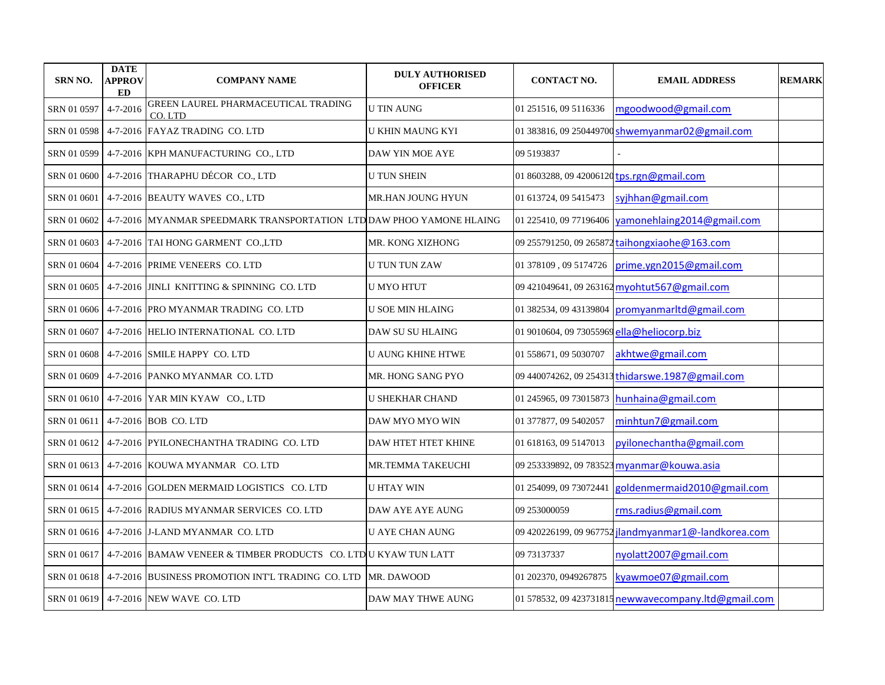| <b>SRN NO.</b> | <b>DATE</b><br><b>APPROV</b><br>ED | <b>COMPANY NAME</b>                                                             | <b>DULY AUTHORISED</b><br><b>OFFICER</b> | <b>CONTACT NO.</b>                         | <b>EMAIL ADDRESS</b>                                 | <b>REMARK</b> |
|----------------|------------------------------------|---------------------------------------------------------------------------------|------------------------------------------|--------------------------------------------|------------------------------------------------------|---------------|
| SRN 01 0597    | 4-7-2016                           | GREEN LAUREL PHARMACEUTICAL TRADING<br>CO.LTD                                   | <b>U TIN AUNG</b>                        | 01 251516, 09 5116336                      | mgoodwood@gmail.com                                  |               |
| SRN 01 0598    |                                    | 4-7-2016 FAYAZ TRADING CO. LTD                                                  | <b>U KHIN MAUNG KYI</b>                  |                                            | 01 383816, 09 250449700 shwemyanmar02@gmail.com      |               |
| SRN 01 0599    |                                    | 4-7-2016 KPH MANUFACTURING CO., LTD                                             | DAW YIN MOE AYE                          | 09 5193837                                 |                                                      |               |
| SRN 01 0600    |                                    | 4-7-2016 THARAPHU DÉCOR CO., LTD                                                | <b>U TUN SHEIN</b>                       | 01 8603288, 09 42006120 tps.rgn@gmail.com  |                                                      |               |
| SRN 01 0601    |                                    | 4-7-2016 BEAUTY WAVES CO., LTD                                                  | MR.HAN JOUNG HYUN                        | 01 613724, 09 5415473                      | syjhhan@gmail.com                                    |               |
| SRN 01 0602    |                                    | 4-7-2016 MYANMAR SPEEDMARK TRANSPORTATION LTDDAW PHOO YAMONE HLAING             |                                          | 01 225410, 09 77196406                     | yamonehlaing2014@gmail.com                           |               |
| SRN 01 0603    |                                    | 4-7-2016 TAI HONG GARMENT CO.,LTD                                               | MR. KONG XIZHONG                         | 09 255791250, 09 265872                    | taihongxiaohe@163.com                                |               |
| SRN 01 0604    |                                    | 4-7-2016 PRIME VENEERS CO. LTD                                                  | <b>U TUN TUN ZAW</b>                     | 01 378109, 09 5174726                      | prime.ygn2015@gmail.com                              |               |
|                |                                    | SRN 01 0605   4-7-2016  JINLI KNITTING & SPINNING CO. LTD                       | U MYO HTUT                               |                                            | 09 421049641, 09 263162 myohtut567@gmail.com         |               |
|                |                                    | SRN 01 0606 4-7-2016 PRO MYANMAR TRADING CO. LTD                                | <b>U SOE MIN HLAING</b>                  |                                            | 01 382534, 09 43139804 promyanmarltd@gmail.com       |               |
|                |                                    | SRN 01 0607 4-7-2016 HELIO INTERNATIONAL CO. LTD                                | DAW SU SU HLAING                         | 01 9010604, 09 73055969 ella@heliocorp.biz |                                                      |               |
|                |                                    | SRN 01 0608 4-7-2016 SMILE HAPPY CO. LTD                                        | <b>U AUNG KHINE HTWE</b>                 | 01 558671, 09 5030707                      | akhtwe@gmail.com                                     |               |
| SRN 01 0609    |                                    | 4-7-2016 PANKO MYANMAR CO. LTD                                                  | MR. HONG SANG PYO                        |                                            | 09 440074262, 09 254313 thidarswe.1987@gmail.com     |               |
|                |                                    | SRN 01 0610 4-7-2016 YAR MIN KYAW CO., LTD                                      | <b>U SHEKHAR CHAND</b>                   | 01 245965, 09 73015873                     | hunhaina@gmail.com                                   |               |
| SRN 01 0611    |                                    | 4-7-2016 BOB CO. LTD                                                            | DAW MYO MYO WIN                          | 01 377877, 09 5402057                      | minhtun7@gmail.com                                   |               |
|                |                                    | SRN 01 0612   4-7-2016   PYILONECHANTHA TRADING CO. LTD                         | DAW HTET HTET KHINE                      | 01 618163, 09 5147013                      | pyilonechantha@gmail.com                             |               |
|                |                                    | SRN 01 0613   4-7-2016   KOUWA MYANMAR CO. LTD                                  | MR.TEMMA TAKEUCHI                        |                                            | 09 253339892, 09 783523 myanmar@kouwa.asia           |               |
|                |                                    | SRN 01 0614   4-7-2016 GOLDEN MERMAID LOGISTICS CO. LTD                         | <b>U HTAY WIN</b>                        | 01 254099, 09 73072441                     | goldenmermaid2010@gmail.com                          |               |
|                |                                    | SRN 01 0615   4-7-2016 RADIUS MYANMAR SERVICES CO. LTD                          | DAW AYE AYE AUNG                         | 09 253000059                               | rms.radius@gmail.com                                 |               |
|                |                                    | SRN 01 0616 4-7-2016 J-LAND MYANMAR CO. LTD                                     | <b>U AYE CHAN AUNG</b>                   |                                            | 09 420226199, 09 967752 jlandmyanmar1@-landkorea.com |               |
|                |                                    | SRN 01 0617   4-7-2016   BAMAW VENEER & TIMBER PRODUCTS CO. LTD U KYAW TUN LATT |                                          | 09 73137337                                | nyolatt2007@gmail.com                                |               |
|                |                                    | SRN 01 0618 4-7-2016 BUSINESS PROMOTION INT'L TRADING CO. LTD                   | MR. DAWOOD                               | 01 202370, 0949267875                      | kyawmoe07@gmail.com                                  |               |
|                |                                    | SRN 01 0619 4-7-2016 NEW WAVE CO. LTD                                           | DAW MAY THWE AUNG                        |                                            | 01 578532, 09 423731815 newwavecompany.ltd@gmail.com |               |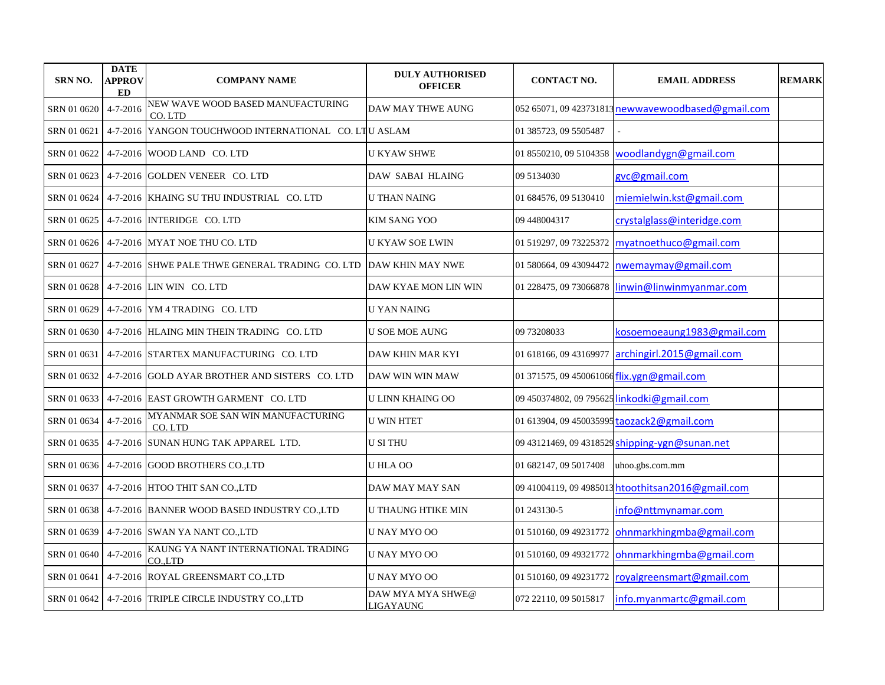| <b>SRN NO.</b> | <b>DATE</b><br><b>APPROV</b><br><b>ED</b> | <b>COMPANY NAME</b>                                   | <b>DULY AUTHORISED</b><br><b>OFFICER</b> | <b>CONTACT NO.</b>                         | <b>EMAIL ADDRESS</b>                               | <b>REMARK</b> |
|----------------|-------------------------------------------|-------------------------------------------------------|------------------------------------------|--------------------------------------------|----------------------------------------------------|---------------|
| SRN 01 0620    | 4-7-2016                                  | NEW WAVE WOOD BASED MANUFACTURING<br>CO.LTD           | DAW MAY THWE AUNG                        |                                            | 052 65071, 09 423731813 newwavewoodbased@gmail.com |               |
| SRN 01 0621    |                                           | 4-7-2016 YANGON TOUCHWOOD INTERNATIONAL CO. LTU ASLAM |                                          | 01 385723, 09 5505487                      |                                                    |               |
| SRN 01 0622    |                                           | 4-7-2016 WOOD LAND CO. LTD                            | <b>U KYAW SHWE</b>                       | 01 8550210, 09 5104358                     | woodlandygn@gmail.com                              |               |
| SRN 01 0623    |                                           | 4-7-2016 GOLDEN VENEER CO. LTD                        | DAW SABAI HLAING                         | 09 5134030                                 | gvc@gmail.com                                      |               |
| SRN 01 0624    |                                           | 4-7-2016 KHAING SU THU INDUSTRIAL CO. LTD             | <b>U THAN NAING</b>                      | 01 684576, 09 5130410                      | miemielwin.kst@gmail.com                           |               |
| SRN 01 0625    |                                           | 4-7-2016 INTERIDGE CO. LTD                            | <b>KIM SANG YOO</b>                      | 09 448004317                               | crystalglass@interidge.com                         |               |
| SRN 01 0626    |                                           | 4-7-2016 MYAT NOE THU CO. LTD                         | U KYAW SOE LWIN                          | 01 519297, 09 73225372                     | myatnoethuco@gmail.com                             |               |
| SRN 01 0627    |                                           | 4-7-2016 SHWE PALE THWE GENERAL TRADING CO. LTD       | <b>DAW KHIN MAY NWE</b>                  | 01 580664, 09 43094472                     | nwemaymay@gmail.com                                |               |
| SRN 01 0628    |                                           | 4-7-2016 LIN WIN CO. LTD                              | DAW KYAE MON LIN WIN                     | 01 228475, 09 73066878                     | linwin@linwinmyanmar.com                           |               |
| SRN 01 0629    |                                           | $4-7-2016$ YM $4$ TRADING CO. LTD                     | <b>U YAN NAING</b>                       |                                            |                                                    |               |
| SRN 01 0630    |                                           | 4-7-2016 HLAING MIN THEIN TRADING CO. LTD             | U SOE MOE AUNG                           | 09 73208033                                | kosoemoeaung1983@gmail.com                         |               |
| SRN 01 0631    |                                           | 4-7-2016 STARTEX MANUFACTURING CO. LTD                | DAW KHIN MAR KYI                         |                                            | 01 618166, 09 43169977 archingirl.2015@gmail.com   |               |
| SRN 01 0632    |                                           | 4-7-2016 GOLD AYAR BROTHER AND SISTERS CO. LTD        | DAW WIN WIN MAW                          | 01 371575, 09 450061066 flix.ygn@gmail.com |                                                    |               |
| SRN 01 0633    |                                           | 4-7-2016 EAST GROWTH GARMENT CO. LTD                  | <b>U LINN KHAING OO</b>                  | 09 450374802, 09 795625 linkodki@gmail.com |                                                    |               |
| SRN 01 0634    | $4 - 7 - 2016$                            | MYANMAR SOE SAN WIN MANUFACTURING<br>CO. LTD          | <b>U WIN HTET</b>                        |                                            | 01 613904, 09 450035995 taozack2@gmail.com         |               |
| SRN 01 0635    |                                           | 4-7-2016 SUNAN HUNG TAK APPAREL LTD.                  | <b>U SI THU</b>                          |                                            | 09 43121469, 09 4318529 shipping-ygn@sunan.net     |               |
| SRN 01 0636    |                                           | 4-7-2016 GOOD BROTHERS CO., LTD                       | U HLA OO                                 | 01 682147, 09 5017408                      | uhoo.gbs.com.mm                                    |               |
| SRN 01 0637    |                                           | 4-7-2016 HTOO THIT SAN CO.,LTD                        | DAW MAY MAY SAN                          |                                            | 09 41004119, 09 4985013 htoothitsan2016@gmail.com  |               |
| SRN 01 0638    |                                           | 4-7-2016 BANNER WOOD BASED INDUSTRY CO.,LTD           | <b>U THAUNG HTIKE MIN</b>                | 01 243130-5                                | info@nttmynamar.com                                |               |
| SRN 01 0639    |                                           | 4-7-2016 SWAN YA NANT CO.,LTD                         | U NAY MYO OO                             | 01 510160, 09 49231772                     | ohnmarkhingmba@gmail.com                           |               |
| SRN 01 0640    | $4 - 7 - 2016$                            | KAUNG YA NANT INTERNATIONAL TRADING<br>CO.,LTD        | U NAY MYO OO                             | 01 510160, 09 49321772                     | ohnmarkhingmba@gmail.com                           |               |
| SRN 01 0641    |                                           | 4-7-2016 ROYAL GREENSMART CO.,LTD                     | U NAY MYO OO                             | 01 510160, 09 49231772                     | royalgreensmart@gmail.com                          |               |
| SRN 01 0642    |                                           | 4-7-2016 TRIPLE CIRCLE INDUSTRY CO.,LTD               | DAW MYA MYA SHWE@<br>LIGAYAUNG           | 072 22110, 09 5015817                      | info.myanmartc@gmail.com                           |               |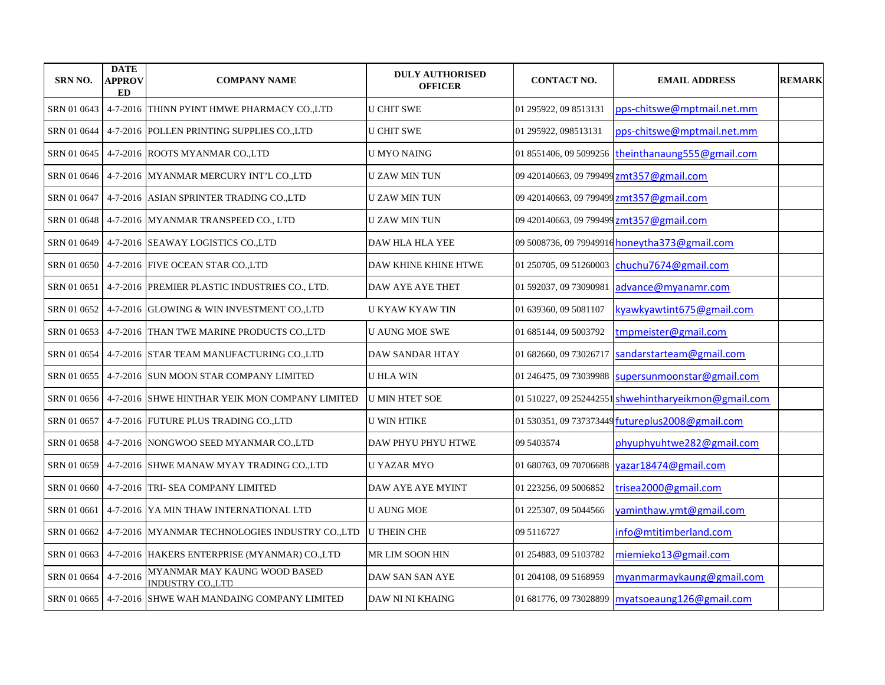| <b>SRN NO.</b> | <b>DATE</b><br><b>APPROV</b><br>ED | <b>COMPANY NAME</b>                                          | <b>DULY AUTHORISED</b><br><b>OFFICER</b> | <b>CONTACT NO.</b>                       | <b>EMAIL ADDRESS</b>                                 | <b>REMARK</b> |
|----------------|------------------------------------|--------------------------------------------------------------|------------------------------------------|------------------------------------------|------------------------------------------------------|---------------|
| SRN 01 0643    |                                    | 4-7-2016 THINN PYINT HMWE PHARMACY CO.,LTD                   | <b>U CHIT SWE</b>                        | 01 295922, 09 8513131                    | pps-chitswe@mptmail.net.mm                           |               |
| SRN 01 0644    |                                    | 4-7-2016 POLLEN PRINTING SUPPLIES CO., LTD                   | <b>U CHIT SWE</b>                        | 01 295922, 098513131                     | pps-chitswe@mptmail.net.mm                           |               |
| SRN 01 0645    |                                    | 4-7-2016 ROOTS MYANMAR CO.,LTD                               | U MYO NAING                              | 01 8551406, 09 5099256                   | theinthanaung555@gmail.com                           |               |
| SRN 01 0646    |                                    | 4-7-2016 MYANMAR MERCURY INT'L CO.,LTD                       | <b>UZAW MINTUN</b>                       | 09 420140663, 09 799499                  | zmt357@gmail.com                                     |               |
| SRN 01 0647    |                                    | 4-7-2016 ASIAN SPRINTER TRADING CO., LTD                     | <b>U ZAW MIN TUN</b>                     | 09 420140663, 09 799499                  | zmt357@gmail.com                                     |               |
| SRN 01 0648    |                                    | 4-7-2016 MYANMAR TRANSPEED CO., LTD                          | <b>U ZAW MIN TUN</b>                     | 09 420140663, 09 799499 zmt357@gmail.com |                                                      |               |
| SRN 01 0649    |                                    | 4-7-2016 SEAWAY LOGISTICS CO., LTD                           | <b>DAW HLA HLA YEE</b>                   |                                          | 09 5008736, 09 79949916 honeytha373@gmail.com        |               |
| SRN 01 0650    |                                    | 4-7-2016 FIVE OCEAN STAR CO., LTD                            | DAW KHINE KHINE HTWE                     | 01 250705, 09 51260003                   | chuchu7674@gmail.com                                 |               |
|                |                                    | SRN 01 0651   4-7-2016  PREMIER PLASTIC INDUSTRIES CO., LTD. | DAW AYE AYE THET                         | 01 592037, 09 73090981                   | advance@myanamr.com                                  |               |
|                |                                    | SRN 01 0652   4-7-2016  GLOWING & WIN INVESTMENT CO.,LTD     | <b>U KYAW KYAW TIN</b>                   | 01 639360, 09 5081107                    | kyawkyawtint675@gmail.com                            |               |
|                |                                    | SRN 01 0653   4-7-2016  THAN TWE MARINE PRODUCTS CO.,LTD     | <b>U AUNG MOE SWE</b>                    | 01 685144, 09 5003792                    | tmpmeister@gmail.com                                 |               |
| SRN 01 0654    |                                    | 4-7-2016 STAR TEAM MANUFACTURING CO.,LTD                     | DAW SANDAR HTAY                          | 01 682660, 09 73026717                   | sandarstarteam@gmail.com                             |               |
|                |                                    | SRN 01 0655   4-7-2016  SUN MOON STAR COMPANY LIMITED        | U HLA WIN                                | 01 246475, 09 73039988                   | supersunmoonstar@gmail.com                           |               |
| SRN 01 0656    |                                    | 4-7-2016 SHWE HINTHAR YEIK MON COMPANY LIMITED               | <b>U MIN HTET SOE</b>                    |                                          | 01 510227, 09 252442551 shwehintharyeikmon@gmail.com |               |
| SRN 01 0657    |                                    | 4-7-2016 FUTURE PLUS TRADING CO.,LTD                         | <b>U WIN HTIKE</b>                       |                                          | 01 530351, 09 737373449 futureplus2008@gmail.com     |               |
| SRN 01 0658    |                                    | 4-7-2016 NONGWOO SEED MYANMAR CO.LTD                         | DAW PHYU PHYU HTWE                       | 09 5403574                               | phyuphyuhtwe282@gmail.com                            |               |
| SRN 01 0659    |                                    | 4-7-2016 SHWE MANAW MYAY TRADING CO.,LTD                     | U YAZAR MYO                              | 01 680763, 09 70706688                   | yazar18474@gmail.com                                 |               |
| SRN 01 0660    |                                    | 4-7-2016 TRI- SEA COMPANY LIMITED                            | DAW AYE AYE MYINT                        | 01 223256, 09 5006852                    | trisea2000@gmail.com                                 |               |
| SRN 01 0661    |                                    | 4-7-2016 YA MIN THAW INTERNATIONAL LTD                       | <b>U AUNG MOE</b>                        | 01 225307, 09 5044566                    | yaminthaw.ymt@gmail.com                              |               |
| SRN 01 0662    |                                    | 4-7-2016 MYANMAR TECHNOLOGIES INDUSTRY CO.,LTD               | <b>U THEIN CHE</b>                       | 09 511 6727                              | info@mtitimberland.com                               |               |
|                |                                    | SRN 01 0663   4-7-2016 HAKERS ENTERPRISE (MYANMAR) CO.,LTD   | MR LIM SOON HIN                          | 01 254883, 09 5103782                    | miemieko13@gmail.com                                 |               |
| SRN 01 0664    | $4 - 7 - 2016$                     | MYANMAR MAY KAUNG WOOD BASED<br>INDUSTRY COLTD               | DAW SAN SAN AYE                          | 01 204108, 09 5168959                    | myanmarmaykaung@gmail.com                            |               |
|                |                                    | SRN 01 0665   4-7-2016   SHWE WAH MANDAING COMPANY LIMITED   | DAW NI NI KHAING                         | 01 681776, 09 73028899                   | myatsoeaung126@gmail.com                             |               |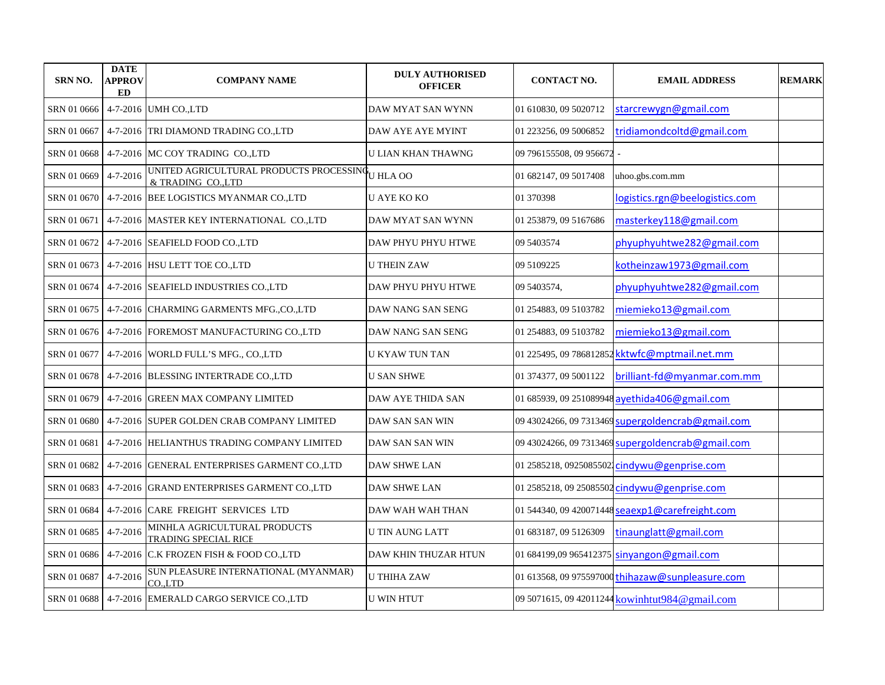| <b>SRN NO.</b> | <b>DATE</b><br><b>APPROV</b><br><b>ED</b> | <b>COMPANY NAME</b>                                                | <b>DULY AUTHORISED</b><br><b>OFFICER</b> | <b>CONTACT NO.</b>      | <b>EMAIL ADDRESS</b>                              | <b>REMARK</b> |
|----------------|-------------------------------------------|--------------------------------------------------------------------|------------------------------------------|-------------------------|---------------------------------------------------|---------------|
| SRN 01 0666    |                                           | 4-7-2016 UMH CO., LTD                                              | DAW MYAT SAN WYNN                        | 01 610830, 09 5020712   | starcrewygn@gmail.com                             |               |
| SRN 01 0667    |                                           | 4-7-2016 TRI DIAMOND TRADING CO.,LTD                               | DAW AYE AYE MYINT                        | 01 223256, 09 5006852   | tridiamondcoltd@gmail.com                         |               |
| SRN 01 0668    |                                           | 4-7-2016 MC COY TRADING CO.,LTD                                    | <b>U LIAN KHAN THAWNG</b>                | 09 796155508, 09 956672 | ÷,                                                |               |
| SRN 01 0669    | $4 - 7 - 2016$                            | UNITED AGRICULTURAL PRODUCTS PROCESSINGU HLA OO<br>& TRADING COLTD |                                          | 01 682147, 09 5017408   | uhoo.gbs.com.mm                                   |               |
| SRN 01 0670    |                                           | 4-7-2016 BEE LOGISTICS MYANMAR CO.,LTD                             | <b>U AYE KO KO</b>                       | 01 370398               | logistics.rgn@beelogistics.com                    |               |
| SRN 01 0671    |                                           | 4-7-2016 MASTER KEY INTERNATIONAL CO.,LTD                          | DAW MYAT SAN WYNN                        | 01 253879, 09 5167686   | masterkey118@gmail.com                            |               |
| SRN 01 0672    |                                           | 4-7-2016 SEAFIELD FOOD CO.,LTD                                     | DAW PHYU PHYU HTWE                       | 09 5403574              | phyuphyuhtwe282@gmail.com                         |               |
|                |                                           | SRN 01 0673 4-7-2016 HSU LETT TOE CO., LTD                         | <b>U THEIN ZAW</b>                       | 09 5109225              | kotheinzaw1973@gmail.com                          |               |
|                |                                           | SRN 01 0674 4-7-2016 SEAFIELD INDUSTRIES CO.,LTD                   | DAW PHYU PHYU HTWE                       | 09 5403574,             | phyuphyuhtwe282@gmail.com                         |               |
|                |                                           | SRN 01 0675   4-7-2016  CHARMING GARMENTS MFG.,CO.,LTD             | DAW NANG SAN SENG                        | 01 254883, 09 5103782   | miemieko13@gmail.com                              |               |
|                |                                           | SRN 01 0676   4-7-2016   FOREMOST MANUFACTURING CO.,LTD            | DAW NANG SAN SENG                        | 01 254883, 09 5103782   | miemieko13@gmail.com                              |               |
|                |                                           | SRN 01 0677 4-7-2016 WORLD FULL'S MFG., CO.,LTD                    | <b>U KYAW TUN TAN</b>                    |                         | 01 225495, 09 786812852 kktwfc@mptmail.net.mm     |               |
|                |                                           | SRN 01 0678 4-7-2016 BLESSING INTERTRADE CO.,LTD                   | <b>U SAN SHWE</b>                        | 01 374377, 09 5001122   | brilliant-fd@myanmar.com.mm                       |               |
| SRN 01 0679    |                                           | 4-7-2016 GREEN MAX COMPANY LIMITED                                 | DAW AYE THIDA SAN                        |                         | 01 685939, 09 251089948 ayethida406@gmail.com     |               |
| SRN 01 0680    |                                           | 4-7-2016 SUPER GOLDEN CRAB COMPANY LIMITED                         | DAW SAN SAN WIN                          |                         | 09 43024266, 09 7313469 supergoldencrab@gmail.com |               |
| SRN 01 0681    |                                           | 4-7-2016 HELIANTHUS TRADING COMPANY LIMITED                        | DAW SAN SAN WIN                          |                         | 09 43024266, 09 7313469 supergoldencrab@gmail.com |               |
| SRN 01 0682    |                                           | 4-7-2016 GENERAL ENTERPRISES GARMENT CO.,LTD                       | <b>DAW SHWE LAN</b>                      |                         | 01 2585218, 0925085502 cindywu@genprise.com       |               |
|                |                                           | SRN 01 0683 4-7-2016 GRAND ENTERPRISES GARMENT CO.,LTD             | <b>DAW SHWE LAN</b>                      |                         | 01 2585218, 09 25085502 cindywu@genprise.com      |               |
|                |                                           | SRN 01 0684   4-7-2016 CARE FREIGHT SERVICES LTD                   | DAW WAH WAH THAN                         |                         | 01 544340, 09 420071448 seaexp1@carefreight.com   |               |
| SRN 01 0685    | $4 - 7 - 2016$                            | MINHLA AGRICULTURAL PRODUCTS<br>TRADING SPECIAL RICE               | <b>U TIN AUNG LATT</b>                   | 01 683187, 09 5126309   | tinaunglatt@gmail.com                             |               |
| SRN 01 0686    |                                           | 4-7-2016 C.K FROZEN FISH & FOOD CO.,LTD                            | DAW KHIN THUZAR HTUN                     |                         | 01 684199,09 965412375 sinyangon@gmail.com        |               |
| SRN 01 0687    | $4 - 7 - 2016$                            | SUN PLEASURE INTERNATIONAL (MYANMAR)<br>CO.LTD                     | <b>U THIHA ZAW</b>                       |                         | 01 613568, 09 975597000 thihazaw@sunpleasure.com  |               |
|                |                                           | SRN 01 0688   4-7-2016 EMERALD CARGO SERVICE CO.,LTD               | <b>U WIN HTUT</b>                        |                         | 09 5071615, 09 42011244 kowinhtut984@gmail.com    |               |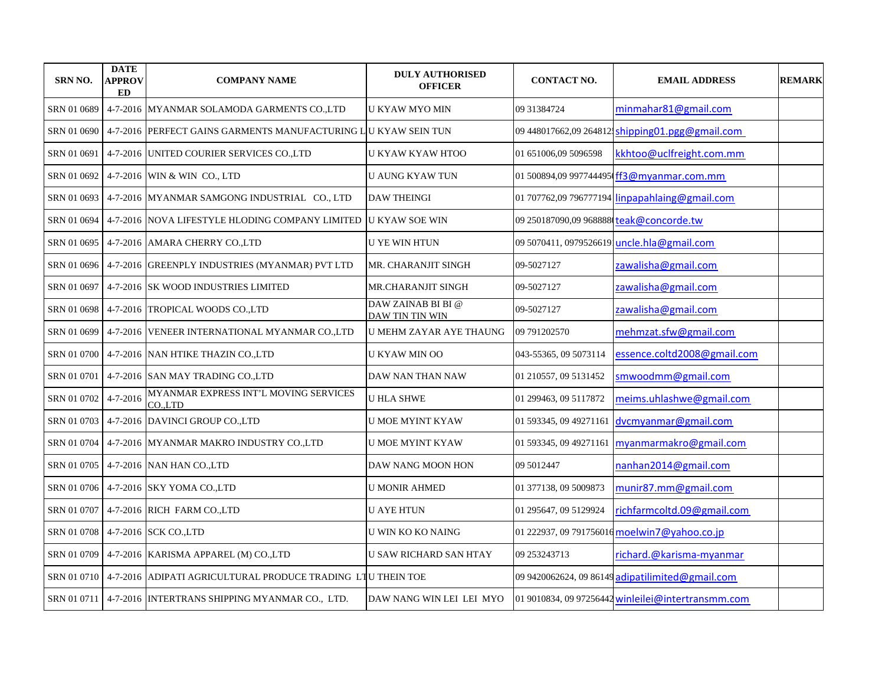| <b>SRN NO.</b> | <b>DATE</b><br>APPROV<br><b>ED</b> | <b>COMPANY NAME</b>                                             | <b>DULY AUTHORISED</b><br><b>OFFICER</b>     | <b>CONTACT NO.</b>                      | <b>EMAIL ADDRESS</b>                               | <b>REMARK</b> |
|----------------|------------------------------------|-----------------------------------------------------------------|----------------------------------------------|-----------------------------------------|----------------------------------------------------|---------------|
| SRN 01 0689    |                                    | 4-7-2016 MYANMAR SOLAMODA GARMENTS CO.,LTD                      | U KYAW MYO MIN                               | 09 31384724                             | minmahar81@gmail.com                               |               |
| SRN 01 0690    |                                    | 4-7-2016 PERFECT GAINS GARMENTS MANUFACTURING L U KYAW SEIN TUN |                                              | 09 448017662,09 264812.                 | shipping01.pgg@gmail.com                           |               |
| SRN 01 0691    |                                    | 4-7-2016 UNITED COURIER SERVICES CO.,LTD                        | U KYAW KYAW HTOO                             | 01 651006,09 5096598                    | kkhtoo@uclfreight.com.mm                           |               |
| SRN 01 0692    |                                    | 4-7-2016 WIN & WIN CO., LTD                                     | <b>U AUNG KYAW TUN</b>                       | 01 500894.09 997744495                  | ff3@myanmar.com.mm                                 |               |
| SRN 01 0693    |                                    | 4-7-2016 MYANMAR SAMGONG INDUSTRIAL CO., LTD                    | <b>DAW THEINGI</b>                           | 01 707762,09 796777194                  | linpapahlaing@gmail.com                            |               |
| SRN 01 0694    |                                    | 4-7-2016 NOVA LIFESTYLE HLODING COMPANY LIMITED                 | <b>U KYAW SOE WIN</b>                        | 09 250187090,09 968888 teak@concorde.tw |                                                    |               |
| SRN 01 0695    |                                    | 4-7-2016 AMARA CHERRY CO.,LTD                                   | U YE WIN HTUN                                | 09 5070411, 0979526619                  | uncle.hla@gmail.com                                |               |
| SRN 01 0696    |                                    | 4-7-2016 GREENPLY INDUSTRIES (MYANMAR) PVT LTD                  | MR. CHARANJIT SINGH                          | 09-5027127                              | zawalisha@gmail.com                                |               |
| SRN 01 0697    |                                    | 4-7-2016 SK WOOD INDUSTRIES LIMITED                             | MR.CHARANJIT SINGH                           | 09-5027127                              | zawalisha@gmail.com                                |               |
| SRN 01 0698    |                                    | 4-7-2016 TROPICAL WOODS CO.,LTD                                 | DAW ZAINAB BI BI @<br><b>DAW TIN TIN WIN</b> | 09-5027127                              | zawalisha@gmail.com                                |               |
| SRN 01 0699    |                                    | 4-7-2016 VENEER INTERNATIONAL MYANMAR CO.,LTD                   | <b>U MEHM ZAYAR AYE THAUNG</b>               | 09 791202570                            | mehmzat.sfw@gmail.com                              |               |
| SRN 01 0700    |                                    | 4-7-2016 NAN HTIKE THAZIN CO.,LTD                               | U KYAW MIN OO                                | 043-55365, 09 5073114                   | essence.coltd2008@gmail.com                        |               |
| SRN 01 0701    |                                    | 4-7-2016 SAN MAY TRADING CO.,LTD                                | DAW NAN THAN NAW                             | 01 210557, 09 5131452                   | smwoodmm@gmail.com                                 |               |
| SRN 01 0702    | $4 - 7 - 2016$                     | MYANMAR EXPRESS INT'L MOVING SERVICES<br>CO.,LTD                | <b>U HLA SHWE</b>                            | 01 299463, 09 5117872                   | meims.uhlashwe@gmail.com                           |               |
| SRN 01 0703    |                                    | 4-7-2016 DAVINCI GROUP CO.,LTD                                  | U MOE MYINT KYAW                             | 01 593345, 09 49271161                  | dvcmyanmar@gmail.com                               |               |
| SRN 01 0704    |                                    | 4-7-2016 MYANMAR MAKRO INDUSTRY CO.,LTD                         | <b>U MOE MYINT KYAW</b>                      | 01 593345, 09 49271161                  | myanmarmakro@gmail.com                             |               |
| SRN 01 0705    |                                    | 4-7-2016 NAN HAN CO., LTD                                       | DAW NANG MOON HON                            | 09 5012447                              | nanhan2014@gmail.com                               |               |
| SRN 01 0706    |                                    | 4-7-2016 SKY YOMA CO.,LTD                                       | <b>U MONIR AHMED</b>                         | 01 377138, 09 5009873                   | munir87.mm@gmail.com                               |               |
| SRN 01 0707    |                                    | 4-7-2016 RICH FARM CO.,LTD                                      | <b>U AYE HTUN</b>                            | 01 295647, 09 5129924                   | richfarmcoltd.09@gmail.com                         |               |
| SRN 01 0708    |                                    | 4-7-2016 SCK CO., LTD                                           | U WIN KO KO NAING                            |                                         | 01 222937, 09 791756016 moelwin7@yahoo.co.jp       |               |
| SRN 01 0709    |                                    | 4-7-2016   KARISMA APPAREL (M) CO.,LTD                          | <b>U SAW RICHARD SAN HTAY</b>                | 09 253243713                            | richard.@karisma-myanmar                           |               |
| SRN 01 0710    |                                    | 4-7-2016 ADIPATI AGRICULTURAL PRODUCE TRADING LTU THEIN TOE     |                                              |                                         | 09 9420062624, 09 86149 adipatilimited@gmail.com   |               |
| SRN 01 0711    |                                    | 4-7-2016 INTERTRANS SHIPPING MYANMAR CO., LTD.                  | DAW NANG WIN LEI LEI MYO                     |                                         | 01 9010834, 09 97256442 winleilei@intertransmm.com |               |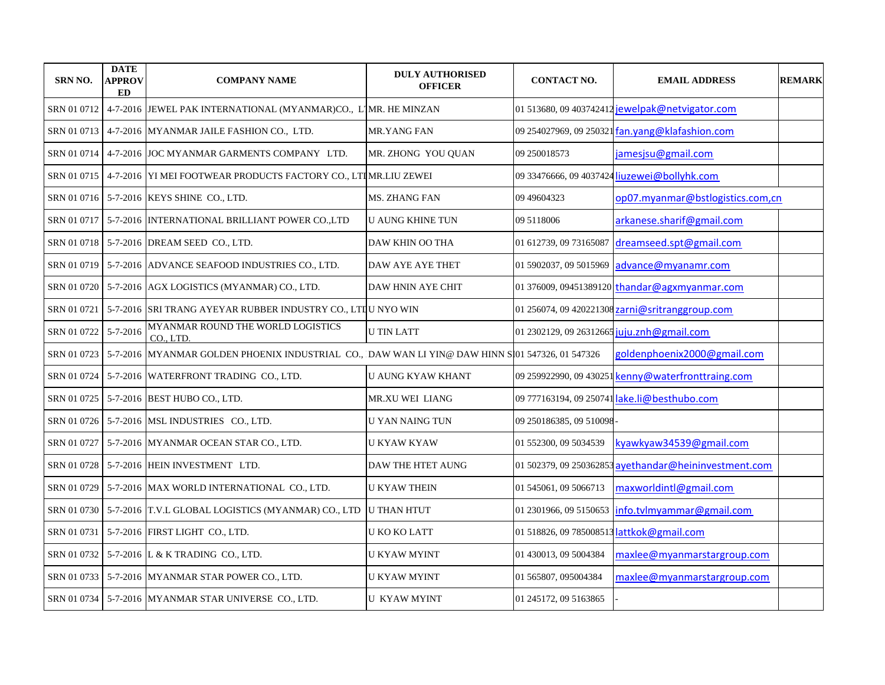| <b>SRN NO.</b> | <b>DATE</b><br>APPROV<br>ED | <b>COMPANY NAME</b>                                                                             | <b>DULY AUTHORISED</b><br><b>OFFICER</b> | <b>CONTACT NO.</b>                         | <b>EMAIL ADDRESS</b>                                  | <b>REMARK</b> |
|----------------|-----------------------------|-------------------------------------------------------------------------------------------------|------------------------------------------|--------------------------------------------|-------------------------------------------------------|---------------|
| SRN 01 0712    |                             | 4-7-2016 JEWEL PAK INTERNATIONAL (MYANMAR)CO., L1MR. HE MINZAN                                  |                                          |                                            | 01 513680, 09 403742412 jewelpak@netvigator.com       |               |
| SRN 01 0713    |                             | 4-7-2016 MYANMAR JAILE FASHION CO., LTD.                                                        | MR.YANG FAN                              |                                            | 09 254027969, 09 250321 fan.yang@klafashion.com       |               |
| SRN 01 0714    |                             | 4-7-2016 JJOC MYANMAR GARMENTS COMPANY LTD.                                                     | MR. ZHONG YOU OUAN                       | 09 250018573                               | jamesjsu@gmail.com                                    |               |
| SRN 01 0715    |                             | 4-7-2016 YI MEI FOOTWEAR PRODUCTS FACTORY CO., LTIMR.LIU ZEWEI                                  |                                          |                                            | 09 33476666, 09 4037424 liuzewei@bollyhk.com          |               |
|                |                             | SRN 01 0716 5-7-2016 KEYS SHINE CO., LTD.                                                       | MS. ZHANG FAN                            | 09 49 60 4323                              | op07.myanmar@bstlogistics.com,cn                      |               |
| SRN 01 0717    |                             | 5-7-2016 INTERNATIONAL BRILLIANT POWER COLTD                                                    | <b>U AUNG KHINE TUN</b>                  | 09 5118006                                 | arkanese.sharif@gmail.com                             |               |
| SRN 01 0718    |                             | 5-7-2016 DREAM SEED CO., LTD.                                                                   | DAW KHIN OO THA                          | 01 612739, 09 73165087                     | dreamseed.spt@gmail.com                               |               |
| SRN 01 0719    |                             | 5-7-2016 ADVANCE SEAFOOD INDUSTRIES CO., LTD.                                                   | <b>DAW AYE AYE THET</b>                  | 01 5902037, 09 5015969                     | advance@myanamr.com                                   |               |
| SRN 01 0720    |                             | 5-7-2016 AGX LOGISTICS (MYANMAR) CO., LTD.                                                      | DAW HNIN AYE CHIT                        |                                            | 01 376009, 09451389120 thandar@agxmyanmar.com         |               |
| SRN 01 0721    |                             | 5-7-2016 SRI TRANG AYEYAR RUBBER INDUSTRY CO., LTIU NYO WIN                                     |                                          |                                            | 01 256074, 09 420221308 zarni@sritranggroup.com       |               |
| SRN 01 0722    | $5 - 7 - 2016$              | MYANMAR ROUND THE WORLD LOGISTICS<br>CO., LTD.                                                  | <b>U TIN LATT</b>                        | 01 2302129, 09 26312665 juju.znh@gmail.com |                                                       |               |
| SRN 01 0723    |                             | 5-7-2016 MYANMAR GOLDEN PHOENIX INDUSTRIAL CO., DAW WAN LI YIN@ DAW HINN St01 547326, 01 547326 |                                          |                                            | goldenphoenix2000@gmail.com                           |               |
| SRN 01 0724    |                             | 5-7-2016 WATERFRONT TRADING CO., LTD.                                                           | U AUNG KYAW KHANT                        |                                            | 09 259922990, 09 430251 kenny@waterfronttraing.com    |               |
|                |                             | SRN 01 0725   5-7-2016   BEST HUBO CO., LTD.                                                    | MR.XU WEI LIANG                          |                                            | 09 777163194, 09 250741 lake.li@besthubo.com          |               |
|                |                             | SRN 01 0726   5-7-2016   MSL INDUSTRIES CO., LTD.                                               | U YAN NAING TUN                          | 09 250186385, 09 510098-                   |                                                       |               |
| SRN 01 0727    |                             | 5-7-2016 MYANMAR OCEAN STAR CO., LTD.                                                           | <b>U KYAW KYAW</b>                       | 01 552300, 09 5034539                      | kyawkyaw34539@gmail.com                               |               |
| SRN 01 0728    |                             | 5-7-2016 HEIN INVESTMENT LTD.                                                                   | DAW THE HTET AUNG                        |                                            | 01 502379, 09 250362853 ayethandar@heininvestment.com |               |
| SRN 01 0729    |                             | 5-7-2016 MAX WORLD INTERNATIONAL CO., LTD.                                                      | <b>U KYAW THEIN</b>                      | 01 545061, 09 5066713                      | maxworldintl@gmail.com                                |               |
|                |                             | SRN 01 0730   5-7-2016   T.V.L GLOBAL LOGISTICS (MYANMAR) CO., LTD                              | <b>U THAN HTUT</b>                       | 01 2301966, 09 5150653                     | info.tvlmyammar@gmail.com                             |               |
| SRN 01 0731    |                             | 5-7-2016 FIRST LIGHT CO., LTD.                                                                  | U KO KO LATT                             | 01 518826, 09 785008513 attkok@gmail.com   |                                                       |               |
|                |                             | SRN 01 0732 5-7-2016 L & K TRADING CO., LTD.                                                    | <b>U KYAW MYINT</b>                      | 01 430013, 09 5004384                      | maxlee@myanmarstargroup.com                           |               |
| SRN 01 0733    |                             | 5-7-2016 MYANMAR STAR POWER CO., LTD.                                                           | <b>U KYAW MYINT</b>                      | 01 565807, 095004384                       | maxlee@myanmarstargroup.com                           |               |
|                |                             | SRN 01 0734   5-7-2016   MYANMAR STAR UNIVERSE CO., LTD.                                        | <b>U KYAW MYINT</b>                      | 01 245172, 09 5163865                      |                                                       |               |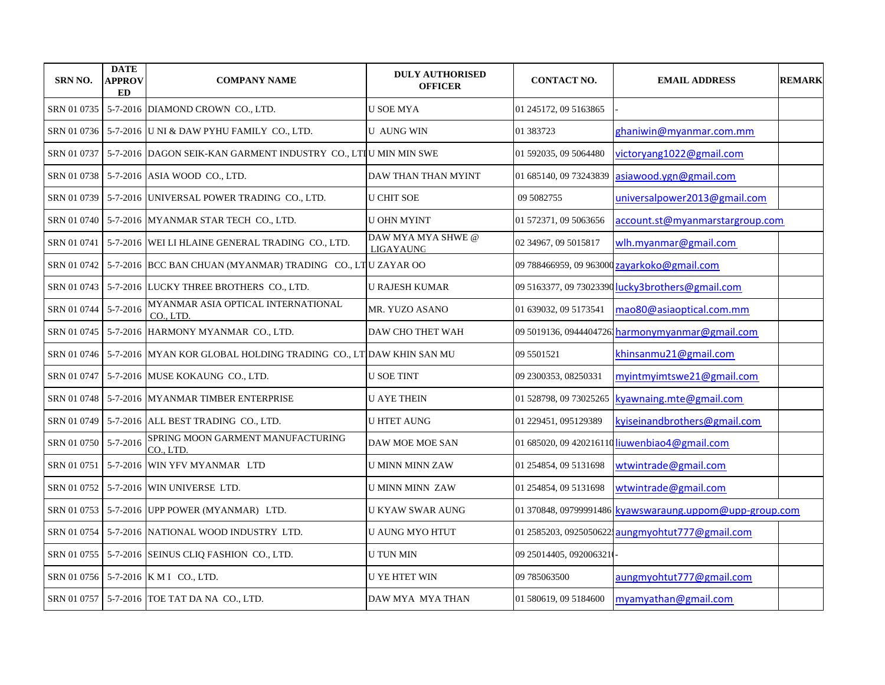| <b>SRN NO.</b> | <b>DATE</b><br><b>APPROV</b><br><b>ED</b> | <b>COMPANY NAME</b>                                                         | <b>DULY AUTHORISED</b><br><b>OFFICER</b> | <b>CONTACT NO.</b>      | <b>EMAIL ADDRESS</b>                                    | <b>REMARK</b> |
|----------------|-------------------------------------------|-----------------------------------------------------------------------------|------------------------------------------|-------------------------|---------------------------------------------------------|---------------|
| SRN 01 0735    |                                           | 5-7-2016 DIAMOND CROWN CO., LTD.                                            | U SOE MYA                                | 01 245172, 09 5163865   |                                                         |               |
|                |                                           | SRN 01 0736   5-7-2016 U NI & DAW PYHU FAMILY CO., LTD.                     | <b>U AUNG WIN</b>                        | 01 383723               | ghaniwin@myanmar.com.mm                                 |               |
| SRN 01 0737    |                                           | 5-7-2016 DAGON SEIK-KAN GARMENT INDUSTRY CO., LTIU MIN MIN SWE              |                                          | 01 592035, 09 5064480   | victoryang1022@gmail.com                                |               |
|                |                                           | SRN 01 0738 5-7-2016 ASIA WOOD CO., LTD.                                    | DAW THAN THAN MYINT                      | 01 685140, 09 73243839  | asiawood.ygn@gmail.com                                  |               |
| SRN 01 0739    |                                           | 5-7-2016 UNIVERSAL POWER TRADING CO., LTD.                                  | <b>U CHIT SOE</b>                        | 09 5082755              | universalpower2013@gmail.com                            |               |
| SRN 01 0740    |                                           | 5-7-2016 MYANMAR STAR TECH CO., LTD.                                        | <b>U OHN MYINT</b>                       | 01 572371, 09 5063656   | account.st@myanmarstargroup.com                         |               |
| SRN 01 0741    |                                           | 5-7-2016 WEI LI HLAINE GENERAL TRADING CO., LTD.                            | DAW MYA MYA SHWE @<br>LIGAYAUNG          | 02 34967, 09 5015817    | wlh.myanmar@gmail.com                                   |               |
| SRN 01 0742    |                                           | 5-7-2016 BCC BAN CHUAN (MYANMAR) TRADING CO., LTU ZAYAR OO                  |                                          |                         | 09 788466959, 09 963000 zayarkoko@gmail.com             |               |
| SRN 01 0743    |                                           | 5-7-2016 LUCKY THREE BROTHERS CO., LTD.                                     | <b>U RAJESH KUMAR</b>                    |                         | 09 5163377, 09 73023390 lucky3brothers@gmail.com        |               |
| SRN 01 0744    | $5 - 7 - 2016$                            | MYANMAR ASIA OPTICAL INTERNATIONAL<br>CO., LTD.                             | MR. YUZO ASANO                           | 01 639032, 09 5173541   | mao80@asiaoptical.com.mm                                |               |
| SRN 01 0745    |                                           | 5-7-2016 HARMONY MYANMAR CO., LTD.                                          | DAW CHO THET WAH                         |                         | 09 5019136, 09444047261harmonymyanmar@gmail.com         |               |
|                |                                           | SRN 01 0746 5-7-2016 MYAN KOR GLOBAL HOLDING TRADING CO., LTDAW KHIN SAN MU |                                          | 09 5501521              | khinsanmu21@gmail.com                                   |               |
|                |                                           | SRN 01 0747   5-7-2016  MUSE KOKAUNG CO., LTD.                              | U SOE TINT                               | 09 2300353, 08250331    | myintmyimtswe21@gmail.com                               |               |
|                |                                           | SRN 01 0748   5-7-2016   MYANMAR TIMBER ENTERPRISE                          | <b>U AYE THEIN</b>                       | 01 528798, 09 73025265  | kyawnaing.mte@gmail.com                                 |               |
|                |                                           | SRN 01 0749   5-7-2016  ALL BEST TRADING CO., LTD.                          | <b>U HTET AUNG</b>                       | 01 229451, 095129389    | kyiseinandbrothers@gmail.com                            |               |
| SRN 01 0750    | $5 - 7 - 2016$                            | SPRING MOON GARMENT MANUFACTURING<br>CO., LTD.                              | DAW MOE MOE SAN                          |                         | 01 685020, 09 420216110 liuwenbiao4@gmail.com           |               |
| SRN 01 0751    |                                           | 5-7-2016 WIN YFV MYANMAR LTD                                                | U MINN MINN ZAW                          | 01 254854, 09 5131698   | wtwintrade@gmail.com                                    |               |
| SRN 01 0752    |                                           | 5-7-2016 WIN UNIVERSE LTD.                                                  | U MINN MINN ZAW                          | 01 254854, 09 5131698   | wtwintrade@gmail.com                                    |               |
|                |                                           | SRN 01 0753   5-7-2016 UPP POWER (MYANMAR) LTD.                             | U KYAW SWAR AUNG                         |                         | 01 370848, 09799991486 kyawswaraung.uppom@upp-group.com |               |
| SRN 01 0754    |                                           | 5-7-2016 NATIONAL WOOD INDUSTRY LTD.                                        | U AUNG MYO HTUT                          |                         | 01 2585203, 0925050622 aungmyohtut 777@gmail.com        |               |
|                |                                           | SRN 01 0755 5-7-2016 SEINUS CLIQ FASHION CO., LTD.                          | <b>U TUN MIN</b>                         | 09 25014405, 0920063210 |                                                         |               |
|                |                                           | SRN 01 0756 5-7-2016 K M I CO., LTD.                                        | U YE HTET WIN                            | 09 785063500            | aungmyohtut777@gmail.com                                |               |
|                |                                           | SRN 01 0757 5-7-2016 TOE TAT DA NA CO., LTD.                                | DAW MYA MYA THAN                         | 01 580619, 09 5184600   | myamyathan@gmail.com                                    |               |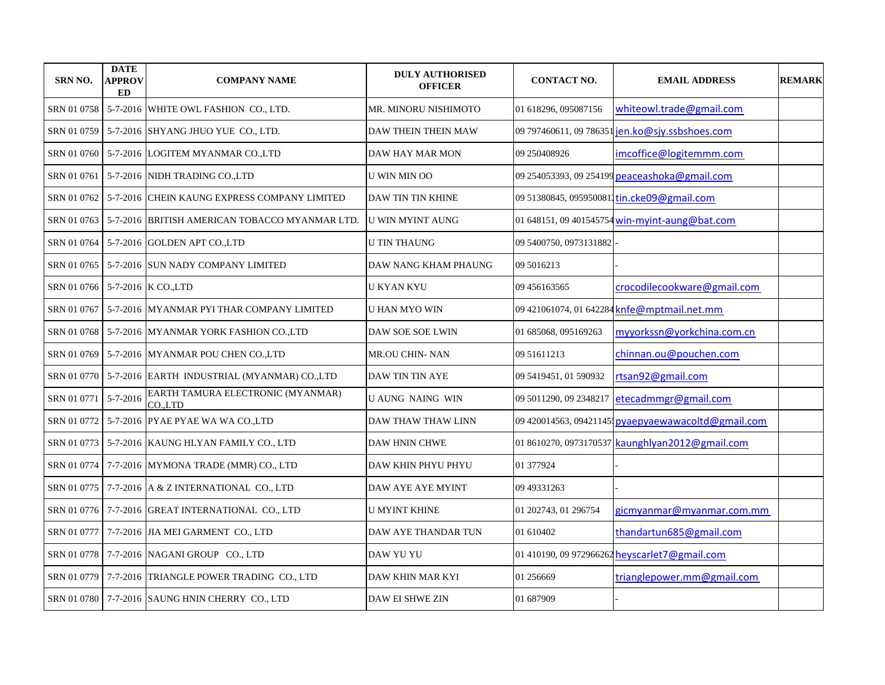| <b>SRN NO.</b> | <b>DATE</b><br><b>APPROV</b><br>ED | <b>COMPANY NAME</b>                                         | <b>DULY AUTHORISED</b><br><b>OFFICER</b> | <b>CONTACT NO.</b>     | <b>EMAIL ADDRESS</b>                                | <b>REMARK</b> |
|----------------|------------------------------------|-------------------------------------------------------------|------------------------------------------|------------------------|-----------------------------------------------------|---------------|
| SRN 01 0758    |                                    | 5-7-2016 WHITE OWL FASHION CO., LTD.                        | MR. MINORU NISHIMOTO                     | 01 618296, 095087156   | whiteowl.trade@gmail.com                            |               |
| SRN 01 0759    |                                    | 5-7-2016 SHYANG JHUO YUE CO., LTD.                          | DAW THEIN THEIN MAW                      |                        | 09 797460611, 09 786351 jen.ko@sjy.ssbshoes.com     |               |
| SRN 01 0760    |                                    | 5-7-2016 LOGITEM MYANMAR CO.,LTD                            | DAW HAY MAR MON                          | 09 250408926           | imcoffice@logitemmm.com                             |               |
| SRN 01 0761    |                                    | 5-7-2016 NIDH TRADING CO.,LTD                               | U WIN MIN OO                             |                        | 09 254053393, 09 254199 peaceashoka@gmail.com       |               |
| SRN 01 0762    |                                    | 5-7-2016 CHEIN KAUNG EXPRESS COMPANY LIMITED                | <b>DAW TIN TIN KHINE</b>                 |                        | 09 51380845, 0959500811tin.cke09@gmail.com          |               |
| SRN 01 0763    |                                    | 5-7-2016 BRITISH AMERICAN TOBACCO MYANMAR LTD.              | U WIN MYINT AUNG                         |                        | 01 648151, 09 401545754 win-myint-aung@bat.com      |               |
| SRN 01 0764    |                                    | 5-7-2016 GOLDEN APT CO.,LTD                                 | U TIN THAUNG                             | 09 5400750, 0973131882 |                                                     |               |
| SRN 01 0765    |                                    | 5-7-2016 SUN NADY COMPANY LIMITED                           | DAW NANG KHAM PHAUNG                     | 09 5016213             |                                                     |               |
| SRN 01 0766    |                                    | 5-7-2016 K CO., LTD                                         | <b>U KYAN KYU</b>                        | 09 45 61 635 65        | crocodilecookware@gmail.com                         |               |
| SRN 01 0767    |                                    | 5-7-2016 MYANMAR PYI THAR COMPANY LIMITED                   | U HAN MYO WIN                            |                        | 09 421061074, 01 642284 knfe@mptmail.net.mm         |               |
| SRN 01 0768    |                                    | 5-7-2016 MYANMAR YORK FASHION CO.,LTD                       | DAW SOE SOE LWIN                         | 01 685068, 095169263   | myyorkssn@yorkchina.com.cn                          |               |
|                |                                    | SRN 01 0769   5-7-2016   MYANMAR POU CHEN CO., LTD          | <b>MR.OU CHIN- NAN</b>                   | 09 51 61 12 13         | chinnan.ou@pouchen.com                              |               |
|                |                                    | SRN 01 0770   5-7-2016   EARTH INDUSTRIAL (MYANMAR) CO.,LTD | DAW TIN TIN AYE                          | 09 5419451, 01 590932  | rtsan92@gmail.com                                   |               |
| SRN 01 0771    | $5 - 7 - 2016$                     | EARTH TAMURA ELECTRONIC (MYANMAR)<br>CO.,LTD                | <b>UAUNG NAING WIN</b>                   |                        | 09 5011290, 09 2348217 etecadmmgr@gmail.com         |               |
|                |                                    | SRN 01 0772 5-7-2016 PYAE PYAE WA WA CO.,LTD                | DAW THAW THAW LINN                       |                        | 09 420014563, 09421145; pyaepyaewawacoltd@gmail.com |               |
|                |                                    | SRN 01 0773 5-7-2016 KAUNG HLYAN FAMILY CO., LTD            | <b>DAW HNIN CHWE</b>                     |                        | 01 8610270, 0973170537 kaunghlyan2012@gmail.com     |               |
| SRN 01 0774    |                                    | 7-7-2016 MYMONA TRADE (MMR) CO., LTD                        | DAW KHIN PHYU PHYU                       | 01 377924              |                                                     |               |
| SRN 01 0775    |                                    | 7-7-2016 A & Z INTERNATIONAL CO., LTD                       | DAW AYE AYE MYINT                        | 09 49331263            |                                                     |               |
| SRN 01 0776    |                                    | 7-7-2016 GREAT INTERNATIONAL CO., LTD                       | U MYINT KHINE                            | 01 202743, 01 296754   | gicmyanmar@myanmar.com.mm                           |               |
| SRN 01 0777    |                                    | 7-7-2016 JIA MEI GARMENT CO., LTD                           | DAW AYE THANDAR TUN                      | 01 610402              | thandartun685@gmail.com                             |               |
|                |                                    | SRN 01 0778   7-7-2016   NAGANI GROUP CO., LTD              | DAW YU YU                                |                        | 01 410190, 09 972966262 heyscarlet7@gmail.com       |               |
| SRN 01 0779    |                                    | 7-7-2016 TRIANGLE POWER TRADING CO., LTD                    | DAW KHIN MAR KYI                         | 01 256669              | trianglepower.mm@gmail.com                          |               |
|                |                                    | SRN 01 0780   7-7-2016 SAUNG HNIN CHERRY CO., LTD           | <b>DAW EI SHWE ZIN</b>                   | 01 687909              |                                                     |               |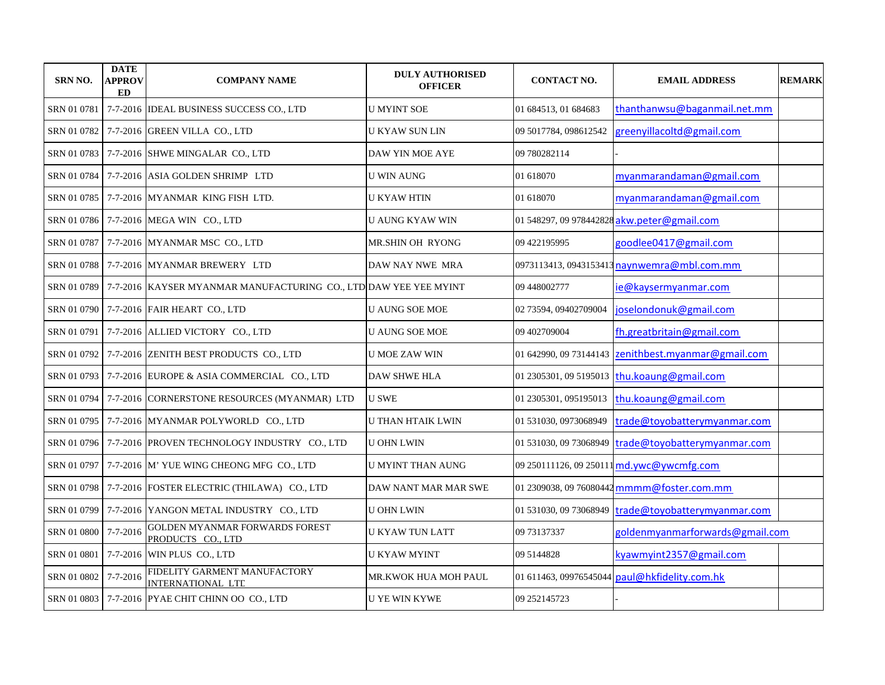| SRN NO.              | <b>DATE</b><br><b>APPROV</b><br>ED | <b>COMPANY NAME</b>                                                             | <b>DULY AUTHORISED</b><br><b>OFFICER</b> | <b>CONTACT NO.</b>     | <b>EMAIL ADDRESS</b>                                | <b>REMARK</b> |
|----------------------|------------------------------------|---------------------------------------------------------------------------------|------------------------------------------|------------------------|-----------------------------------------------------|---------------|
| SRN 01 0781          |                                    | 7-7-2016 IDEAL BUSINESS SUCCESS CO., LTD                                        | <b>U MYINT SOE</b>                       | 01 684513, 01 684683   | thanthanwsu@baganmail.net.mm                        |               |
|                      |                                    | SRN 01 0782   7-7-2016 GREEN VILLA CO., LTD                                     | <b>U KYAW SUN LIN</b>                    | 09 5017784, 098612542  | greenyillacoltd@gmail.com                           |               |
|                      |                                    | SRN 01 0783   7-7-2016 SHWE MINGALAR CO., LTD                                   | DAW YIN MOE AYE                          | 09 780282114           |                                                     |               |
|                      |                                    | SRN 01 0784 7-7-2016 ASIA GOLDEN SHRIMP LTD                                     | <b>U WIN AUNG</b>                        | 01 618070              | myanmarandaman@gmail.com                            |               |
|                      |                                    | SRN 01 0785 7-7-2016 MYANMAR KING FISH LTD.                                     | <b>U KYAW HTIN</b>                       | 01 618070              | myanmarandaman@gmail.com                            |               |
|                      |                                    | SRN 01 0786 7-7-2016 MEGA WIN CO., LTD                                          | <b>U AUNG KYAW WIN</b>                   |                        | 01 548297, 09 978442828 akw.peter@gmail.com         |               |
|                      |                                    | SRN 01 0787 7-7-2016 MYANMAR MSC CO., LTD                                       | <b>MR.SHIN OH RYONG</b>                  | 09 422195995           | goodlee0417@gmail.com                               |               |
|                      |                                    | SRN 01 0788   7-7-2016 MYANMAR BREWERY LTD                                      | DAW NAY NWE MRA                          |                        | 0973113413, 0943153413 naynwemra@mbl.com.mm         |               |
|                      |                                    | SRN 01 0789   7-7-2016  KAYSER MYANMAR MANUFACTURING CO., LTD DAW YEE YEE MYINT |                                          | 09 448002777           | ie@kaysermyanmar.com                                |               |
|                      |                                    | SRN 01 0790 7-7-2016 FAIR HEART CO., LTD                                        | <b>U AUNG SOE MOE</b>                    | 02 73594, 09402709004  | joselondonuk@gmail.com                              |               |
|                      |                                    | SRN 01 0791 7-7-2016 ALLIED VICTORY CO., LTD                                    | <b>U AUNG SOE MOE</b>                    | 09 402709004           | fh.greatbritain@gmail.com                           |               |
|                      |                                    | SRN 01 0792 7-7-2016 ZENITH BEST PRODUCTS CO., LTD                              | <b>U MOE ZAW WIN</b>                     |                        | 01 642990, 09 73144143 zenithbest.myanmar@gmail.com |               |
|                      |                                    | SRN 01 0793   7-7-2016  EUROPE & ASIA COMMERCIAL CO., LTD                       | <b>DAW SHWE HLA</b>                      |                        | 01 2305301, 09 5195013 thu.koaung@gmail.com         |               |
|                      |                                    | SRN 01 0794 7-7-2016 CORNERSTONE RESOURCES (MYANMAR) LTD                        | <b>U SWE</b>                             |                        | 01 2305301, 095195013  thu.koaung@gmail.com         |               |
|                      |                                    | SRN 01 0795   7-7-2016  MYANMAR POLYWORLD CO., LTD                              | U THAN HTAIK LWIN                        | 01 531030, 0973068949  | trade@toyobatterymyanmar.com                        |               |
|                      |                                    | SRN 01 0796   7-7-2016  PROVEN TECHNOLOGY INDUSTRY CO., LTD                     | <b>U OHN LWIN</b>                        | 01 531030, 09 73068949 | trade@toyobatterymyanmar.com                        |               |
|                      |                                    | SRN 01 0797 7-7-2016 M' YUE WING CHEONG MFG CO., LTD                            | <b>U MYINT THAN AUNG</b>                 |                        | 09 250111126, 09 250111 md. ywc@ywcmfg.com          |               |
|                      |                                    | SRN 01 0798 7-7-2016 FOSTER ELECTRIC (THILAWA) CO., LTD                         | DAW NANT MAR MAR SWE                     |                        | 01 2309038, 09 76080442 mmmm@foster.com.mm          |               |
|                      |                                    | SRN 01 0799   7-7-2016 YANGON METAL INDUSTRY CO., LTD                           | <b>U OHN LWIN</b>                        |                        | 01 531030, 09 73068949 trade@toyobatterymyanmar.com |               |
| SRN 01 0800 7-7-2016 |                                    | <b>GOLDEN MYANMAR FORWARDS FOREST</b><br>PRODUCTS CO., LTD                      | <b>U KYAW TUN LATT</b>                   | 09 73137337            | goldenmyanmarforwards@gmail.com                     |               |
|                      |                                    | SRN 01 0801 7-7-2016 WIN PLUS CO., LTD                                          | <b>U KYAW MYINT</b>                      | 09 5144828             | kyawmyint2357@gmail.com                             |               |
| SRN 01 0802          | 7-7-2016                           | FIDELITY GARMENT MANUFACTORY<br>INTERNATIONAL LTE                               | MR.KWOK HUA MOH PAUL                     |                        | 01 611463, 09976545044 paul@hkfidelity.com.hk       |               |
|                      |                                    | SRN 01 0803   7-7-2016   PYAE CHIT CHINN OO CO., LTD                            | <b>U YE WIN KYWE</b>                     | 09 25 214 57 23        |                                                     |               |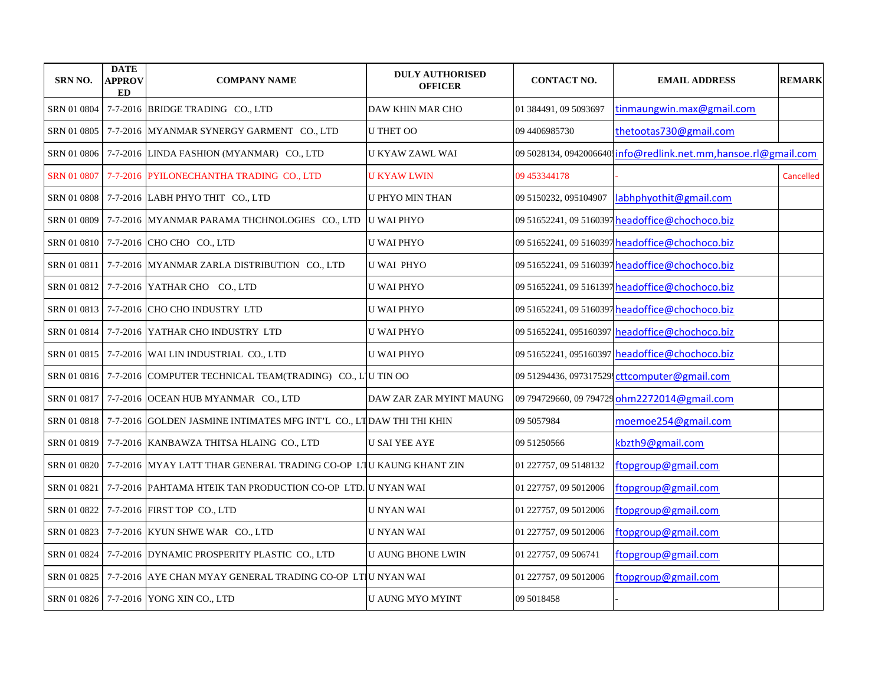| <b>SRN NO.</b> | <b>DATE</b><br><b>APPROV</b><br><b>ED</b> | <b>COMPANY NAME</b>                                                                  | <b>DULY AUTHORISED</b><br><b>OFFICER</b> | <b>CONTACT NO.</b>    | <b>EMAIL ADDRESS</b>                                           | <b>REMARK</b> |
|----------------|-------------------------------------------|--------------------------------------------------------------------------------------|------------------------------------------|-----------------------|----------------------------------------------------------------|---------------|
| SRN 01 0804    |                                           | 7-7-2016 BRIDGE TRADING CO., LTD                                                     | DAW KHIN MAR CHO                         | 01 384491, 09 5093697 | tinmaungwin.max@gmail.com                                      |               |
|                |                                           | SRN 01 0805   7-7-2016 MYANMAR SYNERGY GARMENT CO., LTD                              | <b>U THET OO</b>                         | 09 440 69 85730       | thetootas730@gmail.com                                         |               |
|                |                                           | SRN 01 0806   7-7-2016 LINDA FASHION (MYANMAR) CO., LTD                              | U KYAW ZAWL WAI                          |                       | 09 5028134, 0942006640 info@redlink.net.mm,hansoe.rl@gmail.com |               |
|                |                                           | SRN 01 0807 7-7-2016 PYILONECHANTHA TRADING CO., LTD                                 | <b>U KYAW LWIN</b>                       | 09 453344178          |                                                                | Cancelled     |
|                |                                           | SRN 01 0808 7-7-2016 LABH PHYO THIT CO., LTD                                         | <b>U PHYO MIN THAN</b>                   | 09 5150232, 095104907 | labhphyothit@gmail.com                                         |               |
|                |                                           | SRN 01 0809 7-7-2016 MYANMAR PARAMA THCHNOLOGIES CO., LTD                            | <b>U WAI PHYO</b>                        |                       | 09 51652241, 09 5160397 headoffice@chochoco.biz                |               |
|                |                                           | SRN 01 0810 7-7-2016 CHO CHO CO., LTD                                                | <b>U WAI PHYO</b>                        |                       | 09 51652241, 09 5160397 headoffice@chochoco.biz                |               |
| SRN 01 0811    |                                           | 7-7-2016 MYANMAR ZARLA DISTRIBUTION CO., LTD                                         | <b>U WAI PHYO</b>                        |                       | 09 51652241, 09 5160397 headoffice@chochoco.biz                |               |
|                |                                           | SRN 01 0812   7-7-2016   YATHAR CHO CO., LTD                                         | <b>U WAI PHYO</b>                        |                       | 09 51652241, 09 5161397 headoffice@chochoco.biz                |               |
|                |                                           | SRN 01 0813 7-7-2016 CHO CHO INDUSTRY LTD                                            | <b>U WAI PHYO</b>                        |                       | 09 51652241, 09 5160397 headoffice@chochoco.biz                |               |
|                |                                           | SRN 01 0814 7-7-2016 YATHAR CHO INDUSTRY LTD                                         | <b>U WAI PHYO</b>                        |                       | 09 51652241, 095160397 headoffice@chochoco.biz                 |               |
|                |                                           | SRN 01 0815   7-7-2016   WAI LIN INDUSTRIAL CO., LTD                                 | <b>U WAI PHYO</b>                        |                       | 09 51652241, 095160397 headoffice@chochoco.biz                 |               |
|                |                                           | SRN 01 0816 7-7-2016 COMPUTER TECHNICAL TEAM(TRADING) CO., L'IU TIN OO               |                                          |                       | 09 51294436, 097317529 cttcomputer@gmail.com                   |               |
|                |                                           | SRN 01 0817   7-7-2016 OCEAN HUB MYANMAR CO., LTD                                    | DAW ZAR ZAR MYINT MAUNG                  |                       | 09 794729660, 09 794729 ohm2272014@gmail.com                   |               |
|                |                                           | SRN 01 0818   7-7-2016  GOLDEN JASMINE INTIMATES MFG INT'L  CO., LT DAW THI THI KHIN |                                          | 09 50 579 84          | moemoe254@gmail.com                                            |               |
|                |                                           | SRN 01 0819   7-7-2016   KANBAWZA THITSA HLAING CO., LTD                             | <b>U SAI YEE AYE</b>                     | 09 51250566           | kbzth9@gmail.com                                               |               |
|                |                                           | SRN 01 0820   7-7-2016  MYAY LATT THAR GENERAL TRADING CO-OP  L'IU KAUNG KHANT ZIN   |                                          | 01 227757, 09 5148132 | ftopgroup@gmail.com                                            |               |
| SRN 01 0821    |                                           | 7-7-2016 PAHTAMA HTEIK TAN PRODUCTION CO-OP LTD. U NYAN WAI                          |                                          | 01 227757, 09 5012006 | ftopgroup@gmail.com                                            |               |
|                |                                           | SRN 01 0822   7-7-2016   FIRST TOP CO., LTD                                          | <b>U NYAN WAI</b>                        | 01 227757, 09 5012006 | ftopgroup@gmail.com                                            |               |
|                |                                           | SRN 01 0823 7-7-2016 KYUN SHWE WAR CO., LTD                                          | <b>U NYAN WAI</b>                        | 01 227757, 09 5012006 | ftopgroup@gmail.com                                            |               |
|                |                                           | SRN 01 0824   7-7-2016 DYNAMIC PROSPERITY PLASTIC CO., LTD                           | <b>U AUNG BHONE LWIN</b>                 | 01 227757, 09 506741  | ftopgroup@gmail.com                                            |               |
|                |                                           | SRN 01 0825   7-7-2016   AYE CHAN MYAY GENERAL TRADING CO-OP LTIU NYAN WAI           |                                          | 01 227757, 09 5012006 | ftopgroup@gmail.com                                            |               |
|                |                                           | SRN 01 0826   7-7-2016   YONG XIN CO., LTD                                           | <b>U AUNG MYO MYINT</b>                  | 09 5018458            |                                                                |               |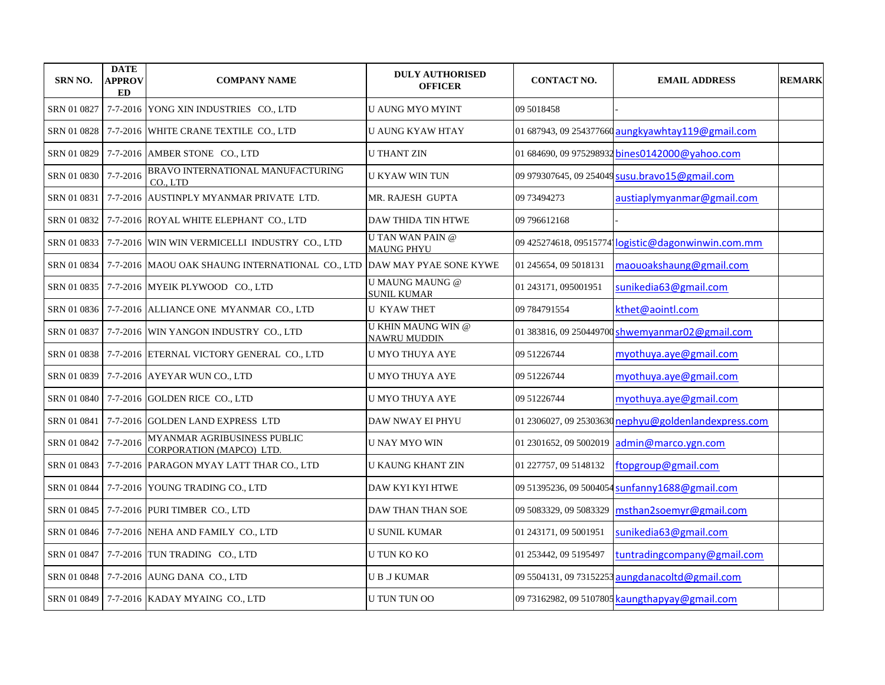| SRN NO.     | <b>DATE</b><br><b>APPROV</b><br>ED | <b>COMPANY NAME</b>                                                                    | <b>DULY AUTHORISED</b><br><b>OFFICER</b>         | <b>CONTACT NO.</b>      | <b>EMAIL ADDRESS</b>                                 | <b>REMARK</b> |
|-------------|------------------------------------|----------------------------------------------------------------------------------------|--------------------------------------------------|-------------------------|------------------------------------------------------|---------------|
| SRN 01 0827 |                                    | 7-7-2016 YONG XIN INDUSTRIES CO., LTD                                                  | <b>U AUNG MYO MYINT</b>                          | 09 5018458              |                                                      |               |
|             |                                    | SRN 01 0828 7-7-2016 WHITE CRANE TEXTILE CO., LTD                                      | U AUNG KYAW HTAY                                 |                         | 01 687943, 09 254377660 aungkyawhtay119@gmail.com    |               |
| SRN 01 0829 |                                    | 7-7-2016 AMBER STONE CO., LTD                                                          | <b>U THANT ZIN</b>                               |                         | 01 684690, 09 975298932 bines0142000@vahoo.com       |               |
| SRN 01 0830 | $7 - 7 - 2016$                     | BRAVO INTERNATIONAL MANUFACTURING<br>CO., LTD                                          | <b>U KYAW WIN TUN</b>                            |                         | 09 979307645, 09 254049 susu.bravo15@gmail.com       |               |
| SRN 01 0831 |                                    | 7-7-2016 AUSTINPLY MYANMAR PRIVATE LTD.                                                | MR. RAJESH GUPTA                                 | 09 73494273             | austiaplymyanmar@gmail.com                           |               |
|             |                                    | SRN 01 0832   7-7-2016 ROYAL WHITE ELEPHANT CO., LTD                                   | <b>DAW THIDA TIN HTWE</b>                        | 09 79 6612168           |                                                      |               |
|             |                                    | SRN 01 0833 7-7-2016 WIN WIN VERMICELLI INDUSTRY CO., LTD                              | <b>UTAN WAN PAIN @</b><br><b>MAUNG PHYU</b>      |                         | 09 425274618, 09515774 logistic@dagonwinwin.com.mm   |               |
|             |                                    | SRN 01 0834   7-7-2016  MAOU OAK SHAUNG INTERNATIONAL CO., LTD  DAW MAY PYAE SONE KYWE |                                                  | 01 245654, 09 5018131   | maouoakshaung@gmail.com                              |               |
|             |                                    | SRN 01 0835 7-7-2016 MYEIK PLYWOOD CO., LTD                                            | <b>U MAUNG MAUNG @</b><br><b>SUNIL KUMAR</b>     | 01 243171, 095001951    | sunikedia63@gmail.com                                |               |
|             |                                    | SRN 01 0836   7-7-2016   ALLIANCE ONE MYANMAR CO., LTD                                 | <b>U KYAW THET</b>                               | 09 784791554            | kthet@aointl.com                                     |               |
|             |                                    | SRN 01 0837   7-7-2016   WIN YANGON INDUSTRY CO., LTD                                  | <b>U KHIN MAUNG WIN @</b><br><b>NAWRU MUDDIN</b> |                         | 01 383816, 09 250449700 shwemyanmar02@gmail.com      |               |
|             |                                    | SRN 01 0838   7-7-2016 ETERNAL VICTORY GENERAL CO., LTD                                | U MYO THUYA AYE                                  | 09 51226744             | myothuya.aye@gmail.com                               |               |
|             |                                    | SRN 01 0839   7-7-2016   AYEYAR WUN CO., LTD                                           | U MYO THUYA AYE                                  | 09 51226744             | myothuya.aye@gmail.com                               |               |
|             |                                    | SRN 01 0840   7-7-2016 GOLDEN RICE CO., LTD                                            | U MYO THUYA AYE                                  | 09 51226744             | myothuya.aye@gmail.com                               |               |
| SRN 01 0841 |                                    | 7-7-2016 GOLDEN LAND EXPRESS LTD                                                       | DAW NWAY EI PHYU                                 |                         | 01 2306027, 09 25303630 nephyu@goldenlandexpress.com |               |
| SRN 01 0842 | 7-7-2016                           | MYANMAR AGRIBUSINESS PUBLIC<br>CORPORATION (MAPCO) LTD.                                | <b>U NAY MYO WIN</b>                             | 01 2301652, 09 5002019  | admin@marco.ygn.com                                  |               |
|             |                                    | SRN 01 0843   7-7-2016  PARAGON MYAY LATT THAR CO., LTD                                | U KAUNG KHANT ZIN                                | 01 227757, 09 5148132   | ftopgroup@gmail.com                                  |               |
|             |                                    | SRN 01 0844 7-7-2016 YOUNG TRADING CO., LTD                                            | DAW KYI KYI HTWE                                 | 09 51395236, 09 5004054 | sunfanny1688@gmail.com                               |               |
|             |                                    | SRN 01 0845   7-7-2016 PURI TIMBER CO., LTD                                            | DAW THAN THAN SOE                                | 09 5083329, 09 5083329  | msthan2soemyr@gmail.com                              |               |
|             |                                    | SRN 01 0846 7-7-2016 NEHA AND FAMILY CO., LTD                                          | <b>U SUNIL KUMAR</b>                             | 01 243171, 09 5001951   | sunikedia63@gmail.com                                |               |
|             |                                    | SRN 01 0847   7-7-2016 TUN TRADING CO., LTD                                            | U TUN KO KO                                      | 01 253442, 09 5195497   | tuntradingcompany@gmail.com                          |               |
|             |                                    | SRN 01 0848   7-7-2016   AUNG DANA CO., LTD                                            | <b>UBJKUMAR</b>                                  | 09 5504131, 09 73152253 | aungdanacoltd@gmail.com                              |               |
|             |                                    | SRN 01 0849 7-7-2016 KADAY MYAING CO., LTD                                             | U TUN TUN OO                                     |                         | 09 73162982, 09 5107805 kaungthapyay@gmail.com       |               |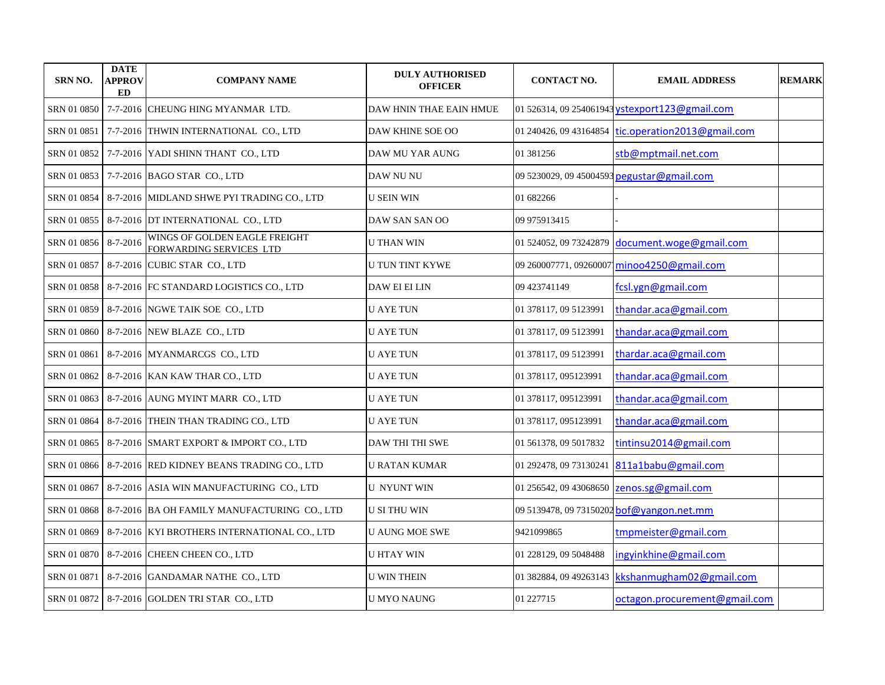| <b>SRN NO.</b> | <b>DATE</b><br><b>APPROV</b><br><b>ED</b> | <b>COMPANY NAME</b>                                      | <b>DULY AUTHORISED</b><br><b>OFFICER</b> | <b>CONTACT NO.</b>     | <b>EMAIL ADDRESS</b>                           | <b>REMARK</b> |
|----------------|-------------------------------------------|----------------------------------------------------------|------------------------------------------|------------------------|------------------------------------------------|---------------|
| SRN 01 0850    |                                           | 7-7-2016 CHEUNG HING MYANMAR LTD.                        | DAW HNIN THAE EAIN HMUE                  |                        | 01 526314, 09 254061943 vstexport123@gmail.com |               |
| SRN 01 0851    |                                           | 7-7-2016 THWIN INTERNATIONAL CO., LTD                    | DAW KHINE SOE OO                         | 01 240426, 09 43164854 | tic.operation2013@gmail.com                    |               |
| SRN 01 0852    |                                           | 7-7-2016 YADI SHINN THANT CO., LTD                       | DAW MU YAR AUNG                          | 01 381256              | stb@mptmail.net.com                            |               |
| SRN 01 0853    |                                           | 7-7-2016 BAGO STAR CO., LTD                              | DAW NU NU                                |                        | 09 5230029, 09 45004593 pegustar@gmail.com     |               |
| SRN 01 0854    |                                           | 8-7-2016 MIDLAND SHWE PYI TRADING CO., LTD               | <b>U SEIN WIN</b>                        | 01 682266              |                                                |               |
| SRN 01 0855    |                                           | 8-7-2016 DT INTERNATIONAL CO., LTD                       | DAW SAN SAN OO                           | 09 975913415           |                                                |               |
| SRN 01 0856    | $8 - 7 - 2016$                            | WINGS OF GOLDEN EAGLE FREIGHT<br>FORWARDING SERVICES LTD | U THAN WIN                               | 01 524052, 09 73242879 | document.woge@gmail.com                        |               |
| SRN 01 0857    |                                           | 8-7-2016 CUBIC STAR CO., LTD                             | <b>U TUN TINT KYWE</b>                   |                        | 09 260007771, 09260007 minoo4250@gmail.com     |               |
| SRN 01 0858    |                                           | 8-7-2016 FC STANDARD LOGISTICS CO., LTD                  | DAW EI EI LIN                            | 09 423741149           | fcsl.ygn@gmail.com                             |               |
| SRN 01 0859    |                                           | 8-7-2016 NGWE TAIK SOE CO., LTD                          | <b>U AYE TUN</b>                         | 01 378117, 09 5123991  | thandar.aca@gmail.com                          |               |
| SRN 01 0860    |                                           | 8-7-2016 NEW BLAZE CO., LTD                              | U AYE TUN                                | 01 378117, 09 5123991  | thandar.aca@gmail.com                          |               |
| SRN 01 0861    |                                           | 8-7-2016 MYANMARCGS CO., LTD                             | U AYE TUN                                | 01 378117, 09 5123991  | thardar.aca@gmail.com                          |               |
| SRN 01 0862    |                                           | 8-7-2016 KAN KAW THAR CO., LTD                           | U AYE TUN                                | 01 378117, 095123991   | thandar.aca@gmail.com                          |               |
| SRN 01 0863    |                                           | 8-7-2016 AUNG MYINT MARR CO., LTD                        | <b>U AYE TUN</b>                         | 01 378117, 095123991   | thandar.aca@gmail.com                          |               |
| SRN 01 0864    |                                           | 8-7-2016 THEIN THAN TRADING CO., LTD                     | <b>U AYE TUN</b>                         | 01 378117, 095123991   | thandar.aca@gmail.com                          |               |
| SRN 01 0865    |                                           | 8-7-2016 SMART EXPORT & IMPORT CO., LTD                  | <b>DAW THI THI SWE</b>                   | 01 561378, 09 5017832  | tintinsu2014@gmail.com                         |               |
| SRN 01 0866    |                                           | 8-7-2016 RED KIDNEY BEANS TRADING CO., LTD               | U RATAN KUMAR                            | 01 292478, 09 73130241 | 811a1babu@gmail.com                            |               |
| SRN 01 0867    |                                           | 8-7-2016 ASIA WIN MANUFACTURING CO., LTD                 | <b>U NYUNT WIN</b>                       | 01 256542, 09 43068650 | zenos.sg@gmail.com                             |               |
| SRN 01 0868    |                                           | 8-7-2016 BA OH FAMILY MANUFACTURING CO., LTD             | <b>U SI THU WIN</b>                      |                        | 09 5139478, 09 73150202 bof@yangon.net.mm      |               |
| SRN 01 0869    |                                           | 8-7-2016 KYI BROTHERS INTERNATIONAL CO., LTD             | <b>U AUNG MOE SWE</b>                    | 9421099865             | tmpmeister@gmail.com                           |               |
|                |                                           | SRN 01 0870   8-7-2016 CHEEN CHEEN CO., LTD              | <b>U HTAY WIN</b>                        | 01 228129, 09 5048488  | ingyinkhine@gmail.com                          |               |
| SRN 01 0871    |                                           | 8-7-2016 GANDAMAR NATHE CO., LTD                         | U WIN THEIN                              | 01 382884, 09 49263143 | kkshanmugham02@gmail.com                       |               |
|                |                                           | SRN 01 0872   8-7-2016 GOLDEN TRI STAR CO., LTD          | <b>U MYO NAUNG</b>                       | 01 227715              | octagon.procurement@gmail.com                  |               |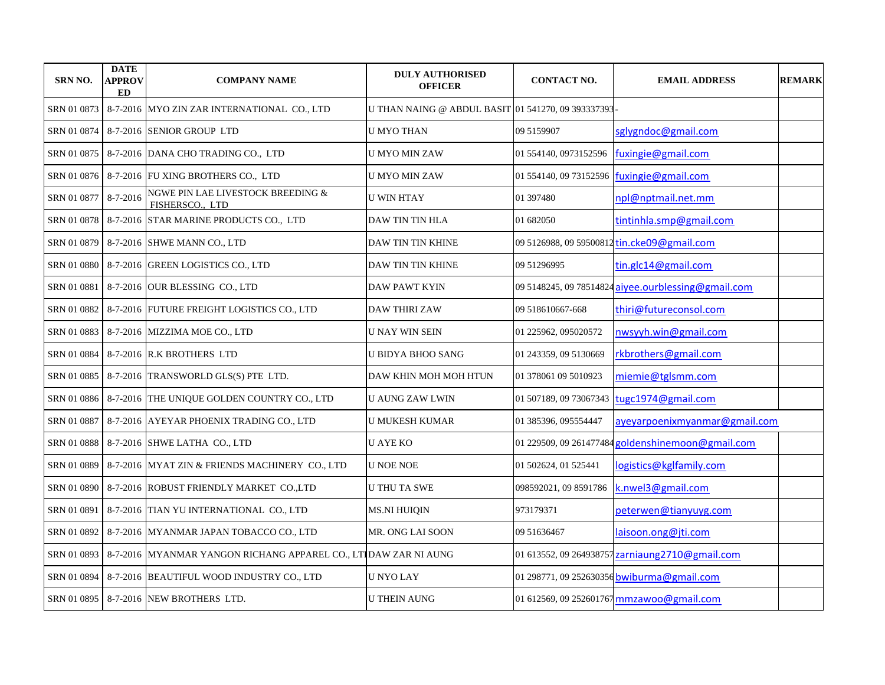| <b>SRN NO.</b> | <b>DATE</b><br><b>APPROV</b><br>ED | <b>COMPANY NAME</b>                                             | <b>DULY AUTHORISED</b><br><b>OFFICER</b>           | <b>CONTACT NO.</b>      | <b>EMAIL ADDRESS</b>                                | <b>REMARK</b> |
|----------------|------------------------------------|-----------------------------------------------------------------|----------------------------------------------------|-------------------------|-----------------------------------------------------|---------------|
| SRN 01 0873    |                                    | 8-7-2016 MYO ZIN ZAR INTERNATIONAL CO., LTD                     | U THAN NAING @ ABDUL BASIT 01 541270, 09 393337393 |                         |                                                     |               |
| SRN 01 0874    |                                    | 8-7-2016 SENIOR GROUP LTD                                       | <b>U MYO THAN</b>                                  | 09 5159907              | sglygndoc@gmail.com                                 |               |
| SRN 01 0875    |                                    | 8-7-2016 DANA CHO TRADING CO., LTD                              | U MYO MIN ZAW                                      | 01 554140, 0973152596   | fuxingie@gmail.com                                  |               |
| SRN 01 0876    |                                    | 8-7-2016 FU XING BROTHERS CO., LTD                              | <b>U MYO MIN ZAW</b>                               | 01 554140, 09 73152596  | fuxingie@gmail.com                                  |               |
| SRN 01 0877    | 8-7-2016                           | NGWE PIN LAE LIVESTOCK BREEDING &<br>FISHERSCO., LTD            | <b>U WIN HTAY</b>                                  | 01 397480               | npl@nptmail.net.mm                                  |               |
| SRN 01 0878    |                                    | 8-7-2016 STAR MARINE PRODUCTS CO., LTD                          | DAW TIN TIN HLA                                    | 01 682050               | tintinhla.smp@gmail.com                             |               |
| SRN 01 0879    |                                    | 8-7-2016 SHWE MANN CO., LTD                                     | DAW TIN TIN KHINE                                  |                         | 09 5126988, 09 59500812 tin.cke09@gmail.com         |               |
| SRN 01 0880    |                                    | 8-7-2016 GREEN LOGISTICS CO., LTD                               | DAW TIN TIN KHINE                                  | 09 51296995             | tin.glc14@gmail.com                                 |               |
| SRN 01 0881    |                                    | 8-7-2016 OUR BLESSING CO., LTD                                  | <b>DAW PAWT KYIN</b>                               |                         | 09 5148245, 09 78514824 aiyee.ourblessing@gmail.com |               |
| SRN 01 0882    |                                    | 8-7-2016 FUTURE FREIGHT LOGISTICS CO., LTD                      | <b>DAW THIRI ZAW</b>                               | 09 518610667-668        | thiri@futureconsol.com                              |               |
| SRN 01 0883    |                                    | 8-7-2016 MIZZIMA MOE CO., LTD                                   | U NAY WIN SEIN                                     | 01 225962, 095020572    | nwsyyh.win@gmail.com                                |               |
| SRN 01 0884    |                                    | 8-7-2016 R.K BROTHERS LTD                                       | U BIDYA BHOO SANG                                  | 01 243359, 09 5130669   | rkbrothers@gmail.com                                |               |
| SRN 01 0885    |                                    | 8-7-2016 TRANSWORLD GLS(S) PTE LTD.                             | DAW KHIN MOH MOH HTUN                              | 01 378061 09 5010923    | miemie@tglsmm.com                                   |               |
|                |                                    | SRN 01 0886   8-7-2016   THE UNIQUE GOLDEN COUNTRY CO., LTD     | <b>U AUNG ZAW LWIN</b>                             | 01 507189, 09 73067343  | tugc1974@gmail.com                                  |               |
| SRN 01 0887    |                                    | 8-7-2016 AYEYAR PHOENIX TRADING CO., LTD                        | <b>U MUKESH KUMAR</b>                              | 01 385396, 095554447    | ayeyarpoenixmyanmar@gmail.com                       |               |
| SRN 01 0888    |                                    | 8-7-2016 SHWE LATHA CO., LTD                                    | <b>U AYE KO</b>                                    | 01 229509, 09 261477484 | goldenshinemoon@gmail.com                           |               |
| SRN 01 0889    |                                    | 8-7-2016 MYAT ZIN & FRIENDS MACHINERY CO., LTD                  | <b>U NOE NOE</b>                                   | 01 502624, 01 525441    | logistics@kglfamily.com                             |               |
| SRN 01 0890    |                                    | 8-7-2016 ROBUST FRIENDLY MARKET CO.,LTD                         | U THU TA SWE                                       | 098592021, 09 8591786   | k.nwel3@gmail.com                                   |               |
| SRN 01 0891    |                                    | 8-7-2016 TIAN YU INTERNATIONAL CO., LTD                         | <b>MS.NI HUIQIN</b>                                | 973179371               | peterwen@tianyuyg.com                               |               |
| SRN 01 0892    |                                    | 8-7-2016 MYANMAR JAPAN TOBACCO CO., LTD                         | MR. ONG LAI SOON                                   | 09 51 63 64 67          | laisoon.ong@jti.com                                 |               |
| SRN 01 0893    |                                    | 8-7-2016 MYANMAR YANGON RICHANG APPAREL CO., LTIDAW ZAR NI AUNG |                                                    |                         | 01 613552, 09 264938757 zarniaung 2710@gmail.com    |               |
| SRN 01 0894    |                                    | 8-7-2016 BEAUTIFUL WOOD INDUSTRY CO., LTD                       | <b>U NYO LAY</b>                                   |                         | 01 298771, 09 252630356 bwiburma@gmail.com          |               |
|                |                                    | SRN 01 0895   8-7-2016   NEW BROTHERS LTD.                      | <b>U THEIN AUNG</b>                                |                         | 01 612569, 09 252601767 mmzawoo@gmail.com           |               |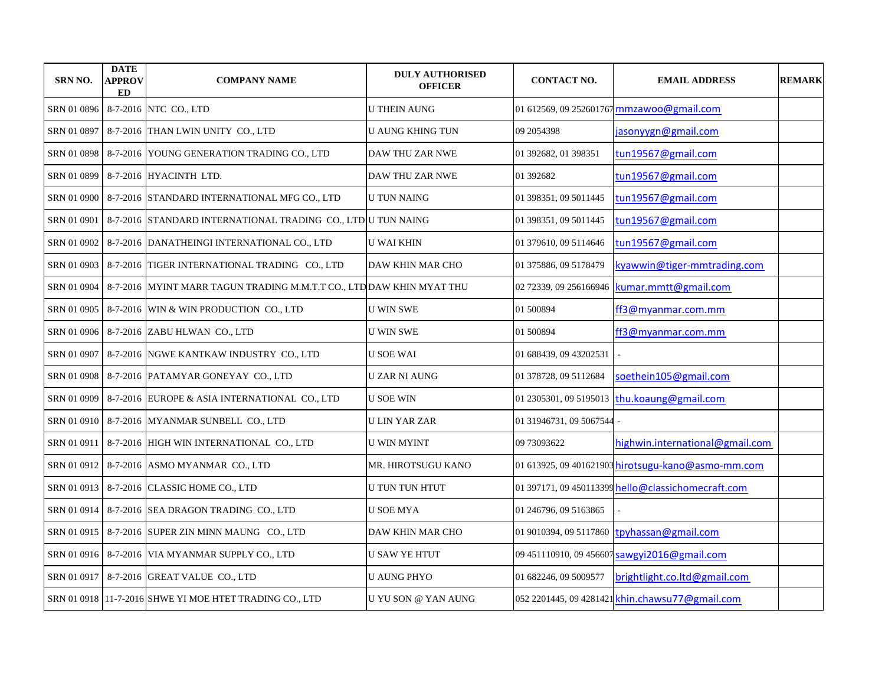| <b>SRN NO.</b> | <b>DATE</b><br><b>APPROV</b><br>ED | <b>COMPANY NAME</b>                                                              | <b>DULY AUTHORISED</b><br><b>OFFICER</b> | <b>CONTACT NO.</b>      | <b>EMAIL ADDRESS</b>                               | <b>REMARK</b> |
|----------------|------------------------------------|----------------------------------------------------------------------------------|------------------------------------------|-------------------------|----------------------------------------------------|---------------|
| SRN 01 0896    |                                    | 8-7-2016 NTC CO., LTD                                                            | <b>U THEIN AUNG</b>                      |                         | 01 612569, 09 252601767 mmzawoo@gmail.com          |               |
| SRN 01 0897    |                                    | 8-7-2016 THAN LWIN UNITY CO., LTD                                                | <b>U AUNG KHING TUN</b>                  | 09 2054398              | jasonyygn@gmail.com                                |               |
| SRN 01 0898    |                                    | 8-7-2016 YOUNG GENERATION TRADING CO., LTD                                       | DAW THU ZAR NWE                          | 01 392682, 01 398351    | tun19567@gmail.com                                 |               |
| SRN 01 0899    |                                    | 8-7-2016 HYACINTH LTD.                                                           | DAW THU ZAR NWE                          | 01 392682               | tun19567@gmail.com                                 |               |
| SRN 01 0900    |                                    | 8-7-2016 STANDARD INTERNATIONAL MFG CO., LTD                                     | <b>U TUN NAING</b>                       | 01 398351, 09 5011445   | tun19567@gmail.com                                 |               |
| SRN 01 0901    |                                    | 8-7-2016 STANDARD INTERNATIONAL TRADING CO., LTD U TUN NAING                     |                                          | 01 398351, 09 5011445   | tun19567@gmail.com                                 |               |
| SRN 01 0902    |                                    | 8-7-2016 DANATHEINGI INTERNATIONAL CO., LTD                                      | <b>U WAI KHIN</b>                        | 01 379610, 09 5114646   | tun19567@gmail.com                                 |               |
| SRN 01 0903    |                                    | 8-7-2016 TIGER INTERNATIONAL TRADING CO., LTD                                    | DAW KHIN MAR CHO                         | 01 375886, 09 5178479   | kyawwin@tiger-mmtrading.com                        |               |
|                |                                    | SRN 01 0904 8-7-2016 MYINT MARR TAGUN TRADING M.M.T.T CO., LTD DAW KHIN MYAT THU |                                          | 02 72339, 09 256166946  | kumar.mmtt@gmail.com                               |               |
| SRN 01 0905    |                                    | 8-7-2016 WIN & WIN PRODUCTION CO., LTD                                           | <b>U WIN SWE</b>                         | 01 500894               | ff3@myanmar.com.mm                                 |               |
| SRN 01 0906    |                                    | 8-7-2016 ZABU HLWAN CO., LTD                                                     | <b>U WIN SWE</b>                         | 01 500894               | ff3@myanmar.com.mm                                 |               |
| SRN 01 0907    |                                    | 8-7-2016 NGWE KANTKAW INDUSTRY CO., LTD                                          | <b>U SOE WAI</b>                         | 01 688439, 09 43202531  |                                                    |               |
| SRN 01 0908    |                                    | 8-7-2016 PATAMYAR GONEYAY CO., LTD                                               | <b>UZAR NI AUNG</b>                      | 01 378728, 09 5112684   | soethein105@gmail.com                              |               |
| SRN 01 0909    |                                    | 8-7-2016 EUROPE & ASIA INTERNATIONAL CO., LTD                                    | <b>U SOE WIN</b>                         |                         | 01 2305301, 09 5195013 thu.koaung@gmail.com        |               |
|                |                                    | SRN 01 0910   8-7-2016   MYANMAR SUNBELL CO., LTD                                | U LIN YAR ZAR                            | 01 31946731, 09 5067544 |                                                    |               |
| SRN 01 0911    |                                    | 8-7-2016 HIGH WIN INTERNATIONAL CO., LTD                                         | U WIN MYINT                              | 09 73093622             | highwin.international@gmail.com                    |               |
|                |                                    | SRN 01 0912   8-7-2016   ASMO MYANMAR CO., LTD                                   | MR. HIROTSUGU KANO                       |                         | 01 613925, 09 401621903 hirotsugu-kano@asmo-mm.com |               |
|                |                                    | SRN 01 0913   8-7-2016 CLASSIC HOME CO., LTD                                     | U TUN TUN HTUT                           |                         | 01 397171, 09 450113399 hello@classichomecraft.com |               |
|                |                                    | SRN 01 0914 8-7-2016 SEA DRAGON TRADING CO., LTD                                 | <b>U SOE MYA</b>                         | 01 246796, 09 5163865   |                                                    |               |
|                |                                    | SRN 01 0915 8-7-2016 SUPER ZIN MINN MAUNG CO., LTD                               | DAW KHIN MAR CHO                         | 01 9010394, 09 5117860  | tpyhassan@gmail.com                                |               |
|                |                                    | SRN 01 0916   8-7-2016   VIA MYANMAR SUPPLY CO., LTD                             | <b>U SAW YE HTUT</b>                     |                         | 09 451110910, 09 456607 sawgyi2016@gmail.com       |               |
|                |                                    | SRN 01 0917 8-7-2016 GREAT VALUE CO., LTD                                        | <b>U AUNG PHYO</b>                       | 01 682246, 09 5009577   | brightlight.co.ltd@gmail.com                       |               |
|                |                                    | SRN 01 0918 11-7-2016 SHWE YI MOE HTET TRADING CO., LTD                          | U YU SON @ YAN AUNG                      |                         | 052 2201445, 09 4281421 khin.chawsu77@gmail.com    |               |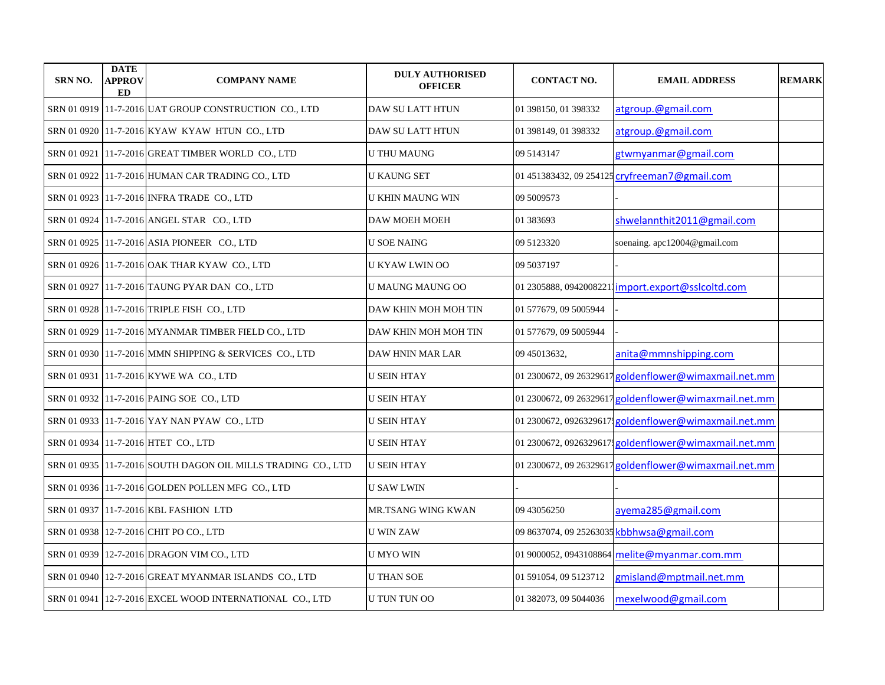| <b>SRN NO.</b> | <b>DATE</b><br><b>APPROV</b><br><b>ED</b> | <b>COMPANY NAME</b>                                           | <b>DULY AUTHORISED</b><br><b>OFFICER</b> | <b>CONTACT NO.</b>     | <b>EMAIL ADDRESS</b>                                  | <b>REMARK</b> |
|----------------|-------------------------------------------|---------------------------------------------------------------|------------------------------------------|------------------------|-------------------------------------------------------|---------------|
|                |                                           | SRN 01 0919 11-7-2016 UAT GROUP CONSTRUCTION CO., LTD         | DAW SU LATT HTUN                         | 01 398150, 01 398332   | atgroup.@gmail.com                                    |               |
|                |                                           | SRN 01 0920 11-7-2016 KYAW KYAW HTUN CO., LTD                 | DAW SU LATT HTUN                         | 01 398149, 01 398332   | atgroup.@gmail.com                                    |               |
| SRN 01 0921    |                                           | 11-7-2016 GREAT TIMBER WORLD CO., LTD                         | <b>U THU MAUNG</b>                       | 09 5143147             | gtwmyanmar@gmail.com                                  |               |
|                |                                           | SRN 01 0922 11-7-2016 HUMAN CAR TRADING CO., LTD              | <b>U KAUNG SET</b>                       |                        | 01 451383432, 09 254125 cryfreeman7@gmail.com         |               |
|                |                                           | SRN 01 0923 11-7-2016 INFRA TRADE CO., LTD                    | U KHIN MAUNG WIN                         | 09 5009573             |                                                       |               |
|                |                                           | SRN 01 0924 11-7-2016 ANGEL STAR CO., LTD                     | <b>DAW MOEH MOEH</b>                     | 01 383693              | shwelannthit2011@gmail.com                            |               |
|                |                                           | SRN 01 0925 11-7-2016 ASIA PIONEER CO., LTD                   | U SOE NAING                              | 09 5123320             | soenaing. apc12004@gmail.com                          |               |
|                |                                           | SRN 01 0926 11-7-2016 OAK THAR KYAW CO., LTD                  | U KYAW LWIN OO                           | 09 5037197             |                                                       |               |
|                |                                           | SRN 01 0927 11-7-2016 TAUNG PYAR DAN CO., LTD                 | <b>U MAUNG MAUNG OO</b>                  |                        | 01 2305888, 09420082211 import.export@sslcoltd.com    |               |
|                |                                           | SRN 01 0928 11-7-2016 TRIPLE FISH CO., LTD                    | DAW KHIN MOH MOH TIN                     | 01 577679, 09 5005944  |                                                       |               |
|                |                                           | SRN 01 0929 11-7-2016 MYANMAR TIMBER FIELD CO., LTD           | DAW KHIN MOH MOH TIN                     | 01 577679, 09 5005944  |                                                       |               |
|                |                                           | SRN 01 0930 11-7-2016 MMN SHIPPING & SERVICES CO., LTD        | DAW HNIN MAR LAR                         | 09 45013632,           | anita@mmnshipping.com                                 |               |
|                |                                           | SRN 01 0931 11-7-2016 KYWE WA CO., LTD                        | U SEIN HTAY                              |                        | 01 2300672, 09 26329617 goldenflower@wimaxmail.net.mm |               |
|                |                                           | SRN 01 0932 11-7-2016 PAING SOE CO., LTD                      | <b>U SEIN HTAY</b>                       |                        | 01 2300672, 09 26329617 goldenflower@wimaxmail.net.mm |               |
|                |                                           | SRN 01 0933   11-7-2016 YAY NAN PYAW CO., LTD                 | U SEIN HTAY                              |                        | 01 2300672, 0926329617; goldenflower@wimaxmail.net.mm |               |
|                |                                           | SRN 01 0934 11-7-2016 HTET CO., LTD                           | <b>U SEIN HTAY</b>                       |                        | 01 2300672, 0926329617 goldenflower@wimaxmail.net.mm  |               |
|                |                                           | SRN 01 0935  11-7-2016 SOUTH DAGON OIL MILLS TRADING CO., LTD | <b>U SEIN HTAY</b>                       |                        | 01 2300672, 09 26329617 goldenflower@wimaxmail.net.mm |               |
|                |                                           | SRN 01 0936 11-7-2016 GOLDEN POLLEN MFG CO., LTD              | <b>U SAW LWIN</b>                        |                        |                                                       |               |
|                |                                           | SRN 01 0937 11-7-2016 KBL FASHION LTD                         | MR.TSANG WING KWAN                       | 09 43056250            | ayema285@gmail.com                                    |               |
|                |                                           | SRN 01 0938 12-7-2016 CHIT PO CO., LTD                        | <b>U WIN ZAW</b>                         |                        | 09 8637074, 09 25263035 kbbhwsa@gmail.com             |               |
|                |                                           | SRN 01 0939 12-7-2016 DRAGON VIM CO., LTD                     | <b>U MYO WIN</b>                         | 01 9000052, 0943108864 | melite@myanmar.com.mm                                 |               |
|                |                                           | SRN 01 0940 12-7-2016 GREAT MYANMAR ISLANDS CO., LTD          | <b>U THAN SOE</b>                        | 01 591054, 09 5123712  | gmisland@mptmail.net.mm                               |               |
|                |                                           | SRN 01 0941   12-7-2016 EXCEL WOOD INTERNATIONAL CO., LTD     | <b>U TUN TUN OO</b>                      | 01 382073, 09 5044036  | mexelwood@gmail.com                                   |               |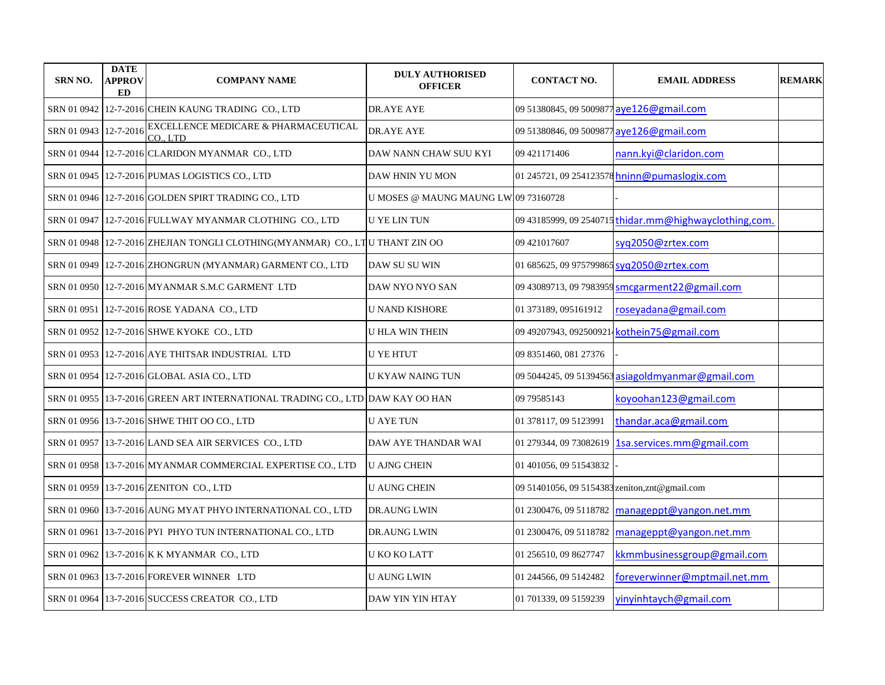| SRN NO.               | <b>DATE</b><br><b>APPROV</b><br><b>ED</b> | <b>COMPANY NAME</b>                                                           | <b>DULY AUTHORISED</b><br><b>OFFICER</b> | <b>CONTACT NO.</b>                             | <b>EMAIL ADDRESS</b>                                   | <b>REMARK</b> |
|-----------------------|-------------------------------------------|-------------------------------------------------------------------------------|------------------------------------------|------------------------------------------------|--------------------------------------------------------|---------------|
|                       |                                           | SRN 01 0942 12-7-2016 CHEIN KAUNG TRADING CO., LTD                            | DR.AYE AYE                               | 09 51380845, 09 5009877 ave 126@gmail.com      |                                                        |               |
| SRN 01 0943 12-7-2016 |                                           | EXCELLENCE MEDICARE & PHARMACEUTICAL<br>CO., LTD                              | DR.AYE AYE                               | 09 51380846, 09 5009877 aye126@gmail.com       |                                                        |               |
|                       |                                           | SRN 01 0944 12-7-2016 CLARIDON MYANMAR CO., LTD                               | DAW NANN CHAW SUU KYI                    | 09 421171406                                   | nann.kyi@claridon.com                                  |               |
|                       |                                           | SRN 01 0945 12-7-2016 PUMAS LOGISTICS CO., LTD                                | DAW HNIN YU MON                          |                                                | 01 245721, 09 254123578 hninn@pumaslogix.com           |               |
|                       |                                           | SRN 01 0946   12-7-2016   GOLDEN SPIRT TRADING CO., LTD                       | U MOSES @ MAUNG MAUNG LW109 73160728     |                                                |                                                        |               |
|                       |                                           | SRN 01 0947 12-7-2016 FULLWAY MYANMAR CLOTHING CO., LTD                       | <b>U YE LIN TUN</b>                      |                                                | 09 43185999, 09 2540715 thidar.mm@highwayclothing,com. |               |
|                       |                                           | SRN 01 0948 12-7-2016 ZHEJIAN TONGLI CLOTHING(MYANMAR) CO., LTU THANT ZIN OO  |                                          | 09 421017607                                   | syq2050@zrtex.com                                      |               |
|                       |                                           | SRN 01 0949 12-7-2016 ZHONGRUN (MYANMAR) GARMENT CO., LTD                     | DAW SU SU WIN                            | 01 685625, 09 975799865 syq2050@zrtex.com      |                                                        |               |
|                       |                                           | SRN 01 0950 12-7-2016 MYANMAR S.M.C GARMENT LTD                               | DAW NYO NYO SAN                          |                                                | 09 43089713, 09 7983959 smcgarment22@gmail.com         |               |
|                       |                                           | SRN 01 0951 12-7-2016 ROSE YADANA CO., LTD                                    | <b>U NAND KISHORE</b>                    | 01 373189, 095161912                           | roseyadana@gmail.com                                   |               |
|                       |                                           | SRN 01 0952 12-7-2016 SHWE KYOKE CO., LTD                                     | <b>U HLA WIN THEIN</b>                   |                                                | 09 49207943, 092500921 kothein75@gmail.com             |               |
|                       |                                           | SRN 01 0953 12-7-2016 AYE THITSAR INDUSTRIAL LTD                              | <b>U YE HTUT</b>                         | 09 8351460, 081 27376                          |                                                        |               |
|                       |                                           | SRN 01 0954   12-7-2016 GLOBAL ASIA CO., LTD                                  | U KYAW NAING TUN                         |                                                | 09 5044245, 09 51394563 asiagoldmyanmar@gmail.com      |               |
|                       |                                           | SRN 01 0955 13-7-2016 GREEN ART INTERNATIONAL TRADING CO., LTD DAW KAY OO HAN |                                          | 09 79585143                                    | koyoohan123@gmail.com                                  |               |
|                       |                                           | SRN 01 0956 13-7-2016 SHWE THIT OO CO., LTD                                   | <b>U AYE TUN</b>                         | 01 378117, 09 5123991                          | thandar.aca@gmail.com                                  |               |
|                       |                                           | SRN 01 0957   13-7-2016 LAND SEA AIR SERVICES CO., LTD                        | DAW AYE THANDAR WAI                      |                                                | 01 279344, 09 73082619 1sa.services.mm@gmail.com       |               |
|                       |                                           | SRN 01 0958   13-7-2016 MYANMAR COMMERCIAL EXPERTISE CO., LTD                 | <b>U AJNG CHEIN</b>                      | 01 401056, 09 51543832                         |                                                        |               |
|                       |                                           | SRN 01 0959 13-7-2016 ZENITON CO., LTD                                        | <b>U AUNG CHEIN</b>                      | 09 51401056, 09 5154383 zeniton, znt@gmail.com |                                                        |               |
|                       |                                           | SRN 01 0960 13-7-2016 AUNG MYAT PHYO INTERNATIONAL CO., LTD                   | <b>DR.AUNG LWIN</b>                      | 01 2300476, 09 5118782                         | manageppt@yangon.net.mm                                |               |
|                       |                                           | SRN 01 0961 13-7-2016 PYI PHYO TUN INTERNATIONAL CO., LTD                     | DR.AUNG LWIN                             | 01 2300476, 09 5118782                         | manageppt@yangon.net.mm                                |               |
|                       |                                           | SRN 01 0962 13-7-2016 K K MYANMAR CO., LTD                                    | U KO KO LATT                             | 01 256510, 09 8627747                          | kkmmbusinessgroup@gmail.com                            |               |
|                       |                                           | SRN 01 0963 13-7-2016 FOREVER WINNER LTD                                      | <b>U AUNG LWIN</b>                       | 01 244566, 09 5142482                          | foreverwinner@mptmail.net.mm                           |               |
|                       |                                           | SRN 01 0964 13-7-2016 SUCCESS CREATOR CO., LTD                                | DAW YIN YIN HTAY                         | 01 701339, 09 5159239                          | yinyinhtaych@gmail.com                                 |               |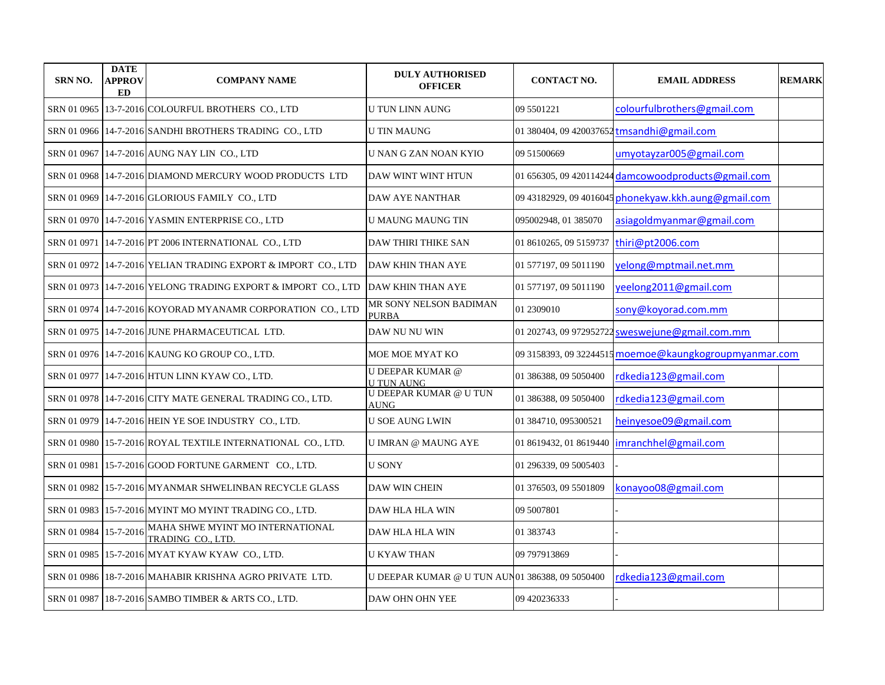| <b>SRN NO.</b>        | <b>DATE</b><br><b>APPROV</b><br>ED | <b>COMPANY NAME</b>                                           | <b>DULY AUTHORISED</b><br><b>OFFICER</b>        | <b>CONTACT NO.</b>     | <b>EMAIL ADDRESS</b>                                   | <b>REMARK</b> |
|-----------------------|------------------------------------|---------------------------------------------------------------|-------------------------------------------------|------------------------|--------------------------------------------------------|---------------|
|                       |                                    | SRN 01 0965 13-7-2016 COLOURFUL BROTHERS CO., LTD             | <b>U TUN LINN AUNG</b>                          | 09 5501221             | colourfulbrothers@gmail.com                            |               |
|                       |                                    | SRN 01 0966 14-7-2016 SANDHI BROTHERS TRADING CO., LTD        | <b>U TIN MAUNG</b>                              |                        | 01 380404, 09 420037652 tmsandhi@gmail.com             |               |
| SRN 01 0967           |                                    | 14-7-2016 AUNG NAY LIN CO., LTD                               | IU NAN G ZAN NOAN KYIO                          | 09 51500669            | umvotavzar005@gmail.com                                |               |
|                       |                                    | SRN 01 0968 14-7-2016 DIAMOND MERCURY WOOD PRODUCTS LTD       | DAW WINT WINT HTUN                              |                        | 01 656305, 09 420114244 damcowoodproducts@gmail.com    |               |
| SRN 01 0969           |                                    | 14-7-2016 GLORIOUS FAMILY CO., LTD                            | DAW AYE NANTHAR                                 |                        | 09 43182929, 09 4016045 phonekyaw.kkh.aung@gmail.com   |               |
|                       |                                    | SRN 01 0970 14-7-2016 YASMIN ENTERPRISE CO., LTD              | <b>U MAUNG MAUNG TIN</b>                        | 095002948, 01 385070   | asiagoldmyanmar@gmail.com                              |               |
| SRN 01 0971           |                                    | 14-7-2016 PT 2006 INTERNATIONAL CO., LTD                      | <b>DAW THIRI THIKE SAN</b>                      | 01 8610265, 09 5159737 | thiri@pt2006.com                                       |               |
|                       |                                    | SRN 01 0972 14-7-2016 YELIAN TRADING EXPORT & IMPORT CO., LTD | <b>DAW KHIN THAN AYE</b>                        | 01 577197, 09 5011190  | yelong@mptmail.net.mm                                  |               |
|                       |                                    | SRN 01 0973 14-7-2016 YELONG TRADING EXPORT & IMPORT CO., LTD | DAW KHIN THAN AYE                               | 01 577197, 09 5011190  | yeelong2011@gmail.com                                  |               |
|                       |                                    | SRN 01 0974 14-7-2016 KOYORAD MYANAMR CORPORATION CO., LTD    | MR SONY NELSON BADIMAN<br>PURBA                 | 01 2309010             | sony@koyorad.com.mm                                    |               |
|                       |                                    | SRN 01 0975 14-7-2016 JUNE PHARMACEUTICAL LTD.                | DAW NU NU WIN                                   |                        | 01 202743, 09 972952722 sweswejune@gmail.com.mm        |               |
|                       |                                    | SRN 01 0976 14-7-2016 KAUNG KO GROUP CO., LTD.                | MOE MOE MYAT KO                                 |                        | 09 3158393, 09 32244515 moemoe@kaungkogroupmyanmar.com |               |
|                       |                                    | SRN 01 0977 14-7-2016 HTUN LINN KYAW CO., LTD.                | <b>U DEEPAR KUMAR</b> @<br><b>U TUN AUNG</b>    | 01 386388, 09 5050400  | rdkedia123@gmail.com                                   |               |
|                       |                                    | SRN 01 0978 14-7-2016 CITY MATE GENERAL TRADING CO., LTD.     | <b>U DEEPAR KUMAR @ U TUN</b><br><b>AUNG</b>    | 01 386388, 09 5050400  | rdkedia123@gmail.com                                   |               |
|                       |                                    | SRN 01 0979 14-7-2016 HEIN YE SOE INDUSTRY CO., LTD.          | <b>U SOE AUNG LWIN</b>                          | 01 384710, 095300521   | heinyesoe09@gmail.com                                  |               |
|                       |                                    | SRN 01 0980   15-7-2016 ROYAL TEXTILE INTERNATIONAL CO., LTD. | <b>U IMRAN @ MAUNG AYE</b>                      |                        | 01 8619432, 01 8619440   imranchhel@gmail.com          |               |
| SRN 01 0981           |                                    | 15-7-2016 GOOD FORTUNE GARMENT CO., LTD.                      | <b>U SONY</b>                                   | 01 296339, 09 5005403  |                                                        |               |
|                       |                                    | SRN 01 0982   15-7-2016 MYANMAR SHWELINBAN RECYCLE GLASS      | DAW WIN CHEIN                                   | 01 376503, 09 5501809  | konayoo08@gmail.com                                    |               |
|                       |                                    | SRN 01 0983   15-7-2016 MYINT MO MYINT TRADING CO., LTD.      | <b>DAW HLA HLA WIN</b>                          | 09 5007801             |                                                        |               |
| SRN 01 0984 15-7-2016 |                                    | MAHA SHWE MYINT MO INTERNATIONAL<br>TRADING CO., LTD.         | DAW HLA HLA WIN                                 | 01 383743              |                                                        |               |
|                       |                                    | SRN 01 0985 15-7-2016 MYAT KYAW KYAW CO., LTD.                | U KYAW THAN                                     | 09 797913869           |                                                        |               |
| SRN 01 0986           |                                    | 18-7-2016 MAHABIR KRISHNA AGRO PRIVATE LTD.                   | U DEEPAR KUMAR @ U TUN AUN01 386388, 09 5050400 |                        | rdkedia123@gmail.com                                   |               |
|                       |                                    | SRN 01 0987 18-7-2016 SAMBO TIMBER & ARTS CO., LTD.           | DAW OHN OHN YEE                                 | 09 420236333           |                                                        |               |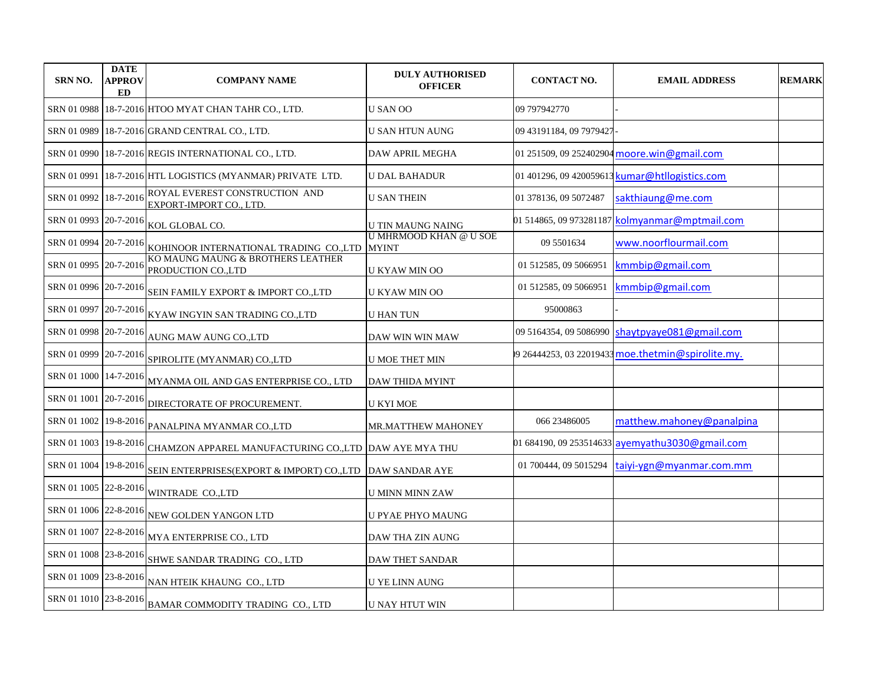| <b>SRN NO.</b>        | <b>DATE</b><br><b>APPROV</b><br>ED | <b>COMPANY NAME</b>                                       | <b>DULY AUTHORISED</b><br><b>OFFICER</b> | <b>CONTACT NO.</b>      | <b>EMAIL ADDRESS</b>                              | <b>REMARK</b> |
|-----------------------|------------------------------------|-----------------------------------------------------------|------------------------------------------|-------------------------|---------------------------------------------------|---------------|
| SRN 01 0988           |                                    | 18-7-2016 HTOO MYAT CHAN TAHR CO., LTD.                   | <b>U SAN OO</b>                          | 09 797942770            |                                                   |               |
|                       |                                    | SRN 01 0989 18-7-2016 GRAND CENTRAL CO., LTD.             | U SAN HTUN AUNG                          | 09 43191184, 09 7979427 |                                                   |               |
| SRN 01 0990           |                                    | 18-7-2016 REGIS INTERNATIONAL CO., LTD.                   | <b>DAW APRIL MEGHA</b>                   |                         | 01 251509, 09 252402904 moore.win@gmail.com       |               |
| SRN 01 0991           |                                    | 18-7-2016 HTL LOGISTICS (MYANMAR) PRIVATE LTD.            | <b>U DAL BAHADUR</b>                     |                         | 01 401296, 09 420059613 kumar@htllogistics.com    |               |
| SRN 01 0992           | 18-7-2016                          | ROYAL EVEREST CONSTRUCTION AND<br>EXPORT-IMPORT CO., LTD. | <b>U SAN THEIN</b>                       | 01 378136, 09 5072487   | sakthiaung@me.com                                 |               |
| SRN 01 0993           | 20-7-2016                          | KOL GLOBAL CO.                                            | <b>U TIN MAUNG NAING</b>                 |                         | 01 514865, 09 973281187 kolmyanmar@mptmail.com    |               |
| SRN 01 0994           | 20-7-2016                          | KOHINOOR INTERNATIONAL TRADING  CO.,LTD   MYINT           | <b>U MHRMOOD KHAN @ U SOE</b>            | 09 5501634              | www.noorflourmail.com                             |               |
| SRN 01 0995           | 20-7-2016                          | KO MAUNG MAUNG & BROTHERS LEATHER<br>PRODUCTION CO.,LTD   | U KYAW MIN OO                            | 01 512585, 09 5066951   | kmmbip@gmail.com                                  |               |
| SRN 01 0996 20-7-2016 |                                    | SEIN FAMILY EXPORT & IMPORT CO., LTD                      | <b>U KYAW MIN OO</b>                     | 01 512585, 09 5066951   | kmmbip@gmail.com                                  |               |
| SRN 01 0997           | 20-7-2016                          | KYAW INGYIN SAN TRADING CO.,LTD                           | <b>U HAN TUN</b>                         | 95000863                |                                                   |               |
| SRN 01 0998 20-7-2016 |                                    | AUNG MAW AUNG CO.,LTD                                     | DAW WIN WIN MAW                          |                         | 09 5164354, 09 5086990 shaytpyaye081@gmail.com    |               |
| SRN 01 0999           | 20-7-2016                          | SPIROLITE (MYANMAR) CO.,LTD                               | <b>U MOE THET MIN</b>                    |                         | 9 26444253, 03 22019433 moe.thetmin@spirolite.my. |               |
| SRN 01 1000 14-7-2016 |                                    | MYANMA OIL AND GAS ENTERPRISE CO., LTD                    | <b>DAW THIDA MYINT</b>                   |                         |                                                   |               |
| SRN 01 1001 20-7-2016 |                                    | DIRECTORATE OF PROCUREMENT.                               | <b>U KYI MOE</b>                         |                         |                                                   |               |
| SRN 01 1002 19-8-2016 |                                    | PANALPINA MYANMAR CO.,LTD                                 | <b>MR.MATTHEW MAHONEY</b>                | 066 23486005            | matthew.mahoney@panalpina                         |               |
| SRN 01 1003 19-8-2016 |                                    | CHAMZON APPAREL MANUFACTURING CO., LTD  DAW AYE MYA THU   |                                          |                         | 01 684190, 09 253514633 ayemyathu3030@gmail.com   |               |
| SRN 01 1004 19-8-2016 |                                    | SEIN ENTERPRISES(EXPORT & IMPORT) CO., LTD DAW SANDAR AYE |                                          | 01 700444, 09 5015294   | taiyi-ygn@myanmar.com.mm                          |               |
| SRN 01 1005 22-8-2016 |                                    | WINTRADE CO.,LTD                                          | U MINN MINN ZAW                          |                         |                                                   |               |
| SRN 01 1006 22-8-2016 |                                    | NEW GOLDEN YANGON LTD                                     | U PYAE PHYO MAUNG                        |                         |                                                   |               |
| SRN 01 1007           | 22-8-2016                          | MYA ENTERPRISE CO., LTD                                   | DAW THA ZIN AUNG                         |                         |                                                   |               |
| SRN 01 1008 23-8-2016 |                                    | SHWE SANDAR TRADING CO., LTD                              | <b>DAW THET SANDAR</b>                   |                         |                                                   |               |
| SRN 01 1009 23-8-2016 |                                    | NAN HTEIK KHAUNG CO., LTD                                 | U YE LINN AUNG                           |                         |                                                   |               |
| SRN 01 1010 23-8-2016 |                                    | BAMAR COMMODITY TRADING CO., LTD                          | U NAY HTUT WIN                           |                         |                                                   |               |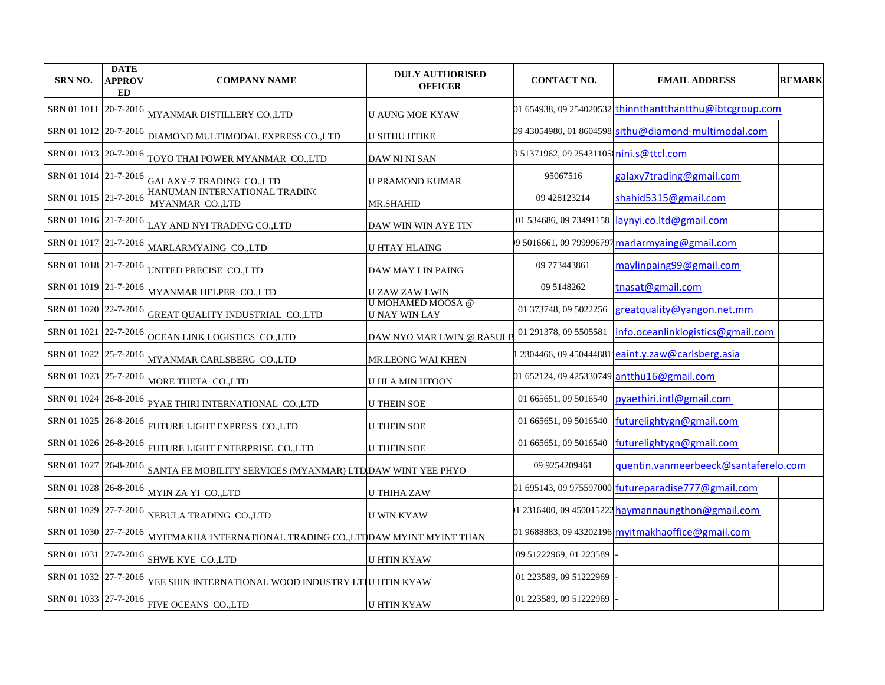| <b>SRN NO.</b>        | <b>DATE</b><br>APPROV<br><b>ED</b> | <b>COMPANY NAME</b>                                                              | <b>DULY AUTHORISED</b><br><b>OFFICER</b>  | <b>CONTACT NO.</b>                       | <b>EMAIL ADDRESS</b>                                     | <b>REMARK</b> |
|-----------------------|------------------------------------|----------------------------------------------------------------------------------|-------------------------------------------|------------------------------------------|----------------------------------------------------------|---------------|
| SRN 01 1011           | 20-7-2016                          | MYANMAR DISTILLERY CO.,LTD                                                       | <b>U AUNG MOE KYAW</b>                    |                                          | 01 654938, 09 254020532 thinnthantthantthu@ibtcgroup.com |               |
|                       |                                    | SRN 01 1012 20-7-2016 DIAMOND MULTIMODAL EXPRESS CO.,LTD                         | <b>U SITHU HTIKE</b>                      |                                          | 09 43054980, 01 8604598 sithu@diamond-multimodal.com     |               |
| SRN 01 1013 20-7-2016 |                                    | TOYO THAI POWER MYANMAR CO.,LTD                                                  | DAW NI NI SAN                             | 9 51371962, 09 254311051 nini.s@ttcl.com |                                                          |               |
| SRN 01 1014 21-7-2016 |                                    | GALAXY-7 TRADING CO.,LTD                                                         | <b>U PRAMOND KUMAR</b>                    | 95067516                                 | galaxy7trading@gmail.com                                 |               |
| SRN 01 1015 21-7-2016 |                                    | HANUMAN INTERNATIONAL TRADING<br>MYANMAR CO.,LTD                                 | <b>MR.SHAHID</b>                          | 09 428123214                             | shahid 5315@gmail.com                                    |               |
| SRN 01 1016 21-7-2016 |                                    | LAY AND NYI TRADING CO.,LTD                                                      | DAW WIN WIN AYE TIN                       | 01 534686, 09 73491158                   | laynyi.co.ltd@gmail.com                                  |               |
| SRN 01 1017 21-7-2016 |                                    | MARLARMYAING CO.,LTD                                                             | U HTAY HLAING                             |                                          | 9 5016661, 09 799996797 marlarmyaing@gmail.com           |               |
| SRN 01 1018 21-7-2016 |                                    | UNITED PRECISE CO.,LTD                                                           | DAW MAY LIN PAING                         | 09 773443861                             | maylinpaing99@gmail.com                                  |               |
| SRN 01 1019 21-7-2016 |                                    | MYANMAR HELPER CO.,LTD                                                           | U ZAW ZAW LWIN                            | 09 5148262                               | tnasat@gmail.com                                         |               |
| SRN 01 1020 22-7-2016 |                                    | GREAT QUALITY INDUSTRIAL CO.,LTD                                                 | U MOHAMED MOOSA @<br><b>U NAY WIN LAY</b> | 01 373748, 09 5022256                    | greatquality@yangon.net.mm                               |               |
| SRN 01 1021 22-7-2016 |                                    | OCEAN LINK LOGISTICS CO., LTD                                                    | DAW NYO MAR LWIN @ RASULB                 | 01 291378, 09 5505581                    | info.oceanlinklogistics@gmail.com                        |               |
| SRN 01 1022 25-7-2016 |                                    | MYANMAR CARLSBERG CO.,LTD                                                        | MR.LEONG WAI KHEN                         |                                          | 2304466, 09 450444881 eaint.y.zaw@carlsberg.asia         |               |
| SRN 01 1023 25-7-2016 |                                    | MORE THETA CO.,LTD                                                               | <b>U HLA MIN HTOON</b>                    |                                          | 01 652124, 09 425330749 antthu16@gmail.com               |               |
|                       |                                    | SRN 01 1024 26-8-2016 PYAE THIRI INTERNATIONAL CO., LTD                          | <b>U THEIN SOE</b>                        | 01 665651, 09 5016540                    | pyaethiri.intl@gmail.com                                 |               |
|                       |                                    | SRN 01 1025 26-8-2016 FUTURE LIGHT EXPRESS CO.,LTD                               | <b>U THEIN SOE</b>                        | 01 665651, 09 5016540                    | futurelightygn@gmail.com                                 |               |
|                       |                                    | SRN 01 1026 26-8-2016 FUTURE LIGHT ENTERPRISE CO., LTD                           | <b>U THEIN SOE</b>                        | 01 665651, 09 5016540                    | futurelightygn@gmail.com                                 |               |
|                       |                                    | SRN 01 1027 26-8-2016 SANTA FE MOBILITY SERVICES (MYANMAR) LTD DAW WINT YEE PHYO |                                           | 09 9254209461                            | quentin.vanmeerbeeck@santaferelo.com                     |               |
| SRN 01 1028 26-8-2016 |                                    | MYIN ZA YI CO.,LTD                                                               | U THIHA ZAW                               |                                          | 01 695143, 09 975597000 futureparadise777@gmail.com      |               |
| SRN 01 1029 27-7-2016 |                                    | NEBULA TRADING CO.,LTD                                                           | <b>U WIN KYAW</b>                         |                                          | 1 2316400, 09 450015222 haymannaungthon@gmail.com        |               |
| SRN 01 1030 27-7-2016 |                                    | MYITMAKHA INTERNATIONAL TRADING CO., LTDDAW MYINT MYINT THAN                     |                                           |                                          | 01 9688883, 09 43202196 myitmakhaoffice@gmail.com        |               |
| SRN 01 1031 27-7-2016 |                                    | SHWE KYE CO.,LTD                                                                 | <b>U HTIN KYAW</b>                        | 09 51222969, 01 223589                   |                                                          |               |
| SRN 01 1032 27-7-2016 |                                    | YEE SHIN INTERNATIONAL WOOD INDUSTRY LTIU HTIN KYAW                              |                                           | 01 223589, 09 51222969                   |                                                          |               |
|                       |                                    | SRN 01 1033 27-7-2016 FIVE OCEANS CO., LTD                                       | <b>U HTIN KYAW</b>                        | 01 223589, 09 51222969                   |                                                          |               |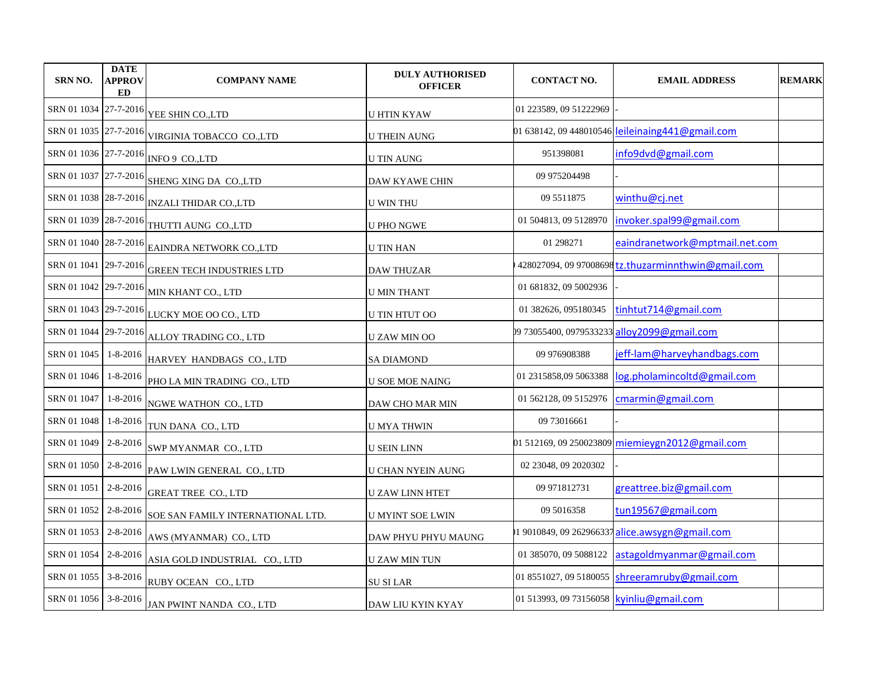| <b>SRN NO.</b>       | <b>DATE</b><br><b>APPROV</b><br><b>ED</b> | <b>COMPANY NAME</b>                                      | <b>DULY AUTHORISED</b><br><b>OFFICER</b> | <b>CONTACT NO.</b>                         | <b>EMAIL ADDRESS</b>                                | <b>REMARK</b> |
|----------------------|-------------------------------------------|----------------------------------------------------------|------------------------------------------|--------------------------------------------|-----------------------------------------------------|---------------|
|                      |                                           | SRN 01 1034 27-7-2016 YEE SHIN CO.,LTD                   | <b>U HTIN KYAW</b>                       | 01 223589, 09 51222969                     |                                                     |               |
|                      |                                           | SRN 01 1035 27-7-2016 VIRGINIA TOBACCO CO.,LTD           | <b>U THEIN AUNG</b>                      |                                            | 01 638142, 09 448010546 leileinaing441@gmail.com    |               |
|                      |                                           | SRN 01 1036 27-7-2016 INFO 9 CO., LTD                    | <b>U TIN AUNG</b>                        | 951398081                                  | info9dvd@gmail.com                                  |               |
|                      |                                           | SRN 01 1037 27-7-2016 SHENG XING DA CO.,LTD              | <b>DAW KYAWE CHIN</b>                    | 09 975204498                               |                                                     |               |
|                      |                                           | SRN 01 1038 28-7-2016 INZALI THIDAR CO.,LTD              | <b>U WIN THU</b>                         | 09 5511875                                 | winthu@cj.net                                       |               |
|                      |                                           | SRN 01 1039 28-7-2016 THUTTI AUNG CO.,LTD                | <b>U PHO NGWE</b>                        | 01 504813, 09 5128970                      | invoker.spal99@gmail.com                            |               |
|                      |                                           | SRN 01 1040 28-7-2016 EAINDRA NETWORK CO.,LTD            | <b>U TIN HAN</b>                         | 01 29 8271                                 | eaindranetwork@mptmail.net.com                      |               |
|                      |                                           | SRN 01 1041 29-7-2016 GREEN TECH INDUSTRIES LTD          | <b>DAW THUZAR</b>                        |                                            | 428027094, 09 97008698 tz.thuzarminnthwin@gmail.com |               |
|                      |                                           | SRN 01 1042 29-7-2016 MIN KHANT CO., LTD                 | <b>U MIN THANT</b>                       | 01 681832, 09 5002936                      |                                                     |               |
|                      |                                           | SRN 01 1043 29-7-2016 LUCKY MOE OO CO., LTD              | U TIN HTUT OO                            | 01 382626, 095180345                       | tinhtut714@gmail.com                                |               |
|                      |                                           | SRN 01 1044 29-7-2016 ALLOY TRADING CO., LTD             | <b>UZAW MIN OO</b>                       |                                            | 09 73055400, 0979533233 alloy2099@gmail.com         |               |
|                      |                                           | SRN 01 1045   1-8-2016   HARVEY HANDBAGS CO., LTD        | <b>SA DIAMOND</b>                        | 09 976908388                               | jeff-lam@harveyhandbags.com                         |               |
|                      |                                           | SRN 01 1046 1-8-2016 PHO LA MIN TRADING CO., LTD         | <b>U SOE MOE NAING</b>                   | 01 2315858,09 5063388                      | log.pholamincoltd@gmail.com                         |               |
| SRN 01 1047          | $1 - 8 - 2016$                            | NGWE WATHON CO., LTD                                     | DAW CHO MAR MIN                          | 01 562128, 09 5152976                      | cmarmin@gmail.com                                   |               |
|                      |                                           | SRN 01 1048 1-8-2016 TUN DANA CO., LTD                   | <b>U MYA THWIN</b>                       | 09 73016661                                |                                                     |               |
|                      |                                           | SRN 01 1049 2-8-2016 SWP MYANMAR CO., LTD                | <b>U SEIN LINN</b>                       |                                            | 01 512169, 09 250023809 miemieygn2012@gmail.com     |               |
|                      |                                           | SRN 01 1050 $2-8-2016$ PAW LWIN GENERAL CO., LTD         | <b>U CHAN NYEIN AUNG</b>                 | 02 23048, 09 2020302                       |                                                     |               |
| SRN 01 1051          |                                           | $2-8-2016$ GREAT TREE CO., LTD                           | <b>U ZAW LINN HTET</b>                   | 09 97 18 12 73 1                           | greattree.biz@gmail.com                             |               |
|                      |                                           | SRN 01 1052 $2-8-2016$ SOE SAN FAMILY INTERNATIONAL LTD. | <b>U MYINT SOE LWIN</b>                  | 09 5016358                                 | tun19567@gmail.com                                  |               |
| SRN 01 1053 2-8-2016 |                                           | AWS (MYANMAR) CO., LTD                                   | DAW PHYU PHYU MAUNG                      | 19010849, 09 262966337                     | alice.awsygn@gmail.com                              |               |
| SRN 01 1054 2-8-2016 |                                           | ASIA GOLD INDUSTRIAL CO., LTD                            | <b>U ZAW MIN TUN</b>                     | 01 385070, 09 5088122                      | astagoldmyanmar@gmail.com                           |               |
|                      |                                           | SRN 01 1055 3-8-2016 RUBY OCEAN CO., LTD                 | <b>SU SI LAR</b>                         | 01 8551027, 09 5180055                     | shreeramruby@gmail.com                              |               |
|                      |                                           | SRN 01 1056 3-8-2016 JAN PWINT NANDA CO., LTD            | DAW LIU KYIN KYAY                        | 01 513993, 09 73156058   kyinliu@gmail.com |                                                     |               |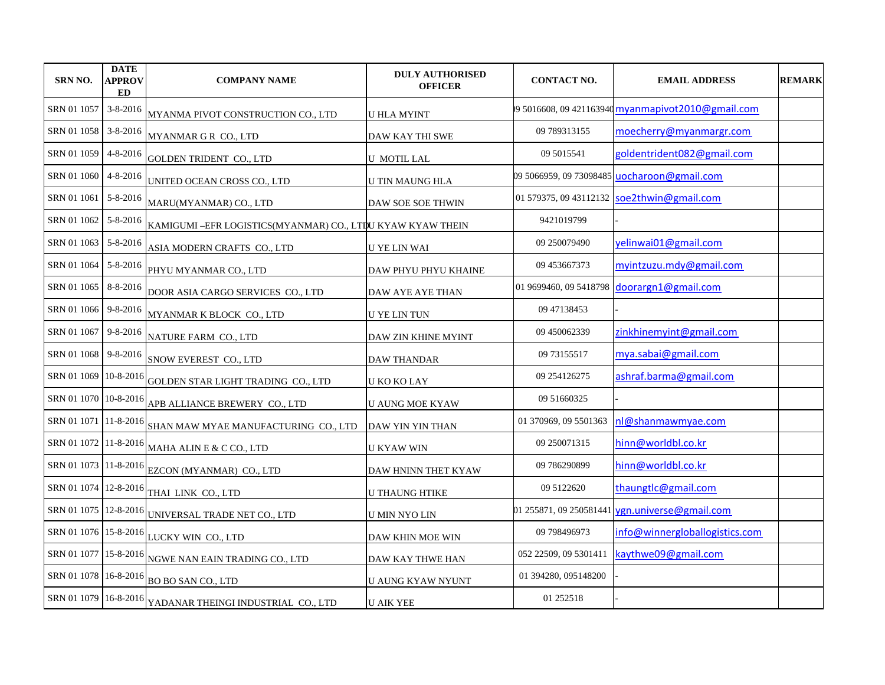| <b>SRN NO.</b>        | <b>DATE</b><br><b>APPROV</b><br>ED | <b>COMPANY NAME</b>                                                                  | <b>DULY AUTHORISED</b><br><b>OFFICER</b> | <b>CONTACT NO.</b>      | <b>EMAIL ADDRESS</b>                              | <b>REMARK</b> |
|-----------------------|------------------------------------|--------------------------------------------------------------------------------------|------------------------------------------|-------------------------|---------------------------------------------------|---------------|
| SRN 01 1057           | $3 - 8 - 2016$                     | MYANMA PIVOT CONSTRUCTION CO., LTD                                                   | <b>U HLA MYINT</b>                       |                         | 9 5016608, 09 421163940 myanmapivot2010@gmail.com |               |
| SRN 01 1058           | $3 - 8 - 2016$                     | MYANMAR G R CO., LTD                                                                 | DAW KAY THI SWE                          | 09 789313155            | moecherry@myanmargr.com                           |               |
| SRN 01 1059           | 4-8-2016                           | <b>GOLDEN TRIDENT CO., LTD</b>                                                       | <b>U MOTIL LAL</b>                       | 09 5015541              | goldentrident082@gmail.com                        |               |
| SRN 01 1060           | 4-8-2016                           | UNITED OCEAN CROSS CO., LTD                                                          | U TIN MAUNG HLA                          | 09 5066959, 09 73098485 | uocharoon@gmail.com                               |               |
| SRN 01 1061           | 5-8-2016                           | MARU(MYANMAR) CO., LTD                                                               | DAW SOE SOE THWIN                        |                         | 01 579375, 09 43112132 soe2thwin@gmail.com        |               |
| SRN 01 1062           | $5 - 8 - 2016$                     | KAMIGUMI - EFR LOGISTICS(MYANMAR) CO., LTDU KYAW KYAW THEIN                          |                                          | 9421019799              |                                                   |               |
| SRN 01 1063           | 5-8-2016                           | ASIA MODERN CRAFTS CO., LTD                                                          | <b>U YE LIN WAI</b>                      | 09 250079490            | yelinwai01@gmail.com                              |               |
| SRN 01 1064           | 5-8-2016                           | PHYU MYANMAR CO., LTD                                                                | DAW PHYU PHYU KHAINE                     | 09 453667373            | myintzuzu.mdy@gmail.com                           |               |
| SRN 01 1065           | 8-8-2016                           | DOOR ASIA CARGO SERVICES CO., LTD                                                    | DAW AYE AYE THAN                         | 01 9699460, 09 5418798  | doorargn1@gmail.com                               |               |
| SRN 01 1066           | 9-8-2016                           | MYANMAR K BLOCK CO., LTD                                                             | <b>U YE LIN TUN</b>                      | 09 47138453             |                                                   |               |
| SRN 01 1067           | 9-8-2016                           | NATURE FARM CO., LTD                                                                 | DAW ZIN KHINE MYINT                      | 09 450062339            | zinkhinemyint@gmail.com                           |               |
| SRN 01 1068           | 9-8-2016                           | SNOW EVEREST CO., LTD                                                                | <b>DAW THANDAR</b>                       | 09 73155517             | mya.sabai@gmail.com                               |               |
|                       |                                    | ${\footnotesize \texttt{SRN} }$ 01 1069 10-8-2016 GOLDEN STAR LIGHT TRADING CO., LTD | U KO KO LAY                              | 09 2541 26275           | ashraf.barma@gmail.com                            |               |
| SRN 01 1070 10-8-2016 |                                    | APB ALLIANCE BREWERY CO., LTD                                                        | <b>U AUNG MOE KYAW</b>                   | 09 51 66 0325           |                                                   |               |
|                       |                                    | SRN 01 1071 11-8-2016 SHAN MAW MYAE MANUFACTURING CO., LTD                           | DAW YIN YIN THAN                         | 01 370969, 09 5501363   | nl@shanmawmyae.com                                |               |
| SRN 01 1072 11-8-2016 |                                    | MAHA ALIN E & C CO., LTD                                                             | U KYAW WIN                               | 09 250071315            | hinn@worldbl.co.kr                                |               |
|                       |                                    | SRN 01 1073 11-8-2016 EZCON (MYANMAR) CO., LTD                                       | DAW HNINN THET KYAW                      | 09 786290899            | hinn@worldbl.co.kr                                |               |
|                       |                                    | SRN 01 1074 12-8-2016 THAI LINK CO., LTD                                             | <b>U THAUNG HTIKE</b>                    | 09 5122620              | thaungtlc@gmail.com                               |               |
|                       |                                    | SRN 01 1075 12-8-2016 UNIVERSAL TRADE NET CO., LTD                                   | U MIN NYO LIN                            | 01 255871, 09 250581441 | ygn.universe@gmail.com                            |               |
|                       |                                    | SRN 01 1076 15-8-2016 LUCKY WIN CO., LTD                                             | DAW KHIN MOE WIN                         | 09 798496973            | info@winnergloballogistics.com                    |               |
|                       |                                    | SRN 01 1077 15-8-2016 NGW <u>E NAN EAIN TRADING CO., LTD</u>                         | DAW KAY THWE HAN                         | 052 22509, 09 5301411   | kaythwe09@gmail.com                               |               |
|                       |                                    | SRN 01 1078 16-8-2016 BO BO SAN CO., LTD                                             | <b>U AUNG KYAW NYUNT</b>                 | 01 394280, 095148200    |                                                   |               |
|                       |                                    | SRN 01 1079 16-8-2016 YADANAR THEINGI INDUSTRIAL CO., LTD                            | <b>U AIK YEE</b>                         | 01 25 25 18             |                                                   |               |